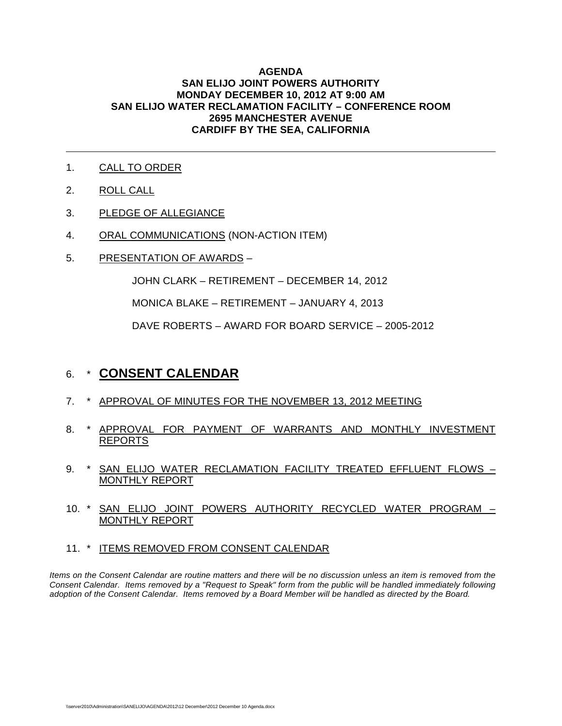#### **AGENDA SAN ELIJO JOINT POWERS AUTHORITY MONDAY DECEMBER 10, 2012 AT 9:00 AM SAN ELIJO WATER RECLAMATION FACILITY – CONFERENCE ROOM 2695 MANCHESTER AVENUE CARDIFF BY THE SEA, CALIFORNIA**

- 1. CALL TO ORDER
- 2. ROLL CALL

 $\overline{a}$ 

- 3. PLEDGE OF ALLEGIANCE
- 4. ORAL COMMUNICATIONS (NON-ACTION ITEM)
- 5. PRESENTATION OF AWARDS –

JOHN CLARK – RETIREMENT – DECEMBER 14, 2012

MONICA BLAKE – RETIREMENT – JANUARY 4, 2013

DAVE ROBERTS – AWARD FOR BOARD SERVICE – 2005-2012

# 6. \* **CONSENT CALENDAR**

- 7. \* APPROVAL OF MINUTES FOR THE NOVEMBER 13, 2012 MEETING
- 8. \* APPROVAL FOR PAYMENT OF WARRANTS AND MONTHLY INVESTMENT REPORTS
- 9. \* SAN ELIJO WATER RECLAMATION FACILITY TREATED EFFLUENT FLOWS -MONTHLY REPORT
- 10. \* SAN ELIJO JOINT POWERS AUTHORITY RECYCLED WATER PROGRAM MONTHLY REPORT
- 11. \* ITEMS REMOVED FROM CONSENT CALENDAR

*Items on the Consent Calendar are routine matters and there will be no discussion unless an item is removed from the Consent Calendar. Items removed by a "Request to Speak" form from the public will be handled immediately following adoption of the Consent Calendar. Items removed by a Board Member will be handled as directed by the Board.*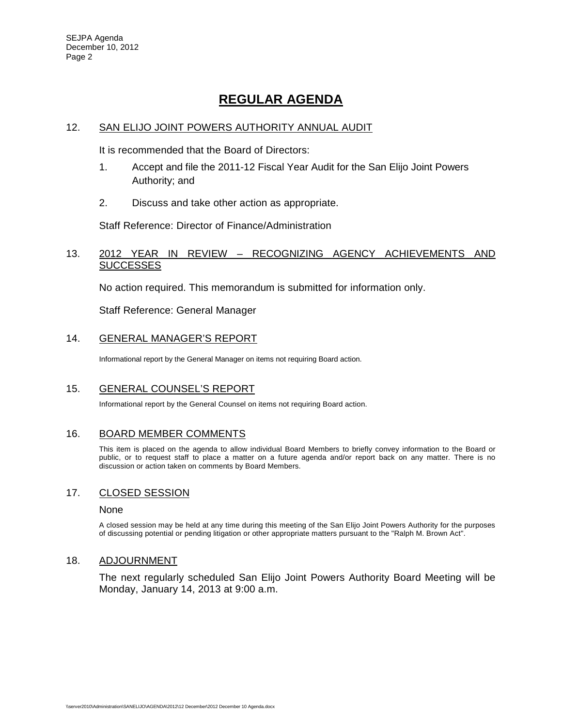# **REGULAR AGENDA**

#### 12. SAN ELIJO JOINT POWERS AUTHORITY ANNUAL AUDIT

It is recommended that the Board of Directors:

- 1. Accept and file the 2011-12 Fiscal Year Audit for the San Elijo Joint Powers Authority; and
- 2. Discuss and take other action as appropriate.

Staff Reference: Director of Finance/Administration

#### 13. 2012 YEAR IN REVIEW – RECOGNIZING AGENCY ACHIEVEMENTS AND **SUCCESSES**

No action required. This memorandum is submitted for information only.

Staff Reference: General Manager

#### 14. GENERAL MANAGER'S REPORT

Informational report by the General Manager on items not requiring Board action.

#### 15. GENERAL COUNSEL'S REPORT

Informational report by the General Counsel on items not requiring Board action.

#### 16. BOARD MEMBER COMMENTS

This item is placed on the agenda to allow individual Board Members to briefly convey information to the Board or public, or to request staff to place a matter on a future agenda and/or report back on any matter. There is no discussion or action taken on comments by Board Members.

#### 17. CLOSED SESSION

#### None

A closed session may be held at any time during this meeting of the San Elijo Joint Powers Authority for the purposes of discussing potential or pending litigation or other appropriate matters pursuant to the "Ralph M. Brown Act".

#### 18. ADJOURNMENT

The next regularly scheduled San Elijo Joint Powers Authority Board Meeting will be Monday, January 14, 2013 at 9:00 a.m.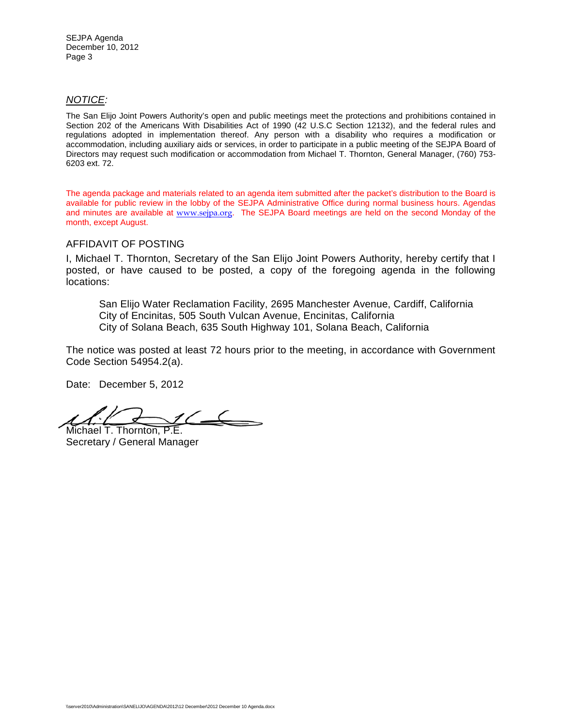#### *NOTICE:*

The San Elijo Joint Powers Authority's open and public meetings meet the protections and prohibitions contained in Section 202 of the Americans With Disabilities Act of 1990 (42 U.S.C Section 12132), and the federal rules and regulations adopted in implementation thereof. Any person with a disability who requires a modification or accommodation, including auxiliary aids or services, in order to participate in a public meeting of the SEJPA Board of Directors may request such modification or accommodation from Michael T. Thornton, General Manager, (760) 753- 6203 ext. 72.

The agenda package and materials related to an agenda item submitted after the packet's distribution to the Board is available for public review in the lobby of the SEJPA Administrative Office during normal business hours. Agendas and minutes are available at [www.sejpa.org](http://www.sejpa.org/). The SEJPA Board meetings are held on the second Monday of the month, except August.

#### AFFIDAVIT OF POSTING

I, Michael T. Thornton, Secretary of the San Elijo Joint Powers Authority, hereby certify that I posted, or have caused to be posted, a copy of the foregoing agenda in the following locations:

San Elijo Water Reclamation Facility, 2695 Manchester Avenue, Cardiff, California City of Encinitas, 505 South Vulcan Avenue, Encinitas, California City of Solana Beach, 635 South Highway 101, Solana Beach, California

The notice was posted at least 72 hours prior to the meeting, in accordance with Government Code Section 54954.2(a).

Date: December 5, 2012

 $1/$ Michael T. Thornton, P.E.

Secretary / General Manager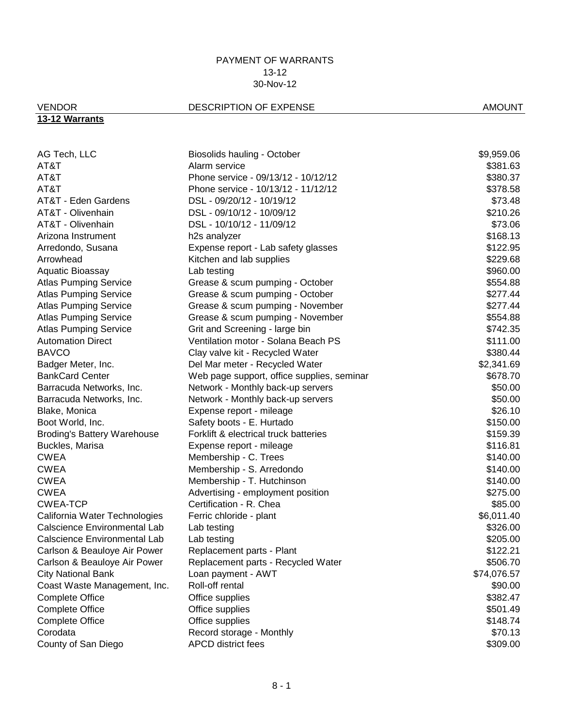## VENDOR DESCRIPTION OF EXPENSE AMOUNT

# **13-12 Warrants**

| AG Tech, LLC                        | Biosolids hauling - October                | \$9,959.06  |
|-------------------------------------|--------------------------------------------|-------------|
| AT&T                                | Alarm service                              | \$381.63    |
| AT&T                                | Phone service - 09/13/12 - 10/12/12        | \$380.37    |
| AT&T                                | Phone service - 10/13/12 - 11/12/12        | \$378.58    |
| AT&T - Eden Gardens                 | DSL - 09/20/12 - 10/19/12                  | \$73.48     |
| AT&T - Olivenhain                   | DSL - 09/10/12 - 10/09/12                  | \$210.26    |
| AT&T - Olivenhain                   | DSL - 10/10/12 - 11/09/12                  | \$73.06     |
| Arizona Instrument                  | h <sub>2s</sub> analyzer                   | \$168.13    |
| Arredondo, Susana                   | Expense report - Lab safety glasses        | \$122.95    |
| Arrowhead                           | Kitchen and lab supplies                   | \$229.68    |
| Aquatic Bioassay                    | Lab testing                                | \$960.00    |
| <b>Atlas Pumping Service</b>        | Grease & scum pumping - October            | \$554.88    |
| <b>Atlas Pumping Service</b>        | Grease & scum pumping - October            | \$277.44    |
| <b>Atlas Pumping Service</b>        | Grease & scum pumping - November           | \$277.44    |
| <b>Atlas Pumping Service</b>        | Grease & scum pumping - November           | \$554.88    |
| <b>Atlas Pumping Service</b>        | Grit and Screening - large bin             | \$742.35    |
| <b>Automation Direct</b>            | Ventilation motor - Solana Beach PS        | \$111.00    |
| <b>BAVCO</b>                        | Clay valve kit - Recycled Water            | \$380.44    |
| Badger Meter, Inc.                  | Del Mar meter - Recycled Water             | \$2,341.69  |
| <b>BankCard Center</b>              | Web page support, office supplies, seminar | \$678.70    |
| Barracuda Networks, Inc.            | Network - Monthly back-up servers          | \$50.00     |
| Barracuda Networks, Inc.            | Network - Monthly back-up servers          | \$50.00     |
| Blake, Monica                       | Expense report - mileage                   | \$26.10     |
| Boot World, Inc.                    | Safety boots - E. Hurtado                  | \$150.00    |
| <b>Broding's Battery Warehouse</b>  | Forklift & electrical truck batteries      | \$159.39    |
| Buckles, Marisa                     | Expense report - mileage                   | \$116.81    |
| CWEA                                | Membership - C. Trees                      | \$140.00    |
| <b>CWEA</b>                         | Membership - S. Arredondo                  | \$140.00    |
| <b>CWEA</b>                         | Membership - T. Hutchinson                 | \$140.00    |
| <b>CWEA</b>                         | Advertising - employment position          | \$275.00    |
| CWEA-TCP                            | Certification - R. Chea                    | \$85.00     |
| California Water Technologies       | Ferric chloride - plant                    | \$6,011.40  |
| <b>Calscience Environmental Lab</b> | Lab testing                                | \$326.00    |
| <b>Calscience Environmental Lab</b> | Lab testing                                | \$205.00    |
| Carlson & Beauloye Air Power        | Replacement parts - Plant                  | \$122.21    |
| Carlson & Beauloye Air Power        | Replacement parts - Recycled Water         | \$506.70    |
| <b>City National Bank</b>           | Loan payment - AWT                         | \$74,076.57 |
| Coast Waste Management, Inc.        | Roll-off rental                            | \$90.00     |
| <b>Complete Office</b>              | Office supplies                            | \$382.47    |
| <b>Complete Office</b>              | Office supplies                            | \$501.49    |
| <b>Complete Office</b>              | Office supplies                            | \$148.74    |
| Corodata                            | Record storage - Monthly                   | \$70.13     |
| County of San Diego                 | <b>APCD district fees</b>                  | \$309.00    |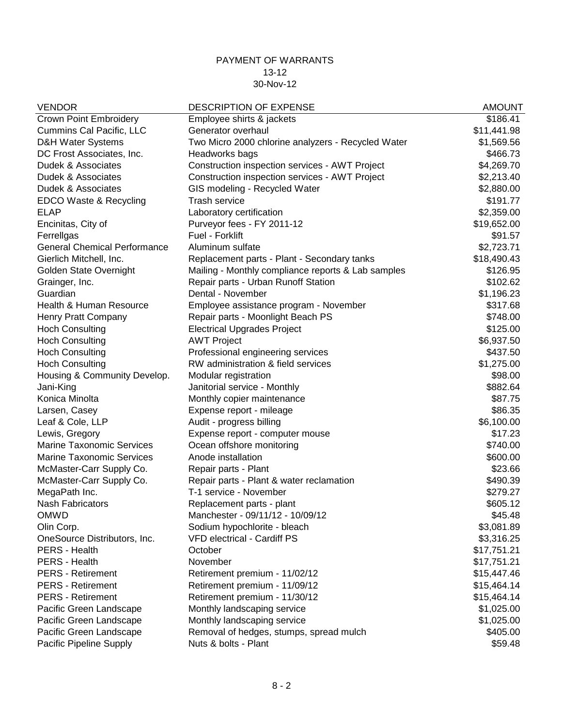| <b>VENDOR</b>                       | <b>DESCRIPTION OF EXPENSE</b>                      | <b>AMOUNT</b> |
|-------------------------------------|----------------------------------------------------|---------------|
| <b>Crown Point Embroidery</b>       | Employee shirts & jackets                          | \$186.41      |
| Cummins Cal Pacific, LLC            | Generator overhaul                                 | \$11,441.98   |
| <b>D&amp;H Water Systems</b>        | Two Micro 2000 chlorine analyzers - Recycled Water | \$1,569.56    |
| DC Frost Associates, Inc.           | Headworks bags                                     | \$466.73      |
| Dudek & Associates                  | Construction inspection services - AWT Project     | \$4,269.70    |
| Dudek & Associates                  | Construction inspection services - AWT Project     | \$2,213.40    |
| Dudek & Associates                  | GIS modeling - Recycled Water                      | \$2,880.00    |
| EDCO Waste & Recycling              | <b>Trash service</b>                               | \$191.77      |
| <b>ELAP</b>                         | Laboratory certification                           | \$2,359.00    |
| Encinitas, City of                  | Purveyor fees - FY 2011-12                         | \$19,652.00   |
| Ferrellgas                          | Fuel - Forklift                                    | \$91.57       |
| <b>General Chemical Performance</b> | Aluminum sulfate                                   | \$2,723.71    |
| Gierlich Mitchell, Inc.             | Replacement parts - Plant - Secondary tanks        | \$18,490.43   |
| Golden State Overnight              | Mailing - Monthly compliance reports & Lab samples | \$126.95      |
| Grainger, Inc.                      | Repair parts - Urban Runoff Station                | \$102.62      |
| Guardian                            | Dental - November                                  | \$1,196.23    |
| Health & Human Resource             | Employee assistance program - November             | \$317.68      |
| Henry Pratt Company                 | Repair parts - Moonlight Beach PS                  | \$748.00      |
| <b>Hoch Consulting</b>              | <b>Electrical Upgrades Project</b>                 | \$125.00      |
| <b>Hoch Consulting</b>              | <b>AWT Project</b>                                 | \$6,937.50    |
| <b>Hoch Consulting</b>              | Professional engineering services                  | \$437.50      |
| <b>Hoch Consulting</b>              | RW administration & field services                 | \$1,275.00    |
| Housing & Community Develop.        | Modular registration                               | \$98.00       |
| Jani-King                           | Janitorial service - Monthly                       | \$882.64      |
| Konica Minolta                      | Monthly copier maintenance                         | \$87.75       |
| Larsen, Casey                       | Expense report - mileage                           | \$86.35       |
| Leaf & Cole, LLP                    | Audit - progress billing                           | \$6,100.00    |
| Lewis, Gregory                      | Expense report - computer mouse                    | \$17.23       |
| <b>Marine Taxonomic Services</b>    | Ocean offshore monitoring                          | \$740.00      |
| <b>Marine Taxonomic Services</b>    | Anode installation                                 | \$600.00      |
| McMaster-Carr Supply Co.            | Repair parts - Plant                               | \$23.66       |
| McMaster-Carr Supply Co.            | Repair parts - Plant & water reclamation           | \$490.39      |
| MegaPath Inc.                       | T-1 service - November                             | \$279.27      |
| <b>Nash Fabricators</b>             | Replacement parts - plant                          | \$605.12      |
| <b>OMWD</b>                         | Manchester - 09/11/12 - 10/09/12                   | \$45.48       |
| Olin Corp.                          | Sodium hypochlorite - bleach                       | \$3,081.89    |
| OneSource Distributors, Inc.        | <b>VFD electrical - Cardiff PS</b>                 | \$3,316.25    |
| PERS - Health                       | October                                            | \$17,751.21   |
| PERS - Health                       | November                                           | \$17,751.21   |
| <b>PERS</b> - Retirement            | Retirement premium - 11/02/12                      | \$15,447.46   |
| <b>PERS</b> - Retirement            | Retirement premium - 11/09/12                      | \$15,464.14   |
| <b>PERS</b> - Retirement            | Retirement premium - 11/30/12                      | \$15,464.14   |
| Pacific Green Landscape             | Monthly landscaping service                        | \$1,025.00    |
|                                     | Monthly landscaping service                        |               |
| Pacific Green Landscape             |                                                    | \$1,025.00    |
| Pacific Green Landscape             | Removal of hedges, stumps, spread mulch            | \$405.00      |
| Pacific Pipeline Supply             | Nuts & bolts - Plant                               | \$59.48       |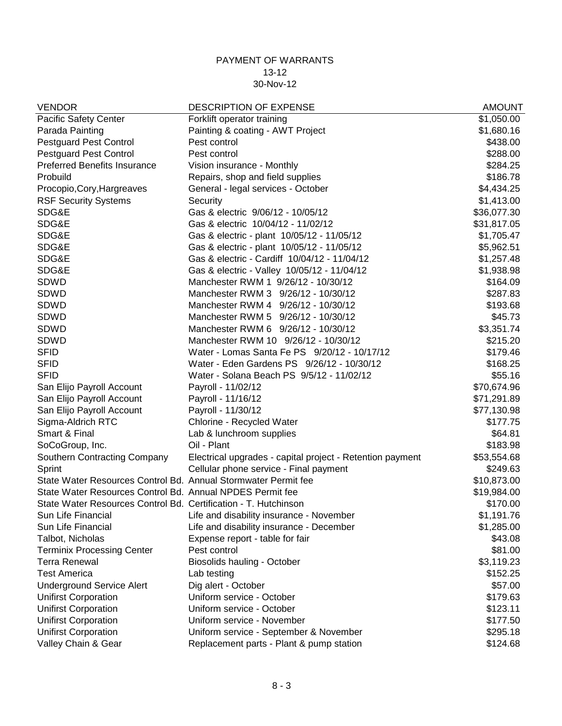| <b>VENDOR</b>                                                   | <b>DESCRIPTION OF EXPENSE</b>                             | <b>AMOUNT</b> |
|-----------------------------------------------------------------|-----------------------------------------------------------|---------------|
| <b>Pacific Safety Center</b>                                    | Forklift operator training                                | \$1,050.00    |
| Parada Painting                                                 | Painting & coating - AWT Project                          | \$1,680.16    |
| <b>Pestguard Pest Control</b>                                   | Pest control                                              | \$438.00      |
| <b>Pestguard Pest Control</b>                                   | Pest control                                              | \$288.00      |
| <b>Preferred Benefits Insurance</b>                             | Vision insurance - Monthly                                | \$284.25      |
| Probuild                                                        | Repairs, shop and field supplies                          | \$186.78      |
| Procopio, Cory, Hargreaves                                      | General - legal services - October                        | \$4,434.25    |
| <b>RSF Security Systems</b>                                     | Security                                                  | \$1,413.00    |
| SDG&E                                                           | Gas & electric 9/06/12 - 10/05/12                         | \$36,077.30   |
| SDG&E                                                           | Gas & electric 10/04/12 - 11/02/12                        | \$31,817.05   |
| SDG&E                                                           | Gas & electric - plant 10/05/12 - 11/05/12                | \$1,705.47    |
| SDG&E                                                           | Gas & electric - plant 10/05/12 - 11/05/12                | \$5,962.51    |
| SDG&E                                                           | Gas & electric - Cardiff 10/04/12 - 11/04/12              | \$1,257.48    |
| SDG&E                                                           | Gas & electric - Valley 10/05/12 - 11/04/12               | \$1,938.98    |
| <b>SDWD</b>                                                     | Manchester RWM 1 9/26/12 - 10/30/12                       | \$164.09      |
| SDWD                                                            | Manchester RWM 3 9/26/12 - 10/30/12                       | \$287.83      |
| SDWD                                                            | Manchester RWM 4 9/26/12 - 10/30/12                       | \$193.68      |
| SDWD                                                            | Manchester RWM 5 9/26/12 - 10/30/12                       | \$45.73       |
| SDWD                                                            | Manchester RWM 6 9/26/12 - 10/30/12                       | \$3,351.74    |
| SDWD                                                            | Manchester RWM 10 9/26/12 - 10/30/12                      | \$215.20      |
| <b>SFID</b>                                                     | Water - Lomas Santa Fe PS 9/20/12 - 10/17/12              | \$179.46      |
| <b>SFID</b>                                                     | Water - Eden Gardens PS 9/26/12 - 10/30/12                | \$168.25      |
| <b>SFID</b>                                                     | Water - Solana Beach PS 9/5/12 - 11/02/12                 | \$55.16       |
| San Elijo Payroll Account                                       | Payroll - 11/02/12                                        | \$70,674.96   |
| San Elijo Payroll Account                                       | Payroll - 11/16/12                                        | \$71,291.89   |
| San Elijo Payroll Account                                       | Payroll - 11/30/12                                        | \$77,130.98   |
| Sigma-Aldrich RTC                                               | Chlorine - Recycled Water                                 | \$177.75      |
| Smart & Final                                                   | Lab & lunchroom supplies                                  | \$64.81       |
| SoCoGroup, Inc.                                                 | Oil - Plant                                               | \$183.98      |
| Southern Contracting Company                                    | Electrical upgrades - capital project - Retention payment | \$53,554.68   |
| Sprint                                                          | Cellular phone service - Final payment                    | \$249.63      |
| State Water Resources Control Bd. Annual Stormwater Permit fee  |                                                           | \$10,873.00   |
| State Water Resources Control Bd. Annual NPDES Permit fee       |                                                           | \$19,984.00   |
| State Water Resources Control Bd. Certification - T. Hutchinson |                                                           | \$170.00      |
| Sun Life Financial                                              | Life and disability insurance - November                  | \$1,191.76    |
| Sun Life Financial                                              | Life and disability insurance - December                  | \$1,285.00    |
| Talbot, Nicholas                                                | Expense report - table for fair                           | \$43.08       |
| <b>Terminix Processing Center</b>                               | Pest control                                              | \$81.00       |
| <b>Terra Renewal</b>                                            | Biosolids hauling - October                               | \$3,119.23    |
| <b>Test America</b>                                             | Lab testing                                               | \$152.25      |
| <b>Underground Service Alert</b>                                | Dig alert - October                                       | \$57.00       |
| <b>Unifirst Corporation</b>                                     | Uniform service - October                                 | \$179.63      |
| <b>Unifirst Corporation</b>                                     | Uniform service - October                                 | \$123.11      |
| <b>Unifirst Corporation</b>                                     | Uniform service - November                                | \$177.50      |
| <b>Unifirst Corporation</b>                                     | Uniform service - September & November                    | \$295.18      |
| Valley Chain & Gear                                             | Replacement parts - Plant & pump station                  | \$124.68      |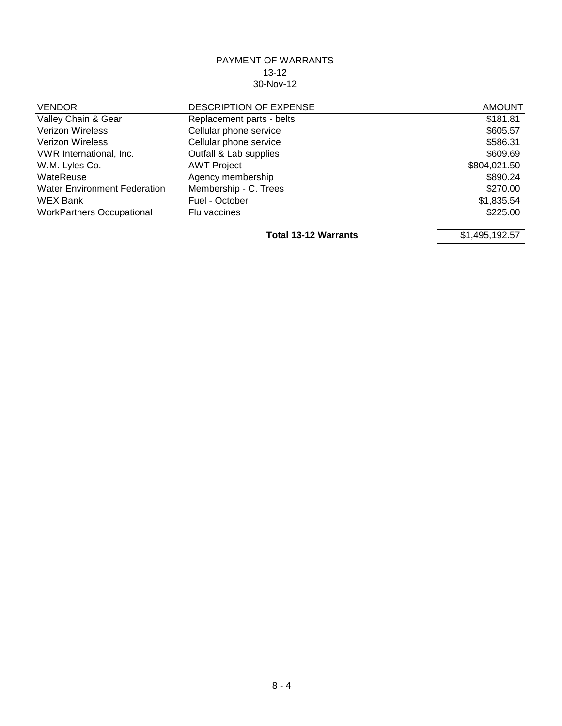| <b>VENDOR</b>                       | <b>DESCRIPTION OF EXPENSE</b> | <b>AMOUNT</b> |
|-------------------------------------|-------------------------------|---------------|
| Valley Chain & Gear                 | Replacement parts - belts     | \$181.81      |
| <b>Verizon Wireless</b>             | Cellular phone service        | \$605.57      |
| <b>Verizon Wireless</b>             | Cellular phone service        | \$586.31      |
| VWR International, Inc.             | Outfall & Lab supplies        | \$609.69      |
| W.M. Lyles Co.                      | <b>AWT Project</b>            | \$804,021.50  |
| WateReuse                           | Agency membership             | \$890.24      |
| <b>Water Environment Federation</b> | Membership - C. Trees         | \$270.00      |
| <b>WEX Bank</b>                     | Fuel - October                | \$1,835.54    |
| <b>WorkPartners Occupational</b>    | Flu vaccines                  | \$225.00      |
|                                     |                               |               |

**Total 13-12 Warrants** \$1,495,192.57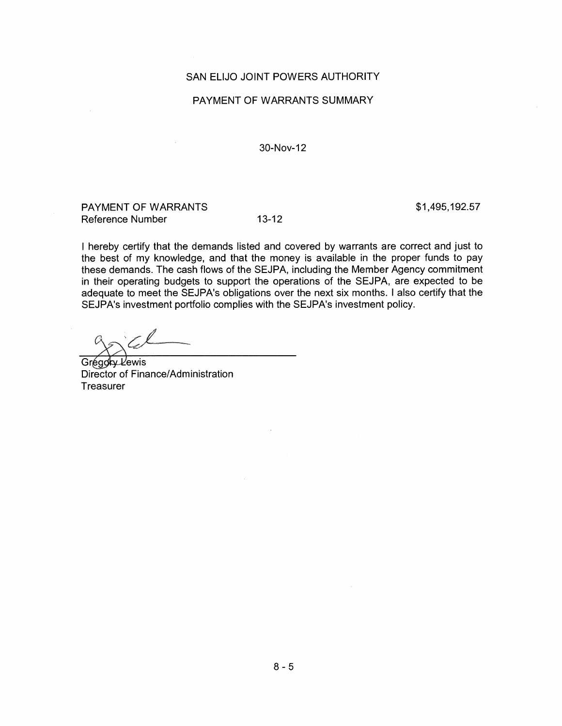#### SAN ELIJO JOINT POWERS AUTHORITY

#### PAYMENT OF WARRANTS SUMMARY

30-Nov-12

PAYMENT OF WARRANTS Reference Number

 $13 - 12$ 

\$1,495,192.57

I hereby certify that the demands listed and covered by warrants are correct and just to the best of my knowledge, and that the money is available in the proper funds to pay these demands. The cash flows of the SEJPA, including the Member Agency commitment in their operating budgets to support the operations of the SEJPA, are expected to be adequate to meet the SEJPA's obligations over the next six months. I also certify that the SEJPA's investment portfolio complies with the SEJPA's investment policy.

Grégory Lewis Director of Finance/Administration Treasurer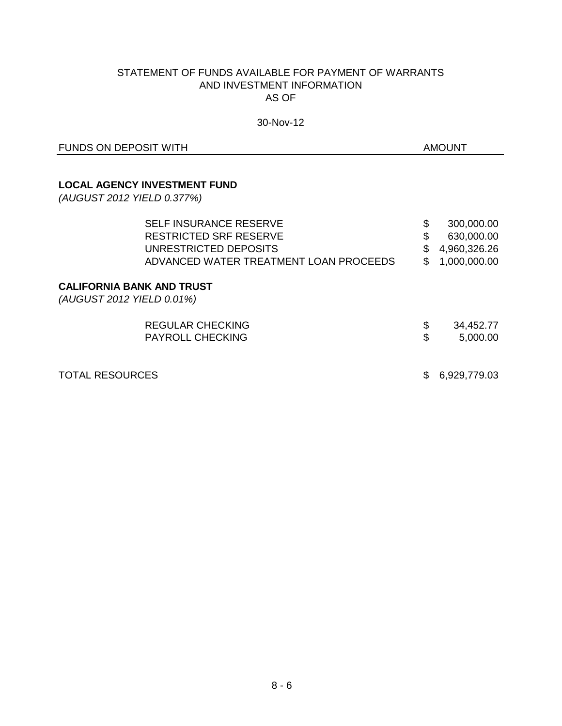#### STATEMENT OF FUNDS AVAILABLE FOR PAYMENT OF WARRANTS AND INVESTMENT INFORMATION AS OF

#### 30-Nov-12

FUNDS ON DEPOSIT WITH THE SERVICE OF THE SERVICE OF THE SERVICE OF THE SERVICE OF THE SERVICE OF THE SERVICE OF THE SERVICE OF THE SERVICE OF THE SERVICE OF THE SERVICE OF THE SERVICE OF THE SERVICE OF THE SERVICE OF THE S

#### **LOCAL AGENCY INVESTMENT FUND**

*(AUGUST 2012 YIELD 0.377%)*

| <b>SELF INSURANCE RESERVE</b>                                 | \$<br>300,000.00   |
|---------------------------------------------------------------|--------------------|
| RESTRICTED SRF RESERVE                                        | \$<br>630,000.00   |
| UNRESTRICTED DEPOSITS                                         | \$<br>4,960,326.26 |
| ADVANCED WATER TREATMENT LOAN PROCEEDS                        | \$<br>1,000,000.00 |
| <b>CALIFORNIA BANK AND TRUST</b><br>(AUGUST 2012 YIELD 0.01%) |                    |
| REGULAR CHECKING                                              | \$<br>34,452.77    |
| <b>PAYROLL CHECKING</b>                                       | \$<br>5,000.00     |
| <b>TOTAL RESOURCES</b>                                        | 6,929,779.03       |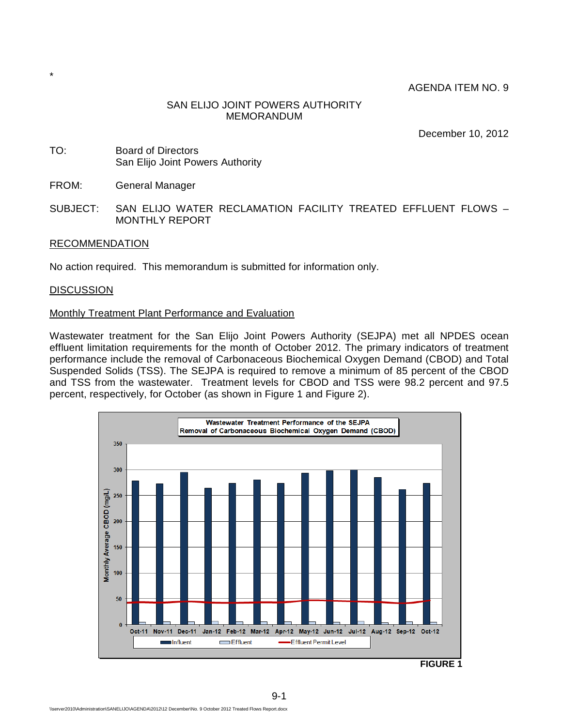AGENDA ITEM NO. 9

#### SAN ELIJO JOINT POWERS AUTHORITY MEMORANDUM

December 10, 2012

- TO: Board of Directors San Elijo Joint Powers Authority
- FROM: General Manager
- SUBJECT: SAN ELIJO WATER RECLAMATION FACILITY TREATED EFFLUENT FLOWS MONTHLY REPORT

#### RECOMMENDATION

No action required. This memorandum is submitted for information only.

#### **DISCUSSION**

\*

#### Monthly Treatment Plant Performance and Evaluation

Wastewater treatment for the San Elijo Joint Powers Authority (SEJPA) met all NPDES ocean effluent limitation requirements for the month of October 2012. The primary indicators of treatment performance include the removal of Carbonaceous Biochemical Oxygen Demand (CBOD) and Total Suspended Solids (TSS). The SEJPA is required to remove a minimum of 85 percent of the CBOD and TSS from the wastewater. Treatment levels for CBOD and TSS were 98.2 percent and 97.5 percent, respectively, for October (as shown in Figure 1 and Figure 2).



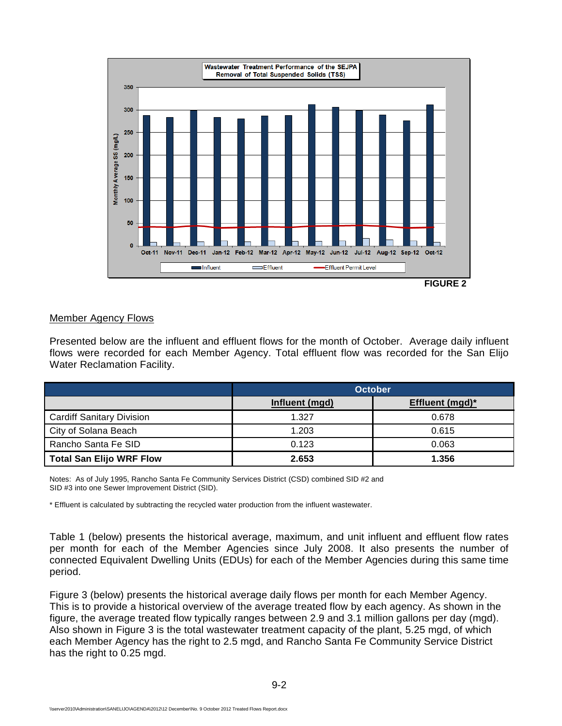

**FIGURE 2** 

#### Member Agency Flows

Presented below are the influent and effluent flows for the month of October. Average daily influent flows were recorded for each Member Agency. Total effluent flow was recorded for the San Elijo Water Reclamation Facility.

|                                  | <b>October</b> |                 |  |  |  |
|----------------------------------|----------------|-----------------|--|--|--|
|                                  | Influent (mgd) | Effluent (mgd)* |  |  |  |
| <b>Cardiff Sanitary Division</b> | 1.327          | 0.678           |  |  |  |
| City of Solana Beach             | 1.203          | 0.615           |  |  |  |
| Rancho Santa Fe SID              | 0.123          | 0.063           |  |  |  |
| <b>Total San Elijo WRF Flow</b>  | 2.653          | 1.356           |  |  |  |

Notes: As of July 1995, Rancho Santa Fe Community Services District (CSD) combined SID #2 and SID #3 into one Sewer Improvement District (SID).

\* Effluent is calculated by subtracting the recycled water production from the influent wastewater.

Table 1 (below) presents the historical average, maximum, and unit influent and effluent flow rates per month for each of the Member Agencies since July 2008. It also presents the number of connected Equivalent Dwelling Units (EDUs) for each of the Member Agencies during this same time period.

Figure 3 (below) presents the historical average daily flows per month for each Member Agency. This is to provide a historical overview of the average treated flow by each agency. As shown in the figure, the average treated flow typically ranges between 2.9 and 3.1 million gallons per day (mgd). Also shown in Figure 3 is the total wastewater treatment capacity of the plant, 5.25 mgd, of which each Member Agency has the right to 2.5 mgd, and Rancho Santa Fe Community Service District has the right to 0.25 mgd.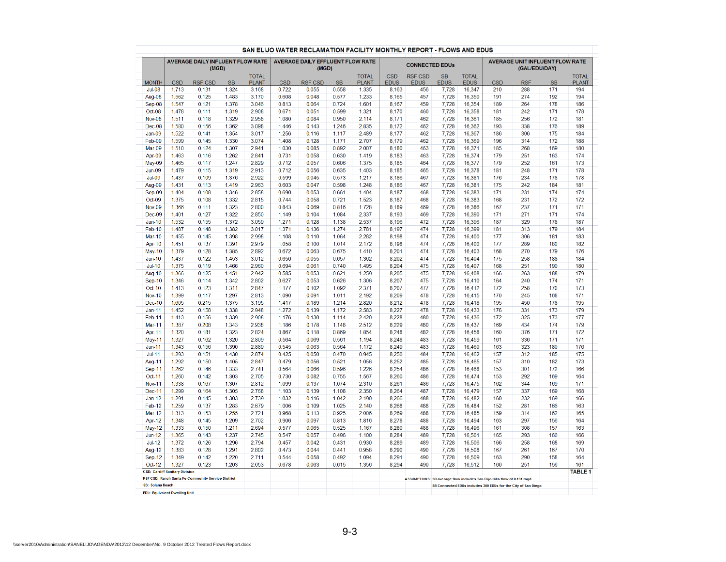|                         |                                                | AVERAGE DAILY INFLUENT FLOW RATE                   |                |                |                | <b>AVERAGE DAILY EFFLUENT FLOW RATE</b> |                |                |                | <b>CONNECTED EDUs</b> |                |                  |                                                                         | <b>AVERAGE UNIT INFLUENT FLOW RATE</b>                        |            |                |
|-------------------------|------------------------------------------------|----------------------------------------------------|----------------|----------------|----------------|-----------------------------------------|----------------|----------------|----------------|-----------------------|----------------|------------------|-------------------------------------------------------------------------|---------------------------------------------------------------|------------|----------------|
|                         |                                                | (MGD)                                              |                | <b>TOTAL</b>   |                | (MGD)                                   |                | <b>TOTAL</b>   | <b>CSD</b>     | <b>RSF CSD</b>        | <b>SB</b>      | <b>TOTAL</b>     |                                                                         | (GAL/EDU/DAY)                                                 |            | <b>TOTAL</b>   |
| <b>MONTH</b>            | <b>CSD</b>                                     | <b>RSF CSD</b>                                     | <b>SB</b>      | <b>PLANT</b>   | <b>CSD</b>     | <b>RSF CSD</b>                          | <b>SB</b>      | <b>PLANT</b>   | <b>EDUS</b>    | <b>EDUS</b>           | <b>EDUS</b>    | <b>EDUS</b>      | <b>CSD</b>                                                              | <b>RSF</b>                                                    | <b>SB</b>  | <b>PLANT</b>   |
| $Jul-08$                | 1.713                                          | 0.131                                              | 1.324          | 3.168          | 0.722          | 0.055                                   | 0.558          | 1.335          | 8,163          | 456                   | 7,728          | 16,347           | 210                                                                     | 288                                                           | 171        | 194            |
| Aug-08                  | 1.562                                          | 0.125                                              | 1.483          | 3.170          | 0.608          | 0.048                                   | 0.577          | 1.233          | 8,165          | 457                   | 7,728          | 16,350           | 191                                                                     | 274                                                           | 192        | 194            |
| Sep-08                  | 1.547                                          | 0.121                                              | 1.378          | 3.046          | 0.813          | 0.064                                   | 0.724          | 1.601          | 8,167          | 459                   | 7,728          | 16,354           | 189                                                                     | 264                                                           | 178        | 186            |
| Oct-08                  | 1.478                                          | 0.111                                              | 1.319          | 2.908          | 0.671          | 0.051                                   | 0.599          | 1.321          | 8,170          | 460                   | 7,728          | 16,358           | 181                                                                     | 242                                                           | 171        | 178            |
| <b>Nov-08</b>           | 1.511                                          | 0.118                                              | 1.329          | 2.958          | 1.080          | 0.084                                   | 0.950          | 2.114          | 8,171          | 462                   | 7,728          | 16,361           | 185                                                                     | 256                                                           | 172        | 181            |
| Dec-08                  | 1.580                                          | 0.156                                              | 1.362          | 3.098          | 1.446          | 0.143                                   | 1.246          | 2.835          | 8,172          | 462                   | 7,728          | 16,362           | 193                                                                     | 338                                                           | 176        | 189            |
| $Jan-09$                | 1.522                                          | 0.141                                              | 1.354          | 3.017          | 1.256          | 0.116                                   | 1.117          | 2.489          | 8,177          | 462                   | 7,728          | 16,367           | 186                                                                     | 306                                                           | 175        | 184            |
| Feb-09                  | 1.599                                          | 0.145                                              | 1.330          | 3.074          | 1.408          | 0.128                                   | 1.171          | 2.707          | 8,179          | 462                   | 7,728          | 16,369           | 196                                                                     | 314                                                           | 172        | 188            |
| Mar-09                  | 1.510                                          | 0.124                                              | 1.307          | 2.941          | 1.030          | 0.085                                   | 0.892          | 2.007          | 8,180          | 463                   | 7,728          | 16,371           | 185                                                                     | 268                                                           | 169        | 180            |
| Apr-09                  | 1.463                                          | 0.116                                              | 1.262          | 2.841          | 0.731          | 0.058                                   | 0.630          | 1.419          | 8.183          | 463                   | 7,728          | 16.374           | 179                                                                     | 251                                                           | 163        | 174            |
| $May-09$                | 1.465                                          | 0.117                                              | 1.247          | 2.829          | 0.712          | 0.057                                   | 0.606          | 1.375          | 8,185          | 464                   | 7,728          | 16,377           | 179                                                                     | 252                                                           | 161        | 173            |
| $Jun-09$                | 1.479                                          | 0.115                                              | 1.319          | 2.913          | 0.712          | 0.056                                   | 0.635          | 1.403          | 8,185          | 465                   | 7,728          | 16,378           | 181                                                                     | 248                                                           | 171        | 178            |
| <b>Jul-09</b>           | 1.437                                          | 0.109                                              | 1.376          | 2.922          | 0.599          | 0.045                                   | 0.573          | 1.217          | 8,186          | 467                   | 7,728          | 16,381           | 176                                                                     | 234                                                           | 178        | 178            |
| Aug-09                  | 1.431                                          | 0.113                                              | 1.419          | 2.963          | 0.603          | 0.047                                   | 0.598          | 1.248          | 8,186          | 467                   | 7,728          | 16,381           | 175                                                                     | 242                                                           | 184        | 181            |
| Sep-09                  | 1.404                                          | 0.108                                              | 1.346          | 2.858          | 0.690          | 0.053                                   | 0.661          | 1.404          | 8,187          | 468                   | 7,728          | 16,383           | 171                                                                     | 231                                                           | 174        | 174            |
| Oct-09                  | 1.375                                          | 0.108                                              | 1.332          | 2.815          | 0.744          | 0.058                                   | 0.721          | 1.523          | 8,187          | 468                   | 7,728          | 16,383           | 168                                                                     | 231                                                           | 172        | 172            |
| <b>Nov-09</b>           | 1.366                                          | 0.111                                              | 1.323          | 2.800          | 0.843          | 0.069                                   | 0.816          | 1.728          | 8,189          | 469                   | 7,728          | 16,386           | 167                                                                     | 237                                                           | 171        | 171            |
| Dec-09                  | 1.401                                          | 0.127                                              | 1.322          | 2.850          | 1.149          | 0.104                                   | 1.084          | 2.337          | 8,193          | 469                   | 7,728          | 16,390           | 171                                                                     | 271                                                           | 171        | 174            |
| $Jan-10$                | 1.532                                          | 0.155                                              | 1.372          | 3.059          | 1.271          | 0.128                                   | 1.138          | 2.537          | 8,196          | 472                   | 7,728          | 16,396           | 187                                                                     | 329                                                           | 178        | 187            |
| Feb-10                  | 1.487                                          | 0.148                                              | 1.382          | 3.017          | 1.371          | 0.136                                   | 1.274          | 2.781          | 8,197          | 474                   | 7.728          | 16,399           | 181                                                                     | 313                                                           | 179        | 184            |
| <b>Mar-10</b>           | 1.455                                          | 0.145                                              | 1.398          | 2.998          | 1.108          | 0.110                                   | 1.064          | 2.282          | 8,198          | 474                   | 7,728          | 16,400           | 177                                                                     | 306                                                           | 181        | 183            |
| Apr-10                  | 1.451                                          | 0.137                                              | 1.391          | 2.979          | 1.058          | 0.100                                   | 1.014          | 2.172          | 8,198          | 474                   | 7,728          | 16,400           | 177                                                                     | 289                                                           | 180        | 182            |
| <b>May-10</b>           | 1.379                                          | 0.128                                              | 1.385          | 2.892          | 0.672          | 0.063                                   | 0.675          | 1.410          | 8,201          | 474                   | 7.728          | 16,403           | 168                                                                     | 270                                                           | 179        | 176            |
| $Jun-10$                | 1.437                                          | 0.122                                              | 1.453          | 3.012          | 0.650          | 0.055                                   | 0.657          | 1.362          | 8,202          | 474                   | 7,728          | 16,404           | 175                                                                     | 258                                                           | 188        | 184            |
| $Jul-10$                | 1.375                                          | 0.119                                              | 1.466          | 2.960          | 0.694          | 0.061                                   | 0.740          | 1.495          | 8,204          | 475                   | 7,728          | 16,407           | 168                                                                     | 251                                                           | 190        | 180            |
| Aug-10                  | 1.366                                          | 0.125                                              | 1.451          | 2.942          | 0.585          | 0.053                                   | 0.621          | 1.259          | 8,205          | 475                   | 7.728          | 16,408           | 166                                                                     | 263                                                           | 188        | 179            |
| <b>Sep-10</b>           | 1.346                                          | 0.114                                              | 1.342          | 2.802          | 0.627          | 0.053                                   | 0.626          | 1.306          | 8,207          | 475                   | 7,728          | 16,410           | 164                                                                     | 240                                                           | 174        | 171            |
| Oct-10                  | 1.413                                          | 0.123                                              | 1.311          | 2.847          | 1.177          | 0.102                                   | 1.092          | 2.371          | 8,207          | 477                   | 7,728          | 16,412           | 172                                                                     | 258                                                           | 170        | 173            |
| <b>Nov-10</b>           | 1.399                                          | 0.117                                              | 1.297          | 2.813          | 1.090          | 0.091                                   | 1.011          | 2.192          | 8,209          | 478                   | 7,728          | 16,415           | 170                                                                     | 245                                                           | 168        | 171            |
| <b>Dec-10</b>           | 1.605                                          | 0.215                                              | 1.375          | 3.195          | 1.417          | 0.189                                   | 1.214          | 2.820          | 8,212          | 478                   | 7,728          | 16,418           | 195                                                                     | 450                                                           | 178        | 195            |
| <b>Jan-11</b>           | 1.452                                          | 0.158                                              | 1.338          | 2.948          | 1.272          | 0.139                                   | 1.172          | 2.583          | 8,227          | 478                   | 7,728          | 16,433           | 176                                                                     | 331                                                           | 173        | 179            |
| Feb-11                  | 1.413                                          | 0.156                                              | 1.339          | 2.908          | 1.176          | 0.130                                   | 1.114          | 2.420          | 8,228          | 480                   | 7,728          | 16,436           | 172                                                                     | 325                                                           | 173        | 177            |
| <b>Mar-11</b>           | 1.387                                          | 0.208                                              | 1.343          | 2.938          | 1.186          | 0.178                                   | 1.148          | 2.512          | 8,229          | 480                   | 7,728          | 16,437           | 169                                                                     | 434                                                           | 174        | 179            |
| Apr-11                  | 1.320                                          | 0.181                                              | 1.323          | 2.824          | 0.867          | 0.118                                   | 0.869          | 1.854          | 8,248          | 482                   | 7,728          | 16,458           | 160                                                                     | 376                                                           | 171        | 172            |
| May-11                  | 1.327                                          | 0.162                                              | 1.320          | 2.809          | 0.564          | 0.069                                   | 0.561          | 1.194          | 8,248          | 483                   | 7,728          | 16,459           | 161                                                                     | 336                                                           | 171        | 171            |
| $Jun-11$                | 1.343                                          | 0.156                                              | 1.390          | 2.889          | 0.545          | 0.063                                   | 0.564          | 1.172          | 8,249          | 483                   | 7,728          | 16,460           | 163                                                                     | 323                                                           | 180        | 176            |
| $Jul-11$                | 1.293                                          | 0.151                                              | 1.430          | 2.874          | 0.425          | 0.050                                   | 0.470          | 0.945          | 8,250          | 484                   | 7,728          | 16,462           | 157                                                                     | 312                                                           | 185        | 175            |
| Aug-11                  | 1.292                                          | 0.150                                              | 1.405          | 2.847          | 0.479          | 0.056<br>0.066                          | 0.521          | 1.056          | 8,252          | 485<br>486            | 7,728          | 16,465           | 157                                                                     | 310<br>301                                                    | 182<br>172 | 173<br>166     |
| Sep-11                  | 1.262                                          | 0.146                                              | 1.333          | 2.741          | 0.564          |                                         | 0.596          | 1.226          | 8,254          |                       | 7,728          | 16,468           | 153                                                                     |                                                               |            |                |
| Oct-11                  | 1.260                                          | 0.142                                              | 1.303          | 2.705          | 0.730          | 0.082                                   | 0.755          | 1.567          | 8,260          | 486                   | 7,728          | 16,474           | 153                                                                     | 292                                                           | 169        | 164            |
| <b>Nov-11</b>           | 1.338<br>1.299                                 | 0.167<br>0.164                                     | 1.307<br>1.305 | 2.812<br>2.768 | 1.099          | 0.137<br>0.139                          | 1.074          | 2.310<br>2.350 | 8,261          | 486<br>487            | 7,728          | 16,475           | 162                                                                     | 344<br>337                                                    | 169<br>169 | 171<br>168     |
| <b>Dec-11</b>           |                                                | 0.145                                              |                |                | 1.103          |                                         | 1.108          |                | 8,264          | 488                   | 7,728          | 16,479           | 157                                                                     | 232                                                           |            |                |
| $Jan-12$                | 1.291<br>1.259                                 | 0.137                                              | 1.303<br>1.283 | 2.739<br>2.679 | 1.032<br>1.006 | 0.116<br>0.109                          | 1.042          | 2.190<br>2.140 | 8,266          | 488                   | 7.728          | 16,482           | 160                                                                     | 281                                                           | 169<br>166 | 166            |
| Feb-12<br><b>Mar-12</b> | 1.313                                          | 0.153                                              | 1.255          | 2.721          | 0.968          | 0.113                                   | 1.025<br>0.925 | 2.006          | 8,268<br>8.269 | 488                   | 7,728          | 16,484<br>16.485 | 152<br>159                                                              | 314                                                           | 162        | 163<br>165     |
|                         |                                                |                                                    |                |                |                |                                         |                |                |                |                       | 7,728          |                  |                                                                         | 297                                                           |            |                |
| <b>Apr-12</b>           | 1.348                                          | 0.145                                              | 1.209          | 2.702          | 0.906          | 0.097                                   | 0.813          | 1.816          | 8.278          | 488                   | 7,728          | 16,494           | 163                                                                     | 308                                                           | 156        | 164            |
| May-12                  | 1.333                                          | 0.150                                              | 1.211          | 2.694          | 0.577          | 0.065                                   | 0.525          | 1.167          | 8,280          | 488                   | 7,728          | 16,496           | 161                                                                     | 293                                                           | 157<br>160 | 163            |
| $Jun-12$                | 1.365<br>1.372                                 | 0.143<br>0.126                                     | 1.237<br>1.296 | 2.745<br>2.794 | 0.547<br>0.457 | 0.057<br>0.042                          | 0.496<br>0.431 | 1.100<br>0.930 | 8,284<br>8,289 | 489<br>489            | 7,728<br>7,728 | 16,501           | 165<br>166                                                              | 258                                                           | 168        | 166<br>169     |
| $Jul-12$                |                                                |                                                    |                |                |                |                                         |                |                |                |                       |                | 16,506           |                                                                         |                                                               |            |                |
| <b>Aug-12</b>           | 1.383                                          | 0.128                                              | 1.291<br>1.220 | 2.802<br>2.711 | 0.473<br>0.544 | 0.044                                   | 0.441<br>0.492 | 0.958          | 8,290<br>8,291 | 490                   | 7,728          | 16,508           | 167<br>163                                                              | 261<br>290                                                    | 167        | 170            |
| <b>Sep-12</b>           | 1.349                                          | 0.142<br>0.123                                     | 1.203          | 2.653          | 0.678          | 0.058<br>0.063                          | 0.615          | 1.094<br>1.356 | 8,294          | 490<br>490            | 7,728<br>7,728 | 16,509<br>16,512 | 160                                                                     | 251                                                           | 158<br>156 | 164<br>161     |
| Oct-12                  | 1.327<br><b>CSD: Cardiff Sanitary Division</b> |                                                    |                |                |                |                                         |                |                |                |                       |                |                  |                                                                         |                                                               |            | <b>TABLE 1</b> |
|                         |                                                | RSF CSD: Ranch Santa Fe Community Service District |                |                |                |                                         |                |                |                |                       |                |                  | ASSUMPTIONS: SB average flow includes San Elijo Hills flow of 0.131 mgd |                                                               |            |                |
|                         | SB: Solana Beach                               |                                                    |                |                |                |                                         |                |                |                |                       |                |                  |                                                                         | SB Connected EDUs includes 300 EDUs for the City of San Diego |            |                |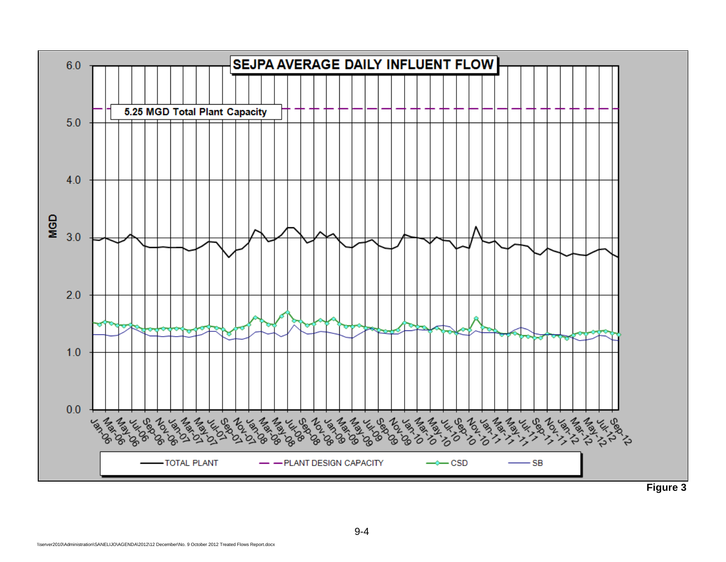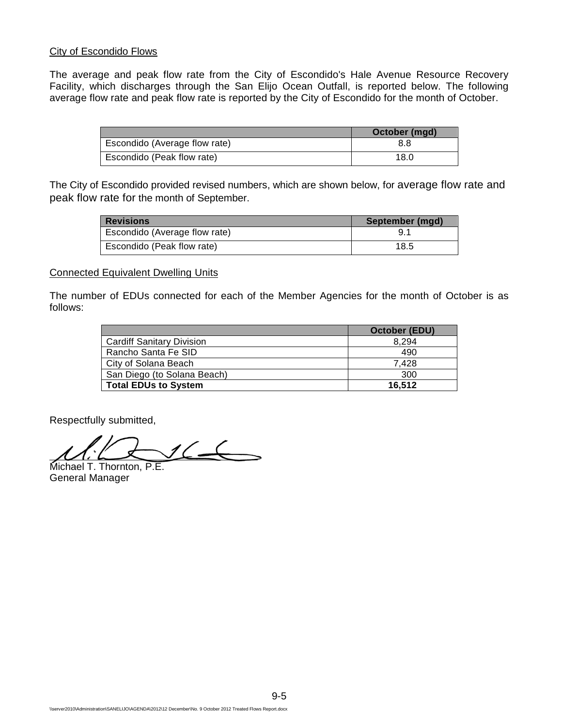#### City of Escondido Flows

The average and peak flow rate from the City of Escondido's Hale Avenue Resource Recovery Facility, which discharges through the San Elijo Ocean Outfall, is reported below. The following average flow rate and peak flow rate is reported by the City of Escondido for the month of October.

|                               | October (mgd) |
|-------------------------------|---------------|
| Escondido (Average flow rate) | 8.8           |
| Escondido (Peak flow rate)    | 18.0          |

The City of Escondido provided revised numbers, which are shown below, for average flow rate and peak flow rate for the month of September.

| <b>Revisions</b>              | September (mgd) |
|-------------------------------|-----------------|
| Escondido (Average flow rate) | 9.1             |
| Escondido (Peak flow rate)    | 18.5            |

#### Connected Equivalent Dwelling Units

The number of EDUs connected for each of the Member Agencies for the month of October is as follows:

|                                  | October (EDU) |
|----------------------------------|---------------|
| <b>Cardiff Sanitary Division</b> | 8.294         |
| Rancho Santa Fe SID              | 490           |
| City of Solana Beach             | 7.428         |
| San Diego (to Solana Beach)      | 300           |
| <b>Total EDUs to System</b>      | 16.512        |

Respectfully submitted,

 $16 \rightarrow$ L Michael T. Thornton, P.E.

General Manager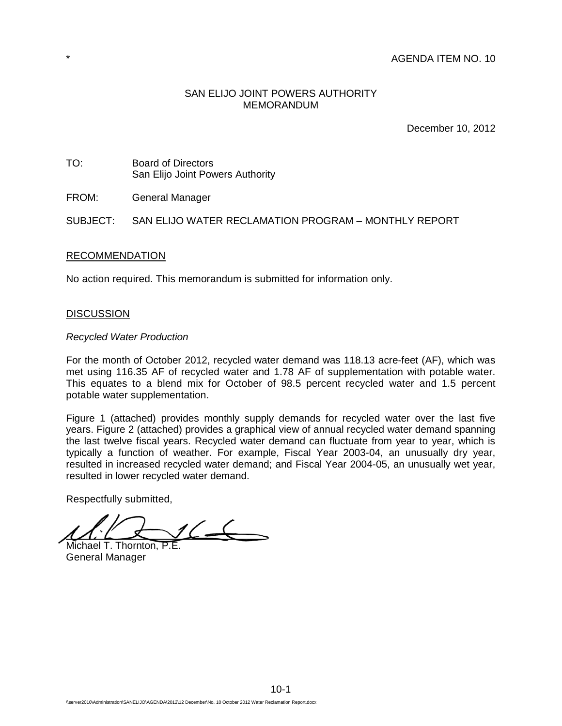#### AGENDA ITEM NO. 10

#### SAN ELIJO JOINT POWERS AUTHORITY MEMORANDUM

December 10, 2012

TO: Board of Directors San Elijo Joint Powers Authority

FROM: General Manager

SUBJECT: SAN ELIJO WATER RECLAMATION PROGRAM – MONTHLY REPORT

#### RECOMMENDATION

No action required. This memorandum is submitted for information only.

#### **DISCUSSION**

#### *Recycled Water Production*

For the month of October 2012, recycled water demand was 118.13 acre-feet (AF), which was met using 116.35 AF of recycled water and 1.78 AF of supplementation with potable water. This equates to a blend mix for October of 98.5 percent recycled water and 1.5 percent potable water supplementation.

Figure 1 (attached) provides monthly supply demands for recycled water over the last five years. Figure 2 (attached) provides a graphical view of annual recycled water demand spanning the last twelve fiscal years. Recycled water demand can fluctuate from year to year, which is typically a function of weather. For example, Fiscal Year 2003-04, an unusually dry year, resulted in increased recycled water demand; and Fiscal Year 2004-05, an unusually wet year, resulted in lower recycled water demand.

Respectfully submitted,

 $16 -$ Michael T. Thornton, P.E.

General Manager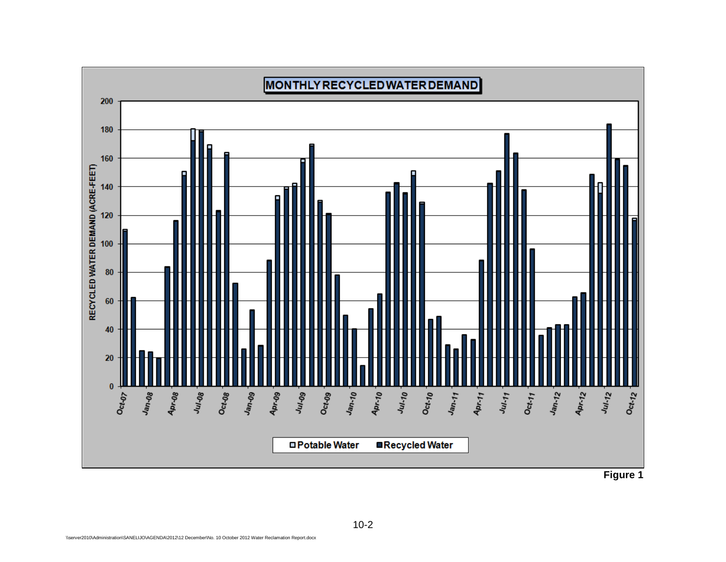

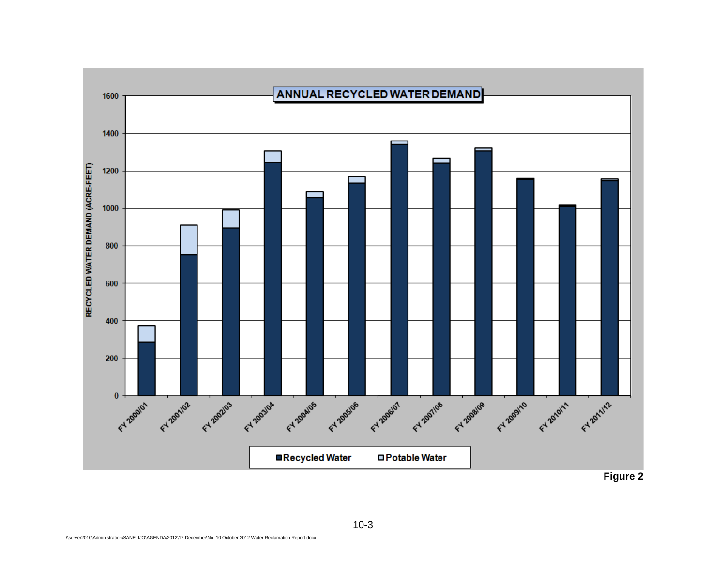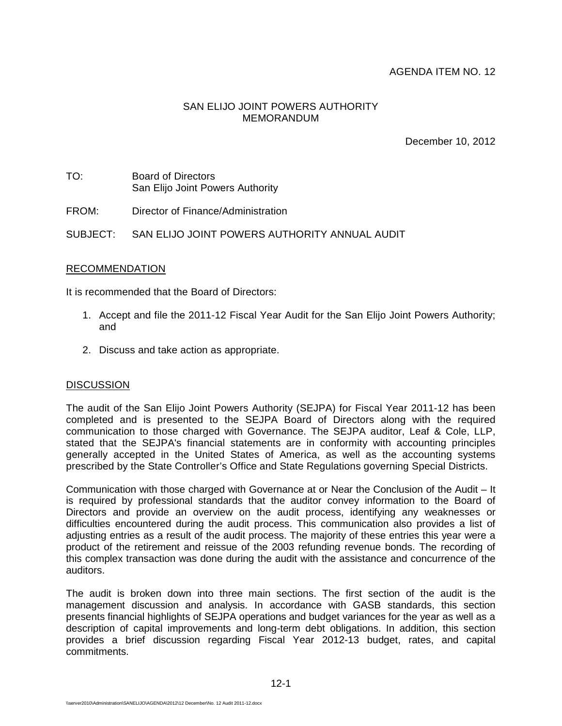#### AGENDA ITEM NO. 12

#### SAN ELIJO JOINT POWERS AUTHORITY MEMORANDUM

December 10, 2012

- TO: Board of Directors San Elijo Joint Powers Authority
- FROM: Director of Finance/Administration

SUBJECT: SAN ELIJO JOINT POWERS AUTHORITY ANNUAL AUDIT

#### RECOMMENDATION

It is recommended that the Board of Directors:

- 1. Accept and file the 2011-12 Fiscal Year Audit for the San Elijo Joint Powers Authority; and
- 2. Discuss and take action as appropriate.

#### **DISCUSSION**

The audit of the San Elijo Joint Powers Authority (SEJPA) for Fiscal Year 2011-12 has been completed and is presented to the SEJPA Board of Directors along with the required communication to those charged with Governance. The SEJPA auditor, Leaf & Cole, LLP, stated that the SEJPA's financial statements are in conformity with accounting principles generally accepted in the United States of America, as well as the accounting systems prescribed by the State Controller's Office and State Regulations governing Special Districts.

Communication with those charged with Governance at or Near the Conclusion of the Audit – It is required by professional standards that the auditor convey information to the Board of Directors and provide an overview on the audit process, identifying any weaknesses or difficulties encountered during the audit process. This communication also provides a list of adjusting entries as a result of the audit process. The majority of these entries this year were a product of the retirement and reissue of the 2003 refunding revenue bonds. The recording of this complex transaction was done during the audit with the assistance and concurrence of the auditors.

The audit is broken down into three main sections. The first section of the audit is the management discussion and analysis. In accordance with GASB standards, this section presents financial highlights of SEJPA operations and budget variances for the year as well as a description of capital improvements and long-term debt obligations. In addition, this section provides a brief discussion regarding Fiscal Year 2012-13 budget, rates, and capital commitments.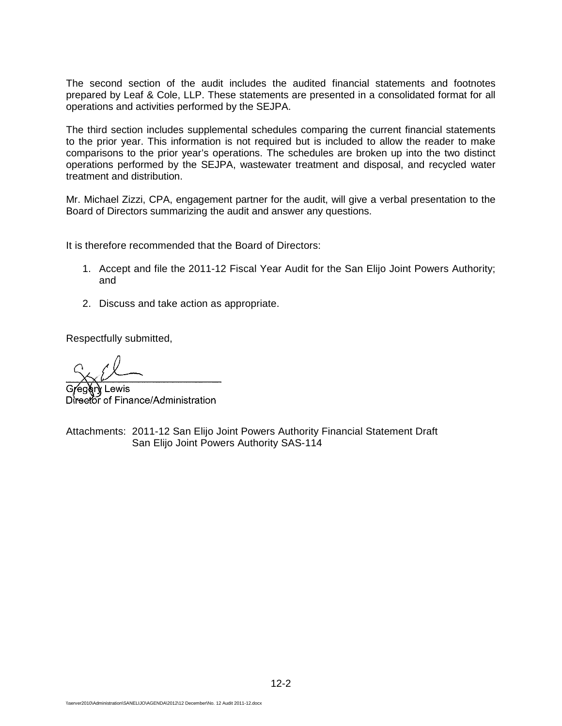The second section of the audit includes the audited financial statements and footnotes prepared by Leaf & Cole, LLP. These statements are presented in a consolidated format for all operations and activities performed by the SEJPA.

The third section includes supplemental schedules comparing the current financial statements to the prior year. This information is not required but is included to allow the reader to make comparisons to the prior year's operations. The schedules are broken up into the two distinct operations performed by the SEJPA, wastewater treatment and disposal, and recycled water treatment and distribution.

Mr. Michael Zizzi, CPA, engagement partner for the audit, will give a verbal presentation to the Board of Directors summarizing the audit and answer any questions.

It is therefore recommended that the Board of Directors:

- 1. Accept and file the 2011-12 Fiscal Year Audit for the San Elijo Joint Powers Authority; and
- 2. Discuss and take action as appropriate.

Respectfully submitted,

Lewis Director of Finance/Administration

Attachments: 2011-12 San Elijo Joint Powers Authority Financial Statement Draft San Elijo Joint Powers Authority SAS-114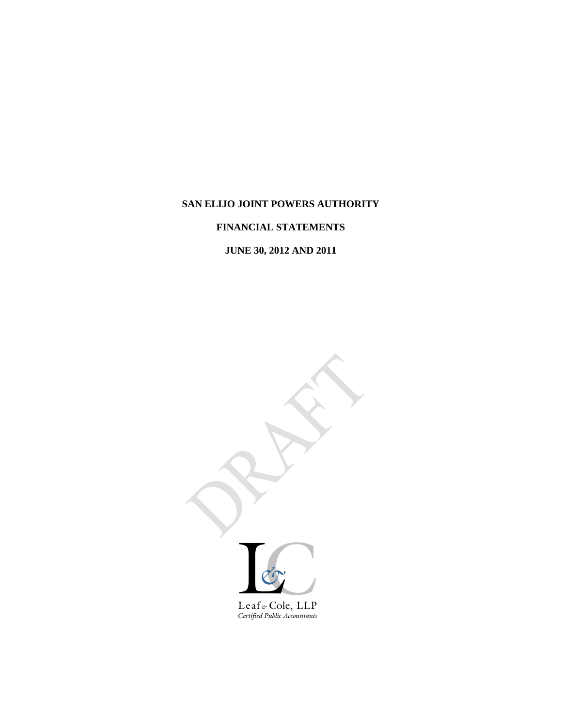# **SAN ELIJO JOINT POWERS AUTHORITY**

# **FINANCIAL STATEMENTS**

# **JUNE 30, 2012 AND 2011**

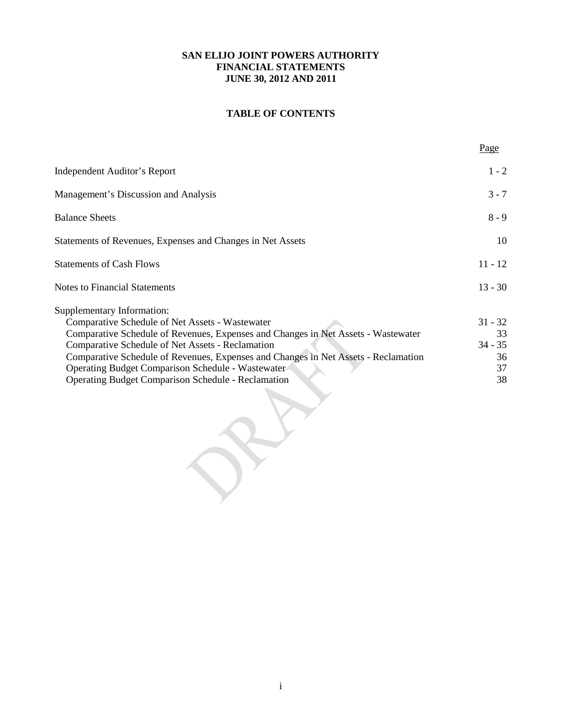# **TABLE OF CONTENTS**

| <b>Independent Auditor's Report</b>                                                | $1 - 2$   |
|------------------------------------------------------------------------------------|-----------|
| Management's Discussion and Analysis                                               | $3 - 7$   |
| <b>Balance Sheets</b>                                                              | $8 - 9$   |
| Statements of Revenues, Expenses and Changes in Net Assets                         | 10        |
| <b>Statements of Cash Flows</b>                                                    | $11 - 12$ |
| <b>Notes to Financial Statements</b>                                               | $13 - 30$ |
| Supplementary Information:                                                         |           |
| Comparative Schedule of Net Assets - Wastewater                                    | $31 - 32$ |
| Comparative Schedule of Revenues, Expenses and Changes in Net Assets - Wastewater  | 33        |
| Comparative Schedule of Net Assets - Reclamation                                   | $34 - 35$ |
| Comparative Schedule of Revenues, Expenses and Changes in Net Assets - Reclamation | 36        |
| <b>Operating Budget Comparison Schedule - Wastewater</b>                           | 37        |
| <b>Operating Budget Comparison Schedule - Reclamation</b>                          | 38        |
|                                                                                    |           |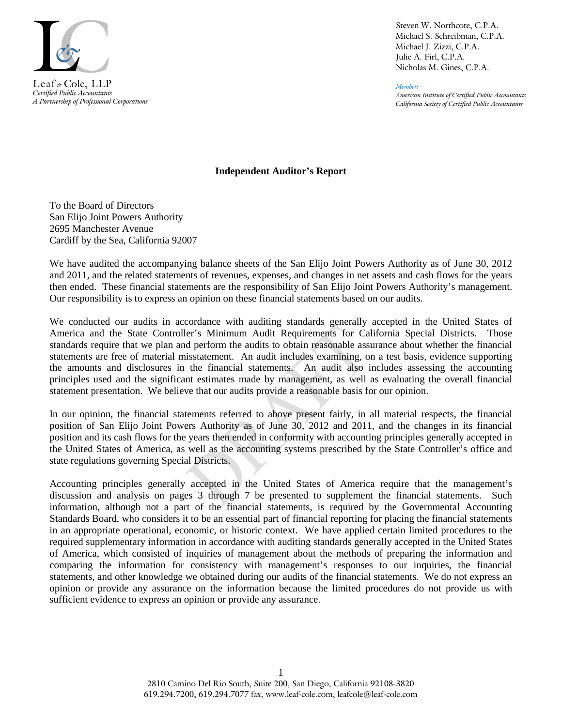

*Certified Public Accountants A Partnership of Professional Corporations* Steven W. Northcote, C.P.A. Michael S. Schreibman, C.P.A. Michael J. Zizzi, C.P.A. Julie A. Firl, C.P.A. Nicholas M. Gines, C.P.A.

*Members American Institute of Certified Public Accountants California Society of Certified Public Accountants*

#### **Independent Auditor's Report**

To the Board of Directors San Elijo Joint Powers Authority 2695 Manchester Avenue Cardiff by the Sea, California 92007

We have audited the accompanying balance sheets of the San Elijo Joint Powers Authority as of June 30, 2012 and 2011, and the related statements of revenues, expenses, and changes in net assets and cash flows for the years then ended. These financial statements are the responsibility of San Elijo Joint Powers Authority's management. Our responsibility is to express an opinion on these financial statements based on our audits.

We conducted our audits in accordance with auditing standards generally accepted in the United States of America and the State Controller's Minimum Audit Requirements for California Special Districts. Those standards require that we plan and perform the audits to obtain reasonable assurance about whether the financial statements are free of material misstatement. An audit includes examining, on a test basis, evidence supporting the amounts and disclosures in the financial statements. An audit also includes assessing the accounting principles used and the significant estimates made by management, as well as evaluating the overall financial statement presentation. We believe that our audits provide a reasonable basis for our opinion.

In our opinion, the financial statements referred to above present fairly, in all material respects, the financial position of San Elijo Joint Powers Authority as of June 30, 2012 and 2011, and the changes in its financial position and its cash flows for the years then ended in conformity with accounting principles generally accepted in the United States of America, as well as the accounting systems prescribed by the State Controller's office and state regulations governing Special Districts.

Accounting principles generally accepted in the United States of America require that the management's discussion and analysis on pages 3 through 7 be presented to supplement the financial statements. Such information, although not a part of the financial statements, is required by the Governmental Accounting Standards Board, who considers it to be an essential part of financial reporting for placing the financial statements in an appropriate operational, economic, or historic context. We have applied certain limited procedures to the required supplementary information in accordance with auditing standards generally accepted in the United States of America, which consisted of inquiries of management about the methods of preparing the information and comparing the information for consistency with management's responses to our inquiries, the financial statements, and other knowledge we obtained during our audits of the financial statements. We do not express an opinion or provide any assurance on the information because the limited procedures do not provide us with sufficient evidence to express an opinion or provide any assurance.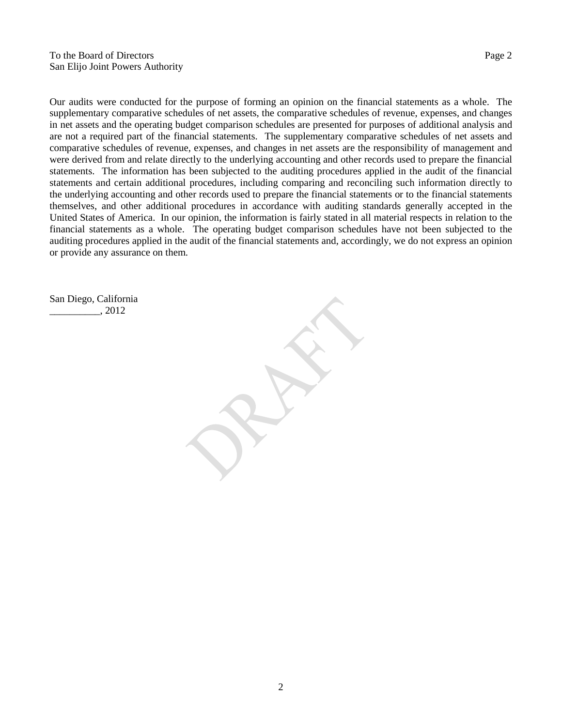Our audits were conducted for the purpose of forming an opinion on the financial statements as a whole. The supplementary comparative schedules of net assets, the comparative schedules of revenue, expenses, and changes in net assets and the operating budget comparison schedules are presented for purposes of additional analysis and are not a required part of the financial statements. The supplementary comparative schedules of net assets and comparative schedules of revenue, expenses, and changes in net assets are the responsibility of management and were derived from and relate directly to the underlying accounting and other records used to prepare the financial statements. The information has been subjected to the auditing procedures applied in the audit of the financial statements and certain additional procedures, including comparing and reconciling such information directly to the underlying accounting and other records used to prepare the financial statements or to the financial statements themselves, and other additional procedures in accordance with auditing standards generally accepted in the United States of America. In our opinion, the information is fairly stated in all material respects in relation to the financial statements as a whole. The operating budget comparison schedules have not been subjected to the auditing procedures applied in the audit of the financial statements and, accordingly, we do not express an opinion or provide any assurance on them.

San Diego, California \_\_\_\_\_\_\_\_\_\_, 2012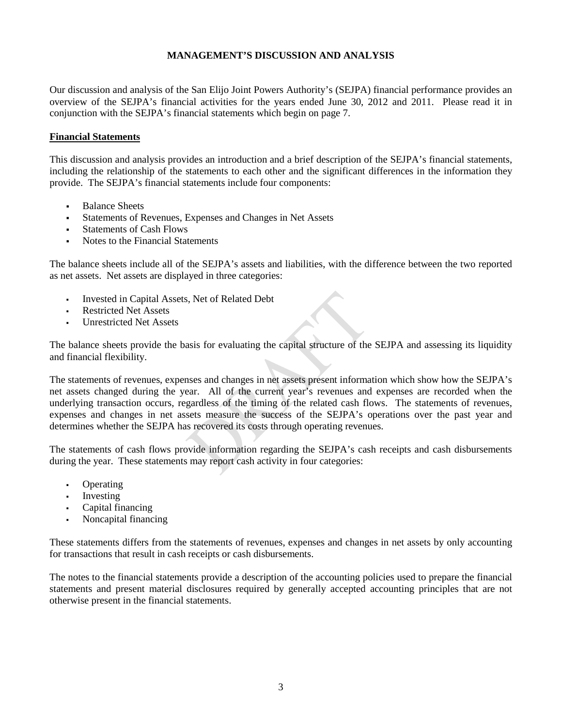Our discussion and analysis of the San Elijo Joint Powers Authority's (SEJPA) financial performance provides an overview of the SEJPA's financial activities for the years ended June 30, 2012 and 2011. Please read it in conjunction with the SEJPA's financial statements which begin on page 7.

#### **Financial Statements**

This discussion and analysis provides an introduction and a brief description of the SEJPA's financial statements, including the relationship of the statements to each other and the significant differences in the information they provide. The SEJPA's financial statements include four components:

- Balance Sheets
- Statements of Revenues, Expenses and Changes in Net Assets
- Statements of Cash Flows
- Notes to the Financial Statements

The balance sheets include all of the SEJPA's assets and liabilities, with the difference between the two reported as net assets. Net assets are displayed in three categories:

- Invested in Capital Assets, Net of Related Debt
- Restricted Net Assets
- Unrestricted Net Assets

The balance sheets provide the basis for evaluating the capital structure of the SEJPA and assessing its liquidity and financial flexibility.

The statements of revenues, expenses and changes in net assets present information which show how the SEJPA's net assets changed during the year. All of the current year's revenues and expenses are recorded when the underlying transaction occurs, regardless of the timing of the related cash flows. The statements of revenues, expenses and changes in net assets measure the success of the SEJPA's operations over the past year and determines whether the SEJPA has recovered its costs through operating revenues.

The statements of cash flows provide information regarding the SEJPA's cash receipts and cash disbursements during the year. These statements may report cash activity in four categories:

- Operating
- Investing
- Capital financing
- Noncapital financing

These statements differs from the statements of revenues, expenses and changes in net assets by only accounting for transactions that result in cash receipts or cash disbursements.

The notes to the financial statements provide a description of the accounting policies used to prepare the financial statements and present material disclosures required by generally accepted accounting principles that are not otherwise present in the financial statements.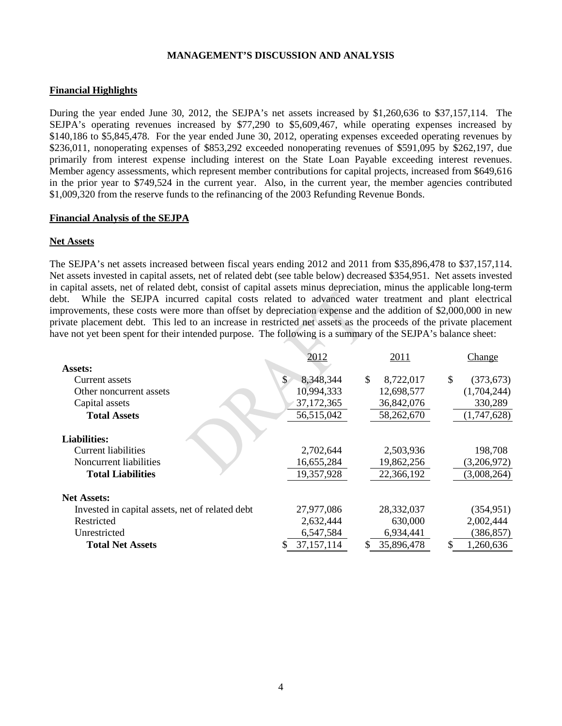#### **Financial Highlights**

During the year ended June 30, 2012, the SEJPA's net assets increased by \$1,260,636 to \$37,157,114. The SEJPA's operating revenues increased by \$77,290 to \$5,609,467, while operating expenses increased by \$140,186 to \$5,845,478. For the year ended June 30, 2012, operating expenses exceeded operating revenues by \$236,011, nonoperating expenses of \$853,292 exceeded nonoperating revenues of \$591,095 by \$262,197, due primarily from interest expense including interest on the State Loan Payable exceeding interest revenues. Member agency assessments, which represent member contributions for capital projects, increased from \$649,616 in the prior year to \$749,524 in the current year. Also, in the current year, the member agencies contributed \$1,009,320 from the reserve funds to the refinancing of the 2003 Refunding Revenue Bonds.

#### **Financial Analysis of the SEJPA**

#### **Net Assets**

The SEJPA's net assets increased between fiscal years ending 2012 and 2011 from \$35,896,478 to \$37,157,114. Net assets invested in capital assets, net of related debt (see table below) decreased \$354,951. Net assets invested in capital assets, net of related debt, consist of capital assets minus depreciation, minus the applicable long-term debt. While the SEJPA incurred capital costs related to advanced water treatment and plant electrical improvements, these costs were more than offset by depreciation expense and the addition of \$2,000,000 in new private placement debt. This led to an increase in restricted net assets as the proceeds of the private placement have not yet been spent for their intended purpose. The following is a summary of the SEJPA's balance sheet:

|                                                 | 2012            | 2011             | Change                      |
|-------------------------------------------------|-----------------|------------------|-----------------------------|
| Assets:                                         |                 |                  |                             |
| Current assets                                  | \$<br>8,348,344 | \$.<br>8,722,017 | $\mathcal{S}$<br>(373, 673) |
| Other noncurrent assets                         | 10,994,333      | 12,698,577       | (1,704,244)                 |
| Capital assets                                  | 37, 172, 365    | 36,842,076       | 330,289                     |
| <b>Total Assets</b>                             | 56,515,042      | 58,262,670       | (1,747,628)                 |
| <b>Liabilities:</b>                             |                 |                  |                             |
| <b>Current liabilities</b>                      | 2,702,644       | 2,503,936        | 198,708                     |
| Noncurrent liabilities                          | 16,655,284      | 19,862,256       | (3,206,972)                 |
| <b>Total Liabilities</b>                        | 19,357,928      | 22,366,192       | (3,008,264)                 |
| <b>Net Assets:</b>                              |                 |                  |                             |
| Invested in capital assets, net of related debt | 27,977,086      | 28,332,037       | (354, 951)                  |
| Restricted                                      | 2,632,444       | 630,000          | 2,002,444                   |
| Unrestricted                                    | 6,547,584       | 6,934,441        | (386, 857)                  |
| <b>Total Net Assets</b>                         | 37, 157, 114    | 35,896,478<br>S. | 1,260,636<br>S              |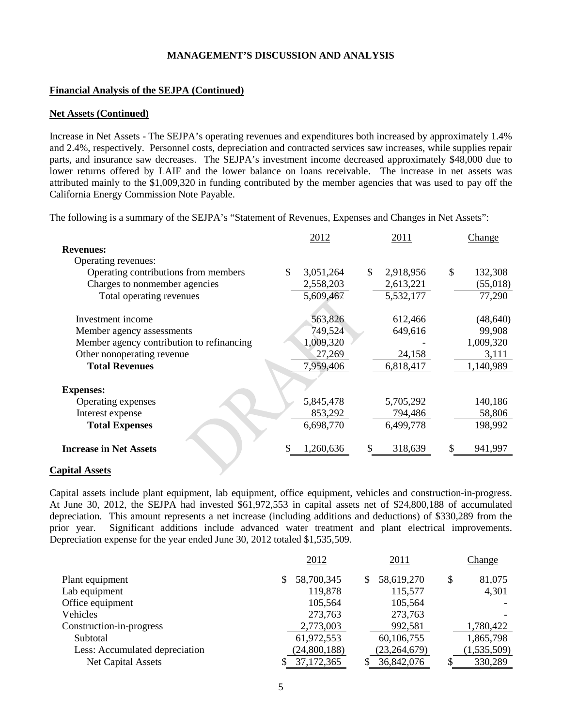#### **Financial Analysis of the SEJPA (Continued)**

#### **Net Assets (Continued)**

Increase in Net Assets - The SEJPA's operating revenues and expenditures both increased by approximately 1.4% and 2.4%, respectively. Personnel costs, depreciation and contracted services saw increases, while supplies repair parts, and insurance saw decreases. The SEJPA's investment income decreased approximately \$48,000 due to lower returns offered by LAIF and the lower balance on loans receivable. The increase in net assets was attributed mainly to the \$1,009,320 in funding contributed by the member agencies that was used to pay off the California Energy Commission Note Payable.

The following is a summary of the SEJPA's "Statement of Revenues, Expenses and Changes in Net Assets":

|                                           | 2012            |    | 2011      |    | Change    |
|-------------------------------------------|-----------------|----|-----------|----|-----------|
| <b>Revenues:</b>                          |                 |    |           |    |           |
| Operating revenues:                       |                 |    |           |    |           |
| Operating contributions from members      | \$<br>3,051,264 | \$ | 2,918,956 | \$ | 132,308   |
| Charges to nonmember agencies             | 2,558,203       |    | 2,613,221 |    | (55,018)  |
| Total operating revenues                  | 5,609,467       |    | 5,532,177 |    | 77,290    |
|                                           |                 |    |           |    |           |
| Investment income                         | 563,826         |    | 612,466   |    | (48, 640) |
| Member agency assessments                 | 749,524         |    | 649,616   |    | 99,908    |
| Member agency contribution to refinancing | 1,009,320       |    |           |    | 1,009,320 |
| Other nonoperating revenue                | 27,269          |    | 24,158    |    | 3,111     |
| <b>Total Revenues</b>                     | 7,959,406       |    | 6,818,417 |    | 1,140,989 |
|                                           |                 |    |           |    |           |
| <b>Expenses:</b>                          |                 |    |           |    |           |
| Operating expenses                        | 5,845,478       |    | 5,705,292 |    | 140,186   |
| Interest expense                          | 853,292         |    | 794,486   |    | 58,806    |
| <b>Total Expenses</b>                     | 6,698,770       |    | 6,499,778 |    | 198,992   |
| <b>Increase in Net Assets</b>             | \$<br>1,260,636 | S. | 318,639   | S  | 941,997   |

#### **Capital Assets**

Capital assets include plant equipment, lab equipment, office equipment, vehicles and construction-in-progress. At June 30, 2012, the SEJPA had invested \$61,972,553 in capital assets net of \$24,800,188 of accumulated depreciation. This amount represents a net increase (including additions and deductions) of \$330,289 from the prior year. Significant additions include advanced water treatment and plant electrical improvements. Depreciation expense for the year ended June 30, 2012 totaled \$1,535,509.

|                                | 2012         |   | 2011           |    | <b>Change</b> |
|--------------------------------|--------------|---|----------------|----|---------------|
| Plant equipment                | 58,700,345   | S | 58,619,270     | \$ | 81,075        |
| Lab equipment                  | 119,878      |   | 115,577        |    | 4,301         |
| Office equipment               | 105,564      |   | 105,564        |    |               |
| Vehicles                       | 273,763      |   | 273,763        |    |               |
| Construction-in-progress       | 2,773,003    |   | 992,581        |    | 1,780,422     |
| Subtotal                       | 61,972,553   |   | 60,106,755     |    | 1,865,798     |
| Less: Accumulated depreciation | (24,800,188) |   | (23, 264, 679) |    | (1,535,509)   |
| <b>Net Capital Assets</b>      | 37,172,365   |   | 36,842,076     | S  | 330,289       |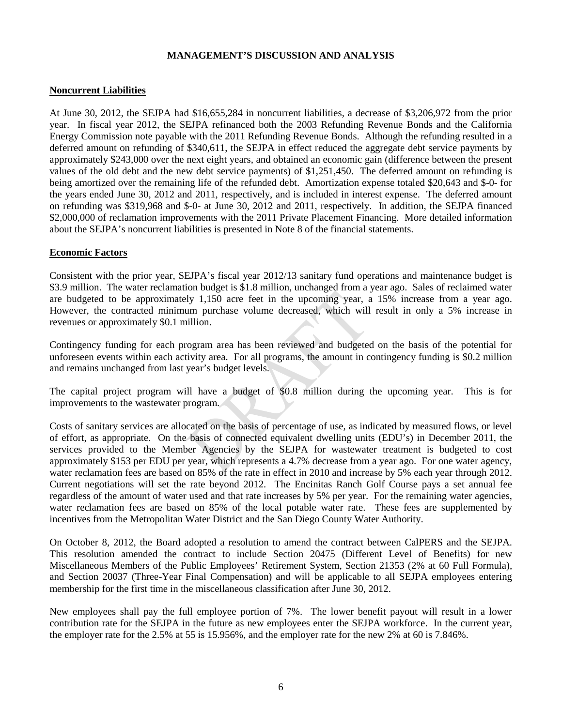#### **Noncurrent Liabilities**

At June 30, 2012, the SEJPA had \$16,655,284 in noncurrent liabilities, a decrease of \$3,206,972 from the prior year. In fiscal year 2012, the SEJPA refinanced both the 2003 Refunding Revenue Bonds and the California Energy Commission note payable with the 2011 Refunding Revenue Bonds. Although the refunding resulted in a deferred amount on refunding of \$340,611, the SEJPA in effect reduced the aggregate debt service payments by approximately \$243,000 over the next eight years, and obtained an economic gain (difference between the present values of the old debt and the new debt service payments) of \$1,251,450. The deferred amount on refunding is being amortized over the remaining life of the refunded debt. Amortization expense totaled \$20,643 and \$-0- for the years ended June 30, 2012 and 2011, respectively, and is included in interest expense. The deferred amount on refunding was \$319,968 and \$-0- at June 30, 2012 and 2011, respectively. In addition, the SEJPA financed \$2,000,000 of reclamation improvements with the 2011 Private Placement Financing. More detailed information about the SEJPA's noncurrent liabilities is presented in Note 8 of the financial statements.

#### **Economic Factors**

Consistent with the prior year, SEJPA's fiscal year 2012/13 sanitary fund operations and maintenance budget is \$3.9 million. The water reclamation budget is \$1.8 million, unchanged from a year ago. Sales of reclaimed water are budgeted to be approximately 1,150 acre feet in the upcoming year, a 15% increase from a year ago. However, the contracted minimum purchase volume decreased, which will result in only a 5% increase in revenues or approximately \$0.1 million.

Contingency funding for each program area has been reviewed and budgeted on the basis of the potential for unforeseen events within each activity area. For all programs, the amount in contingency funding is \$0.2 million and remains unchanged from last year's budget levels.

The capital project program will have a budget of \$0.8 million during the upcoming year. This is for improvements to the wastewater program.

Costs of sanitary services are allocated on the basis of percentage of use, as indicated by measured flows, or level of effort, as appropriate. On the basis of connected equivalent dwelling units (EDU's) in December 2011, the services provided to the Member Agencies by the SEJPA for wastewater treatment is budgeted to cost approximately \$153 per EDU per year, which represents a 4.7% decrease from a year ago. For one water agency, water reclamation fees are based on 85% of the rate in effect in 2010 and increase by 5% each year through 2012. Current negotiations will set the rate beyond 2012. The Encinitas Ranch Golf Course pays a set annual fee regardless of the amount of water used and that rate increases by 5% per year. For the remaining water agencies, water reclamation fees are based on 85% of the local potable water rate. These fees are supplemented by incentives from the Metropolitan Water District and the San Diego County Water Authority.

On October 8, 2012, the Board adopted a resolution to amend the contract between CalPERS and the SEJPA. This resolution amended the contract to include Section 20475 (Different Level of Benefits) for new Miscellaneous Members of the Public Employees' Retirement System, Section 21353 (2% at 60 Full Formula), and Section 20037 (Three-Year Final Compensation) and will be applicable to all SEJPA employees entering membership for the first time in the miscellaneous classification after June 30, 2012.

New employees shall pay the full employee portion of 7%. The lower benefit payout will result in a lower contribution rate for the SEJPA in the future as new employees enter the SEJPA workforce. In the current year, the employer rate for the 2.5% at 55 is 15.956%, and the employer rate for the new 2% at 60 is 7.846%.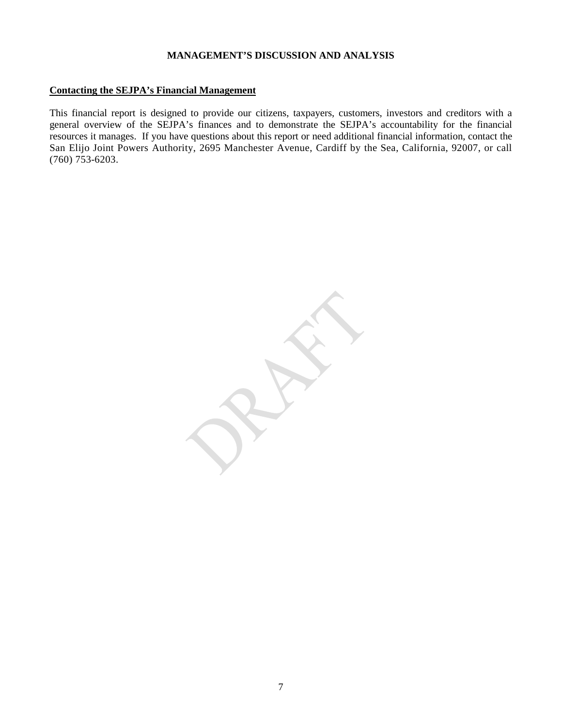#### **Contacting the SEJPA's Financial Management**

This financial report is designed to provide our citizens, taxpayers, customers, investors and creditors with a general overview of the SEJPA's finances and to demonstrate the SEJPA's accountability for the financial resources it manages. If you have questions about this report or need additional financial information, contact the San Elijo Joint Powers Authority, 2695 Manchester Avenue, Cardiff by the Sea, California, 92007, or call (760) 753-6203.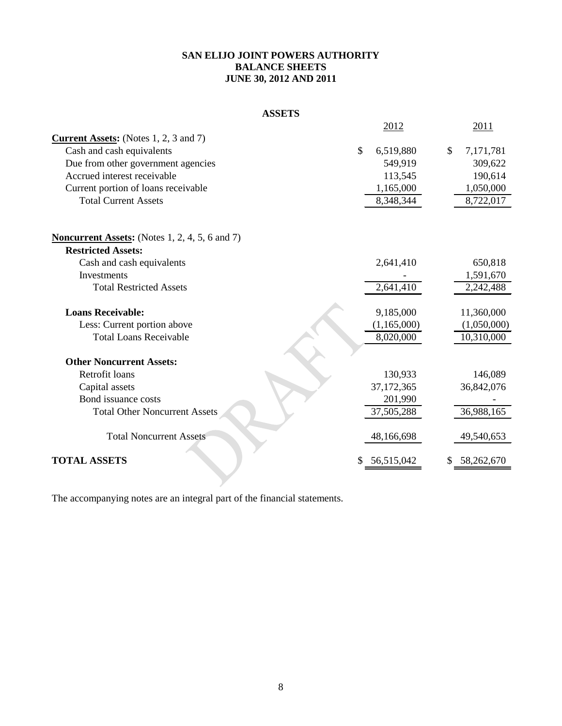#### **SAN ELIJO JOINT POWERS AUTHORITY BALANCE SHEETS JUNE 30, 2012 AND 2011**

|  | <b>ASSETS</b> |  |  |
|--|---------------|--|--|
|  |               |  |  |

|                                                       | 2012                       | 2011             |
|-------------------------------------------------------|----------------------------|------------------|
| <b>Current Assets:</b> (Notes 1, 2, 3 and 7)          |                            |                  |
| Cash and cash equivalents                             | $\mathcal{S}$<br>6,519,880 | \$<br>7,171,781  |
| Due from other government agencies                    | 549,919                    | 309,622          |
| Accrued interest receivable                           | 113,545                    | 190,614          |
| Current portion of loans receivable                   | 1,165,000                  | 1,050,000        |
| <b>Total Current Assets</b>                           | 8,348,344                  | 8,722,017        |
| <b>Noncurrent Assets:</b> (Notes 1, 2, 4, 5, 6 and 7) |                            |                  |
| <b>Restricted Assets:</b>                             |                            |                  |
| Cash and cash equivalents                             | 2,641,410                  | 650,818          |
| Investments                                           |                            | 1,591,670        |
| <b>Total Restricted Assets</b>                        | 2,641,410                  | 2,242,488        |
| <b>Loans Receivable:</b>                              | 9,185,000                  | 11,360,000       |
| Less: Current portion above                           | (1, 165, 000)              | (1,050,000)      |
| <b>Total Loans Receivable</b>                         | 8,020,000                  | 10,310,000       |
| <b>Other Noncurrent Assets:</b>                       |                            |                  |
| Retrofit loans                                        | 130,933                    | 146,089          |
| Capital assets                                        | 37,172,365                 | 36,842,076       |
| Bond issuance costs                                   | 201,990                    |                  |
| <b>Total Other Noncurrent Assets</b>                  | 37,505,288                 | 36,988,165       |
| <b>Total Noncurrent Assets</b>                        | 48,166,698                 | 49,540,653       |
| <b>TOTAL ASSETS</b>                                   | \$<br>56,515,042           | \$<br>58,262,670 |
|                                                       |                            |                  |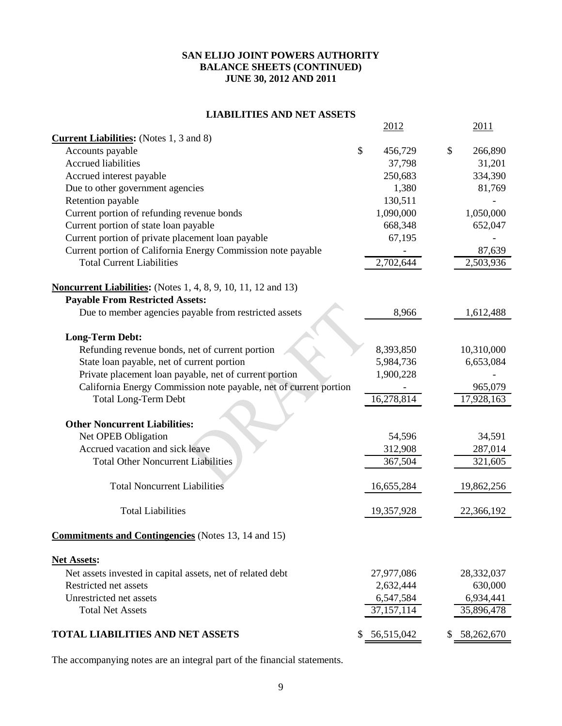#### **SAN ELIJO JOINT POWERS AUTHORITY BALANCE SHEETS (CONTINUED) JUNE 30, 2012 AND 2011**

### **LIABILITIES AND NET ASSETS**

|                                                                      | 2012             | 2011             |
|----------------------------------------------------------------------|------------------|------------------|
| <b>Current Liabilities:</b> (Notes 1, 3 and 8)                       |                  |                  |
| Accounts payable                                                     | \$<br>456,729    | \$<br>266,890    |
| <b>Accrued liabilities</b>                                           | 37,798           | 31,201           |
| Accrued interest payable                                             | 250,683          | 334,390          |
| Due to other government agencies                                     | 1,380            | 81,769           |
| Retention payable                                                    | 130,511          |                  |
| Current portion of refunding revenue bonds                           | 1,090,000        | 1,050,000        |
| Current portion of state loan payable                                | 668,348          | 652,047          |
| Current portion of private placement loan payable                    | 67,195           |                  |
| Current portion of California Energy Commission note payable         |                  | 87,639           |
| <b>Total Current Liabilities</b>                                     | 2,702,644        | 2,503,936        |
| <b>Noncurrent Liabilities:</b> (Notes 1, 4, 8, 9, 10, 11, 12 and 13) |                  |                  |
| <b>Payable From Restricted Assets:</b>                               |                  |                  |
| Due to member agencies payable from restricted assets                | 8,966            | 1,612,488        |
| <b>Long-Term Debt:</b>                                               |                  |                  |
| Refunding revenue bonds, net of current portion                      | 8,393,850        | 10,310,000       |
| State loan payable, net of current portion                           | 5,984,736        | 6,653,084        |
| Private placement loan payable, net of current portion               | 1,900,228        |                  |
| California Energy Commission note payable, net of current portion    |                  | 965,079          |
| <b>Total Long-Term Debt</b>                                          | 16,278,814       | 17,928,163       |
| <b>Other Noncurrent Liabilities:</b>                                 |                  |                  |
| Net OPEB Obligation                                                  | 54,596           | 34,591           |
| Accrued vacation and sick leave                                      | 312,908          | 287,014          |
| <b>Total Other Noncurrent Liabilities</b>                            | 367,504          | 321,605          |
|                                                                      |                  |                  |
| <b>Total Noncurrent Liabilities</b>                                  | 16,655,284       | 19,862,256       |
| <b>Total Liabilities</b>                                             | 19,357,928       | 22,366,192       |
| <b>Commitments and Contingencies</b> (Notes 13, 14 and 15)           |                  |                  |
| <b>Net Assets:</b>                                                   |                  |                  |
| Net assets invested in capital assets, net of related debt           | 27,977,086       | 28,332,037       |
| Restricted net assets                                                | 2,632,444        | 630,000          |
| Unrestricted net assets                                              | 6,547,584        | 6,934,441        |
| <b>Total Net Assets</b>                                              | 37,157,114       | 35,896,478       |
|                                                                      |                  |                  |
| <b>TOTAL LIABILITIES AND NET ASSETS</b>                              | \$<br>56,515,042 | \$<br>58,262,670 |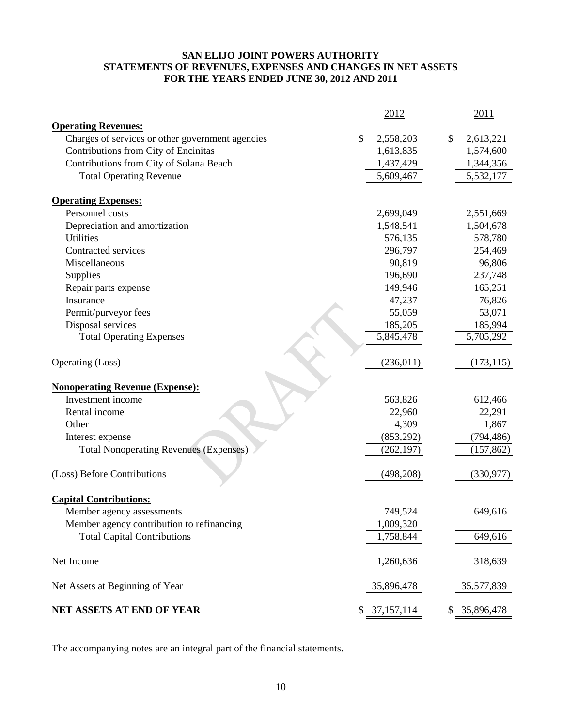#### **SAN ELIJO JOINT POWERS AUTHORITY STATEMENTS OF REVENUES, EXPENSES AND CHANGES IN NET ASSETS FOR THE YEARS ENDED JUNE 30, 2012 AND 2011**

|                                                             | 2012               | 2011             |
|-------------------------------------------------------------|--------------------|------------------|
| <b>Operating Revenues:</b>                                  |                    |                  |
| Charges of services or other government agencies            | \$<br>2,558,203    | \$<br>2,613,221  |
| Contributions from City of Encinitas                        | 1,613,835          | 1,574,600        |
| Contributions from City of Solana Beach                     | 1,437,429          | 1,344,356        |
| <b>Total Operating Revenue</b>                              | 5,609,467          | 5,532,177        |
| <b>Operating Expenses:</b>                                  |                    |                  |
| Personnel costs                                             | 2,699,049          | 2,551,669        |
| Depreciation and amortization                               | 1,548,541          | 1,504,678        |
| <b>Utilities</b>                                            | 576,135            | 578,780          |
| Contracted services                                         | 296,797            | 254,469          |
| Miscellaneous                                               | 90,819             | 96,806           |
| Supplies                                                    | 196,690            | 237,748          |
| Repair parts expense                                        | 149,946            | 165,251          |
| Insurance                                                   | 47,237             | 76,826           |
| Permit/purveyor fees                                        | 55,059             | 53,071           |
| Disposal services                                           | 185,205            | 185,994          |
| <b>Total Operating Expenses</b>                             | 5,845,478          | 5,705,292        |
| Operating (Loss)                                            | (236, 011)         | (173, 115)       |
|                                                             |                    |                  |
| <b>Nonoperating Revenue (Expense):</b><br>Investment income | 563,826            | 612,466          |
| Rental income                                               | 22,960             | 22,291           |
| Other                                                       | 4,309              | 1,867            |
| Interest expense                                            | (853,292)          | (794, 486)       |
| <b>Total Nonoperating Revenues (Expenses)</b>               | (262, 197)         | (157, 862)       |
|                                                             |                    |                  |
| (Loss) Before Contributions                                 | (498, 208)         | (330, 977)       |
| <b>Capital Contributions:</b>                               |                    |                  |
| Member agency assessments                                   | 749,524            | 649,616          |
| Member agency contribution to refinancing                   | 1,009,320          |                  |
| <b>Total Capital Contributions</b>                          | 1,758,844          | 649,616          |
| Net Income                                                  | 1,260,636          | 318,639          |
| Net Assets at Beginning of Year                             | 35,896,478         | 35,577,839       |
| NET ASSETS AT END OF YEAR                                   | \$<br>37, 157, 114 | \$<br>35,896,478 |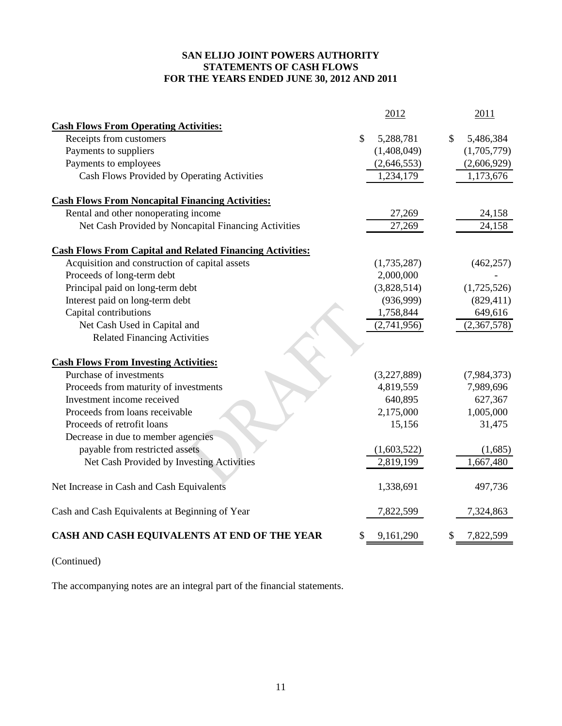#### **SAN ELIJO JOINT POWERS AUTHORITY STATEMENTS OF CASH FLOWS FOR THE YEARS ENDED JUNE 30, 2012 AND 2011**

|                                                                  | 2012                       | 2011            |
|------------------------------------------------------------------|----------------------------|-----------------|
| <b>Cash Flows From Operating Activities:</b>                     |                            |                 |
| Receipts from customers                                          | $\mathcal{S}$<br>5,288,781 | \$<br>5,486,384 |
| Payments to suppliers                                            | (1,408,049)                | (1,705,779)     |
| Payments to employees                                            | (2,646,553)                | (2,606,929)     |
| Cash Flows Provided by Operating Activities                      | 1,234,179                  | 1,173,676       |
|                                                                  |                            |                 |
| <b>Cash Flows From Noncapital Financing Activities:</b>          |                            |                 |
| Rental and other nonoperating income                             | 27,269                     | 24,158          |
| Net Cash Provided by Noncapital Financing Activities             | 27,269                     | 24,158          |
| <b>Cash Flows From Capital and Related Financing Activities:</b> |                            |                 |
| Acquisition and construction of capital assets                   | (1,735,287)                | (462, 257)      |
| Proceeds of long-term debt                                       | 2,000,000                  |                 |
| Principal paid on long-term debt                                 | (3,828,514)                | (1,725,526)     |
| Interest paid on long-term debt                                  | (936,999)                  | (829, 411)      |
| Capital contributions                                            | 1,758,844                  | 649,616         |
| Net Cash Used in Capital and                                     | (2,741,956)                | (2,367,578)     |
| <b>Related Financing Activities</b>                              |                            |                 |
|                                                                  |                            |                 |
| <b>Cash Flows From Investing Activities:</b>                     |                            |                 |
| Purchase of investments                                          | (3,227,889)                | (7,984,373)     |
| Proceeds from maturity of investments                            | 4,819,559                  | 7,989,696       |
| Investment income received                                       | 640,895                    | 627,367         |
| Proceeds from loans receivable                                   | 2,175,000                  | 1,005,000       |
| Proceeds of retrofit loans                                       | 15,156                     | 31,475          |
| Decrease in due to member agencies                               |                            |                 |
| payable from restricted assets                                   | (1,603,522)                | (1,685)         |
| Net Cash Provided by Investing Activities                        | 2,819,199                  | 1,667,480       |
| Net Increase in Cash and Cash Equivalents                        | 1,338,691                  | 497,736         |
| Cash and Cash Equivalents at Beginning of Year                   | 7,822,599                  | 7,324,863       |
| CASH AND CASH EQUIVALENTS AT END OF THE YEAR                     | \$<br>9,161,290            | 7,822,599       |

(Continued)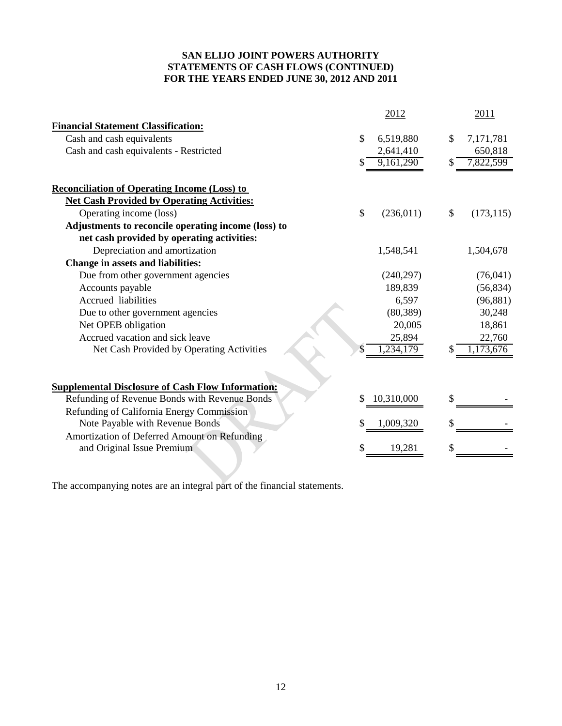#### **SAN ELIJO JOINT POWERS AUTHORITY STATEMENTS OF CASH FLOWS (CONTINUED) FOR THE YEARS ENDED JUNE 30, 2012 AND 2011**

|                                                          |    | 2012       |    | 2011       |
|----------------------------------------------------------|----|------------|----|------------|
| <b>Financial Statement Classification:</b>               |    |            |    |            |
| Cash and cash equivalents                                | \$ | 6,519,880  | S  | 7,171,781  |
| Cash and cash equivalents - Restricted                   |    | 2,641,410  |    | 650,818    |
|                                                          | S  | 9,161,290  |    | 7,822,599  |
|                                                          |    |            |    |            |
| <b>Reconciliation of Operating Income (Loss) to</b>      |    |            |    |            |
| <b>Net Cash Provided by Operating Activities:</b>        |    |            |    |            |
| Operating income (loss)                                  | \$ | (236, 011) | \$ | (173, 115) |
| Adjustments to reconcile operating income (loss) to      |    |            |    |            |
| net cash provided by operating activities:               |    |            |    |            |
| Depreciation and amortization                            |    | 1,548,541  |    | 1,504,678  |
| <b>Change in assets and liabilities:</b>                 |    |            |    |            |
| Due from other government agencies                       |    | (240, 297) |    | (76,041)   |
| Accounts payable                                         |    | 189,839    |    | (56, 834)  |
| <b>Accrued</b> liabilities                               |    | 6,597      |    | (96, 881)  |
| Due to other government agencies                         |    | (80, 389)  |    | 30,248     |
| Net OPEB obligation                                      |    | 20,005     |    | 18,861     |
| Accrued vacation and sick leave                          |    | 25,894     |    | 22,760     |
| Net Cash Provided by Operating Activities                |    | , 234, 179 |    | 1,173,676  |
|                                                          |    |            |    |            |
| <b>Supplemental Disclosure of Cash Flow Information:</b> |    |            |    |            |
| Refunding of Revenue Bonds with Revenue Bonds            | \$ | 10,310,000 |    |            |
| Refunding of California Energy Commission                |    |            |    |            |
| Note Payable with Revenue Bonds                          | \$ | 1,009,320  |    |            |
| Amortization of Deferred Amount on Refunding             |    |            |    |            |
| and Original Issue Premium                               | S  | 19,281     |    |            |
|                                                          |    |            |    |            |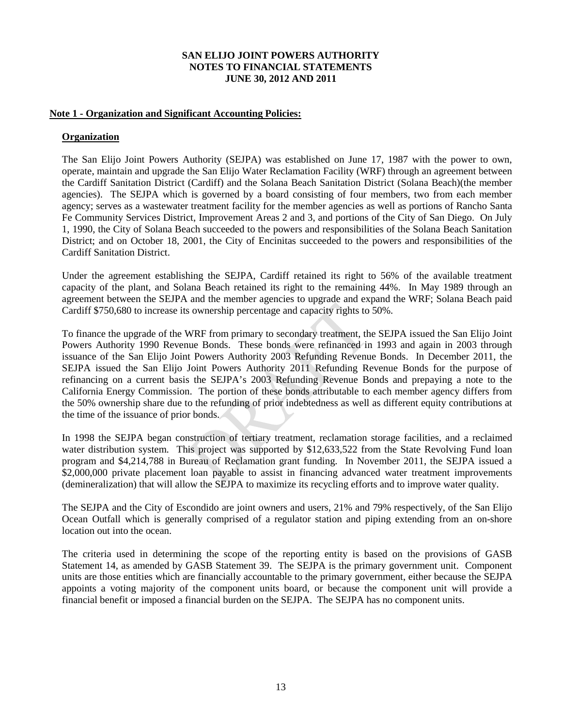#### **Note 1 - Organization and Significant Accounting Policies:**

#### **Organization**

The San Elijo Joint Powers Authority (SEJPA) was established on June 17, 1987 with the power to own, operate, maintain and upgrade the San Elijo Water Reclamation Facility (WRF) through an agreement between the Cardiff Sanitation District (Cardiff) and the Solana Beach Sanitation District (Solana Beach)(the member agencies). The SEJPA which is governed by a board consisting of four members, two from each member agency; serves as a wastewater treatment facility for the member agencies as well as portions of Rancho Santa Fe Community Services District, Improvement Areas 2 and 3, and portions of the City of San Diego. On July 1, 1990, the City of Solana Beach succeeded to the powers and responsibilities of the Solana Beach Sanitation District; and on October 18, 2001, the City of Encinitas succeeded to the powers and responsibilities of the Cardiff Sanitation District.

Under the agreement establishing the SEJPA, Cardiff retained its right to 56% of the available treatment capacity of the plant, and Solana Beach retained its right to the remaining 44%. In May 1989 through an agreement between the SEJPA and the member agencies to upgrade and expand the WRF; Solana Beach paid Cardiff \$750,680 to increase its ownership percentage and capacity rights to 50%.

To finance the upgrade of the WRF from primary to secondary treatment, the SEJPA issued the San Elijo Joint Powers Authority 1990 Revenue Bonds. These bonds were refinanced in 1993 and again in 2003 through issuance of the San Elijo Joint Powers Authority 2003 Refunding Revenue Bonds. In December 2011, the SEJPA issued the San Elijo Joint Powers Authority 2011 Refunding Revenue Bonds for the purpose of refinancing on a current basis the SEJPA's 2003 Refunding Revenue Bonds and prepaying a note to the California Energy Commission. The portion of these bonds attributable to each member agency differs from the 50% ownership share due to the refunding of prior indebtedness as well as different equity contributions at the time of the issuance of prior bonds.

In 1998 the SEJPA began construction of tertiary treatment, reclamation storage facilities, and a reclaimed water distribution system. This project was supported by \$12,633,522 from the State Revolving Fund loan program and \$4,214,788 in Bureau of Reclamation grant funding. In November 2011, the SEJPA issued a \$2,000,000 private placement loan payable to assist in financing advanced water treatment improvements (demineralization) that will allow the SEJPA to maximize its recycling efforts and to improve water quality.

The SEJPA and the City of Escondido are joint owners and users, 21% and 79% respectively, of the San Elijo Ocean Outfall which is generally comprised of a regulator station and piping extending from an on-shore location out into the ocean.

The criteria used in determining the scope of the reporting entity is based on the provisions of GASB Statement 14, as amended by GASB Statement 39. The SEJPA is the primary government unit. Component units are those entities which are financially accountable to the primary government, either because the SEJPA appoints a voting majority of the component units board, or because the component unit will provide a financial benefit or imposed a financial burden on the SEJPA. The SEJPA has no component units.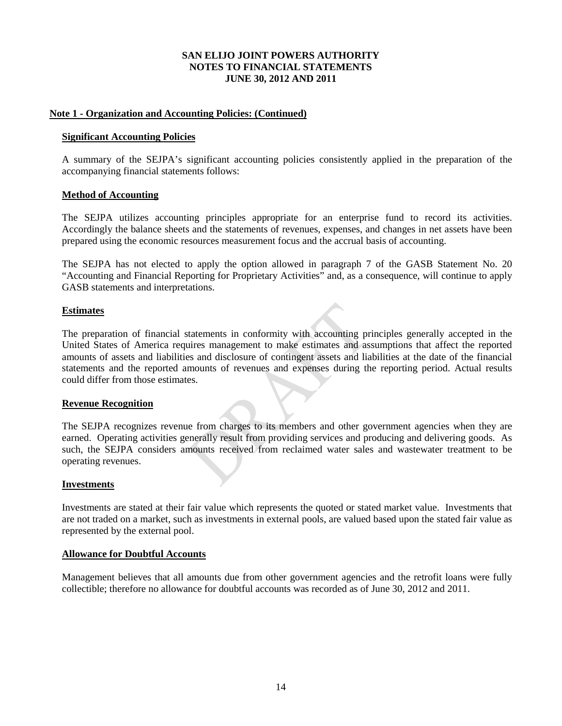#### **Note 1 - Organization and Accounting Policies: (Continued)**

#### **Significant Accounting Policies**

A summary of the SEJPA's significant accounting policies consistently applied in the preparation of the accompanying financial statements follows:

#### **Method of Accounting**

The SEJPA utilizes accounting principles appropriate for an enterprise fund to record its activities. Accordingly the balance sheets and the statements of revenues, expenses, and changes in net assets have been prepared using the economic resources measurement focus and the accrual basis of accounting.

The SEJPA has not elected to apply the option allowed in paragraph 7 of the GASB Statement No. 20 "Accounting and Financial Reporting for Proprietary Activities" and, as a consequence, will continue to apply GASB statements and interpretations.

#### **Estimates**

The preparation of financial statements in conformity with accounting principles generally accepted in the United States of America requires management to make estimates and assumptions that affect the reported amounts of assets and liabilities and disclosure of contingent assets and liabilities at the date of the financial statements and the reported amounts of revenues and expenses during the reporting period. Actual results could differ from those estimates.

#### **Revenue Recognition**

The SEJPA recognizes revenue from charges to its members and other government agencies when they are earned. Operating activities generally result from providing services and producing and delivering goods. As such, the SEJPA considers amounts received from reclaimed water sales and wastewater treatment to be operating revenues.

#### **Investments**

Investments are stated at their fair value which represents the quoted or stated market value. Investments that are not traded on a market, such as investments in external pools, are valued based upon the stated fair value as represented by the external pool.

#### **Allowance for Doubtful Accounts**

Management believes that all amounts due from other government agencies and the retrofit loans were fully collectible; therefore no allowance for doubtful accounts was recorded as of June 30, 2012 and 2011.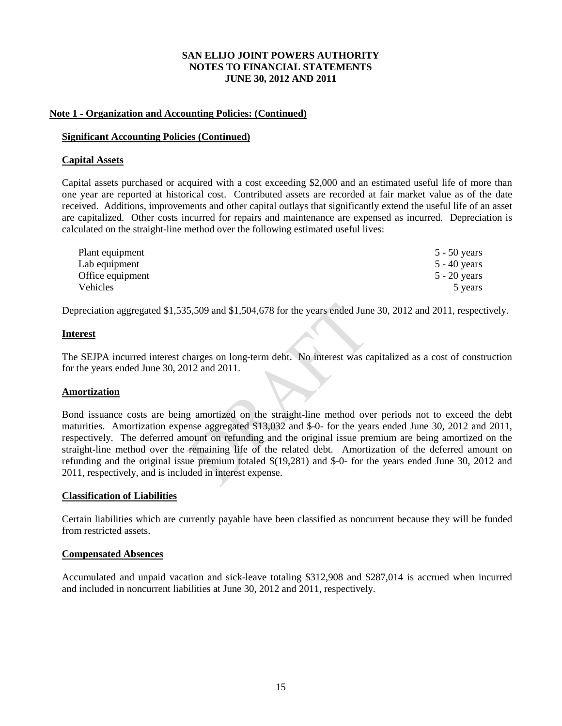#### **Note 1 - Organization and Accounting Policies: (Continued)**

#### **Significant Accounting Policies (Continued)**

#### **Capital Assets**

Capital assets purchased or acquired with a cost exceeding \$2,000 and an estimated useful life of more than one year are reported at historical cost. Contributed assets are recorded at fair market value as of the date received. Additions, improvements and other capital outlays that significantly extend the useful life of an asset are capitalized. Other costs incurred for repairs and maintenance are expensed as incurred. Depreciation is calculated on the straight-line method over the following estimated useful lives:

| Plant equipment  | $5 - 50$ years |
|------------------|----------------|
| Lab equipment    | $5 - 40$ years |
| Office equipment | $5 - 20$ years |
| Vehicles         | 5 years        |

Depreciation aggregated \$1,535,509 and \$1,504,678 for the years ended June 30, 2012 and 2011, respectively.

#### **Interest**

The SEJPA incurred interest charges on long-term debt. No interest was capitalized as a cost of construction for the years ended June 30, 2012 and 2011.

#### **Amortization**

Bond issuance costs are being amortized on the straight-line method over periods not to exceed the debt maturities. Amortization expense aggregated \$13,032 and \$-0- for the years ended June 30, 2012 and 2011, respectively. The deferred amount on refunding and the original issue premium are being amortized on the straight-line method over the remaining life of the related debt. Amortization of the deferred amount on refunding and the original issue premium totaled \$(19,281) and \$-0- for the years ended June 30, 2012 and 2011, respectively, and is included in interest expense.

#### **Classification of Liabilities**

Certain liabilities which are currently payable have been classified as noncurrent because they will be funded from restricted assets.

#### **Compensated Absences**

Accumulated and unpaid vacation and sick-leave totaling \$312,908 and \$287,014 is accrued when incurred and included in noncurrent liabilities at June 30, 2012 and 2011, respectively.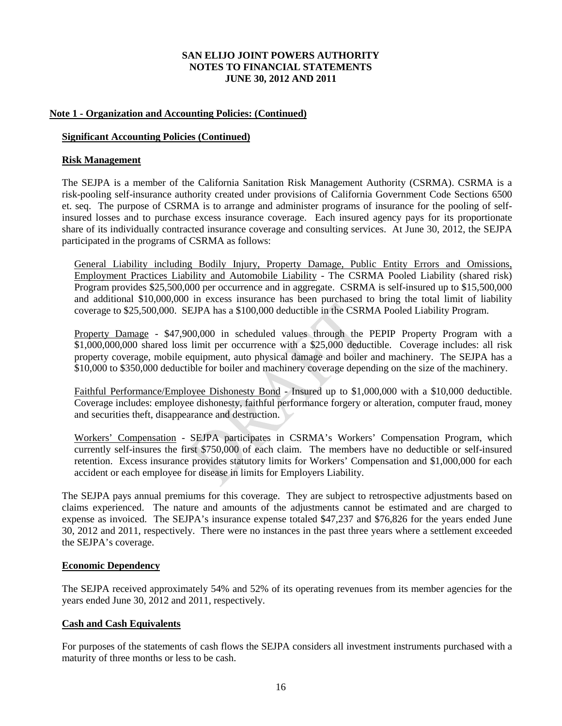#### **Note 1 - Organization and Accounting Policies: (Continued)**

#### **Significant Accounting Policies (Continued)**

#### **Risk Management**

The SEJPA is a member of the California Sanitation Risk Management Authority (CSRMA). CSRMA is a risk-pooling self-insurance authority created under provisions of California Government Code Sections 6500 et. seq. The purpose of CSRMA is to arrange and administer programs of insurance for the pooling of selfinsured losses and to purchase excess insurance coverage. Each insured agency pays for its proportionate share of its individually contracted insurance coverage and consulting services. At June 30, 2012, the SEJPA participated in the programs of CSRMA as follows:

General Liability including Bodily Injury, Property Damage, Public Entity Errors and Omissions, Employment Practices Liability and Automobile Liability - The CSRMA Pooled Liability (shared risk) Program provides \$25,500,000 per occurrence and in aggregate. CSRMA is self-insured up to \$15,500,000 and additional \$10,000,000 in excess insurance has been purchased to bring the total limit of liability coverage to \$25,500,000. SEJPA has a \$100,000 deductible in the CSRMA Pooled Liability Program.

Property Damage - \$47,900,000 in scheduled values through the PEPIP Property Program with a \$1,000,000,000 shared loss limit per occurrence with a \$25,000 deductible. Coverage includes: all risk property coverage, mobile equipment, auto physical damage and boiler and machinery. The SEJPA has a \$10,000 to \$350,000 deductible for boiler and machinery coverage depending on the size of the machinery.

Faithful Performance/Employee Dishonesty Bond - Insured up to \$1,000,000 with a \$10,000 deductible. Coverage includes: employee dishonesty, faithful performance forgery or alteration, computer fraud, money and securities theft, disappearance and destruction.

Workers' Compensation - SEJPA participates in CSRMA's Workers' Compensation Program, which currently self-insures the first \$750,000 of each claim. The members have no deductible or self-insured retention. Excess insurance provides statutory limits for Workers' Compensation and \$1,000,000 for each accident or each employee for disease in limits for Employers Liability.

The SEJPA pays annual premiums for this coverage. They are subject to retrospective adjustments based on claims experienced. The nature and amounts of the adjustments cannot be estimated and are charged to expense as invoiced. The SEJPA's insurance expense totaled \$47,237 and \$76,826 for the years ended June 30, 2012 and 2011, respectively. There were no instances in the past three years where a settlement exceeded the SEJPA's coverage.

#### **Economic Dependency**

The SEJPA received approximately 54% and 52% of its operating revenues from its member agencies for the years ended June 30, 2012 and 2011, respectively.

#### **Cash and Cash Equivalents**

For purposes of the statements of cash flows the SEJPA considers all investment instruments purchased with a maturity of three months or less to be cash.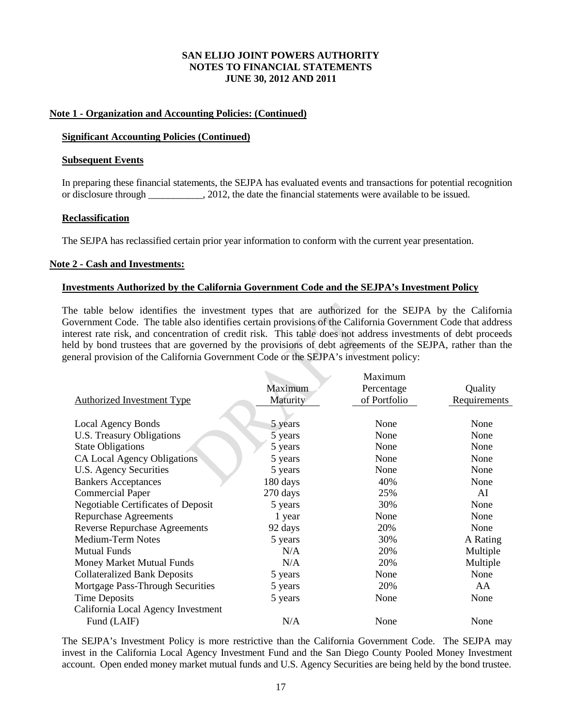#### **Note 1 - Organization and Accounting Policies: (Continued)**

#### **Significant Accounting Policies (Continued)**

#### **Subsequent Events**

In preparing these financial statements, the SEJPA has evaluated events and transactions for potential recognition or disclosure through \_\_\_\_\_\_\_\_\_\_\_, 2012, the date the financial statements were available to be issued.

#### **Reclassification**

The SEJPA has reclassified certain prior year information to conform with the current year presentation.

#### **Note 2 - Cash and Investments:**

#### **Investments Authorized by the California Government Code and the SEJPA's Investment Policy**

The table below identifies the investment types that are authorized for the SEJPA by the California Government Code. The table also identifies certain provisions of the California Government Code that address interest rate risk, and concentration of credit risk. This table does not address investments of debt proceeds held by bond trustees that are governed by the provisions of debt agreements of the SEJPA, rather than the general provision of the California Government Code or the SEJPA's investment policy:

 $\mathbf{v}$ 

|                                           |          | Maxımum      |              |
|-------------------------------------------|----------|--------------|--------------|
|                                           | Maximum  | Percentage   | Quality      |
| <b>Authorized Investment Type</b>         | Maturity | of Portfolio | Requirements |
|                                           |          |              |              |
| Local Agency Bonds                        | 5 years  | None         | None         |
| U.S. Treasury Obligations                 | 5 years  | None         | None         |
| <b>State Obligations</b>                  | 5 years  | None         | None         |
| CA Local Agency Obligations               | 5 years  | None         | None         |
| U.S. Agency Securities                    | 5 years  | None         | None         |
| <b>Bankers Acceptances</b>                | 180 days | 40%          | None         |
| <b>Commercial Paper</b>                   | 270 days | 25%          | AI           |
| <b>Negotiable Certificates of Deposit</b> | 5 years  | 30%          | None         |
| <b>Repurchase Agreements</b>              | 1 year   | None         | None         |
| <b>Reverse Repurchase Agreements</b>      | 92 days  | 20%          | None         |
| <b>Medium-Term Notes</b>                  | 5 years  | 30%          | A Rating     |
| <b>Mutual Funds</b>                       | N/A      | 20%          | Multiple     |
| Money Market Mutual Funds                 | N/A      | 20%          | Multiple     |
| <b>Collateralized Bank Deposits</b>       | 5 years  | None         | None         |
| Mortgage Pass-Through Securities          | 5 years  | 20%          | AA           |
| <b>Time Deposits</b>                      | 5 years  | None         | None         |
| California Local Agency Investment        |          |              |              |
| Fund (LAIF)                               | N/A      | None         | None         |

The SEJPA's Investment Policy is more restrictive than the California Government Code. The SEJPA may invest in the California Local Agency Investment Fund and the San Diego County Pooled Money Investment account. Open ended money market mutual funds and U.S. Agency Securities are being held by the bond trustee.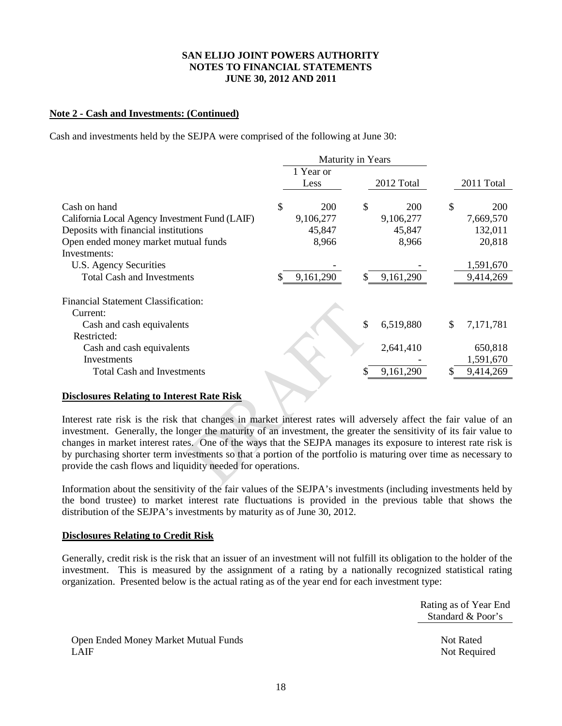#### **Note 2 - Cash and Investments: (Continued)**

Cash and investments held by the SEJPA were comprised of the following at June 30:

|                                                | Maturity in Years |           |    |            |    |            |
|------------------------------------------------|-------------------|-----------|----|------------|----|------------|
|                                                |                   | 1 Year or |    |            |    |            |
|                                                |                   | Less      |    | 2012 Total |    | 2011 Total |
| Cash on hand                                   | \$                | 200       | \$ | 200        | \$ | <b>200</b> |
| California Local Agency Investment Fund (LAIF) |                   | 9,106,277 |    | 9,106,277  |    | 7,669,570  |
| Deposits with financial institutions           |                   | 45,847    |    | 45,847     |    | 132,011    |
| Open ended money market mutual funds           |                   | 8,966     |    | 8,966      |    | 20,818     |
| Investments:                                   |                   |           |    |            |    |            |
| U.S. Agency Securities                         |                   |           |    |            |    | 1,591,670  |
| <b>Total Cash and Investments</b>              |                   | 9,161,290 | \$ | 9,161,290  |    | 9,414,269  |
| <b>Financial Statement Classification:</b>     |                   |           |    |            |    |            |
| Current:                                       |                   |           |    |            |    |            |
| Cash and cash equivalents                      |                   |           | \$ | 6,519,880  | \$ | 7,171,781  |
| Restricted:                                    |                   |           |    |            |    |            |
| Cash and cash equivalents                      |                   |           |    | 2,641,410  |    | 650,818    |
| Investments                                    |                   |           |    |            |    | 1,591,670  |
| <b>Total Cash and Investments</b>              |                   |           | S  | 9,161,290  | S  | 9,414,269  |
|                                                |                   |           |    |            |    |            |

#### **Disclosures Relating to Interest Rate Risk**

Interest rate risk is the risk that changes in market interest rates will adversely affect the fair value of an investment. Generally, the longer the maturity of an investment, the greater the sensitivity of its fair value to changes in market interest rates. One of the ways that the SEJPA manages its exposure to interest rate risk is by purchasing shorter term investments so that a portion of the portfolio is maturing over time as necessary to provide the cash flows and liquidity needed for operations.

Information about the sensitivity of the fair values of the SEJPA's investments (including investments held by the bond trustee) to market interest rate fluctuations is provided in the previous table that shows the distribution of the SEJPA's investments by maturity as of June 30, 2012.

#### **Disclosures Relating to Credit Risk**

Generally, credit risk is the risk that an issuer of an investment will not fulfill its obligation to the holder of the investment. This is measured by the assignment of a rating by a nationally recognized statistical rating organization. Presented below is the actual rating as of the year end for each investment type:

> Rating as of Year End Standard & Poor's

Open Ended Money Market Mutual Funds Not Rated LAIF Not Required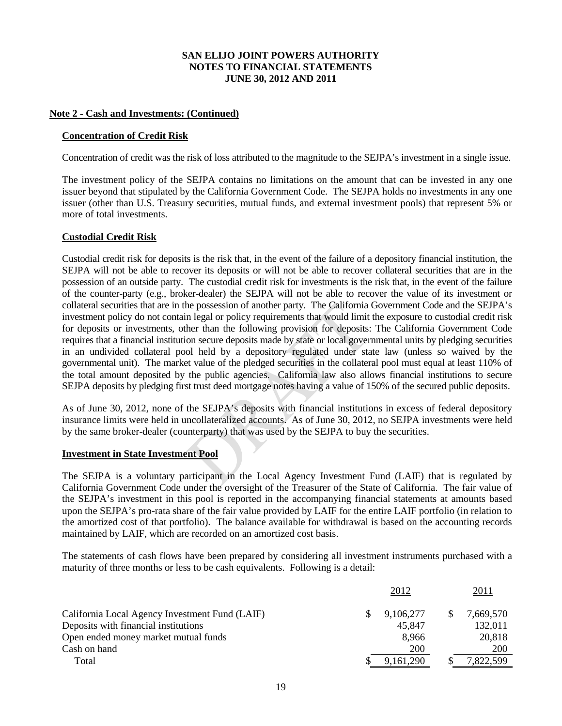#### **Note 2 - Cash and Investments: (Continued)**

#### **Concentration of Credit Risk**

Concentration of credit was the risk of loss attributed to the magnitude to the SEJPA's investment in a single issue.

The investment policy of the SEJPA contains no limitations on the amount that can be invested in any one issuer beyond that stipulated by the California Government Code. The SEJPA holds no investments in any one issuer (other than U.S. Treasury securities, mutual funds, and external investment pools) that represent 5% or more of total investments.

#### **Custodial Credit Risk**

Custodial credit risk for deposits is the risk that, in the event of the failure of a depository financial institution, the SEJPA will not be able to recover its deposits or will not be able to recover collateral securities that are in the possession of an outside party. The custodial credit risk for investments is the risk that, in the event of the failure of the counter-party (e.g., broker-dealer) the SEJPA will not be able to recover the value of its investment or collateral securities that are in the possession of another party. The California Government Code and the SEJPA's investment policy do not contain legal or policy requirements that would limit the exposure to custodial credit risk for deposits or investments, other than the following provision for deposits: The California Government Code requires that a financial institution secure deposits made by state or local governmental units by pledging securities in an undivided collateral pool held by a depository regulated under state law (unless so waived by the governmental unit). The market value of the pledged securities in the collateral pool must equal at least 110% of the total amount deposited by the public agencies. California law also allows financial institutions to secure SEJPA deposits by pledging first trust deed mortgage notes having a value of 150% of the secured public deposits.

As of June 30, 2012, none of the SEJPA's deposits with financial institutions in excess of federal depository insurance limits were held in uncollateralized accounts. As of June 30, 2012, no SEJPA investments were held by the same broker-dealer (counterparty) that was used by the SEJPA to buy the securities.

#### **Investment in State Investment Pool**

The SEJPA is a voluntary participant in the Local Agency Investment Fund (LAIF) that is regulated by California Government Code under the oversight of the Treasurer of the State of California. The fair value of the SEJPA's investment in this pool is reported in the accompanying financial statements at amounts based upon the SEJPA's pro-rata share of the fair value provided by LAIF for the entire LAIF portfolio (in relation to the amortized cost of that portfolio). The balance available for withdrawal is based on the accounting records maintained by LAIF, which are recorded on an amortized cost basis.

The statements of cash flows have been prepared by considering all investment instruments purchased with a maturity of three months or less to be cash equivalents. Following is a detail:

| 2012        |              | <u>2011</u> |
|-------------|--------------|-------------|
| 9,106,277   | <sup>S</sup> | 7,669,570   |
| 45,847      |              | 132,011     |
| 8.966       |              | 20,818      |
| 200         |              | <b>200</b>  |
| 9, 161, 290 |              | 7,822,599   |
|             |              |             |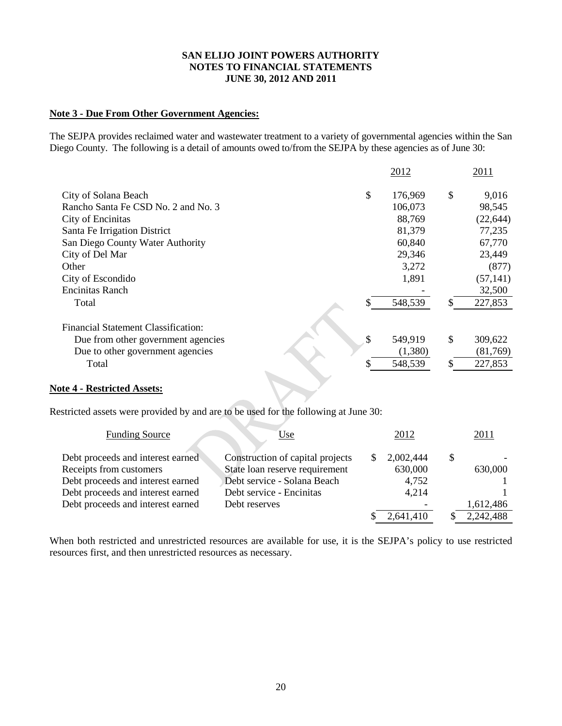#### **Note 3 - Due From Other Government Agencies:**

The SEJPA provides reclaimed water and wastewater treatment to a variety of governmental agencies within the San Diego County. The following is a detail of amounts owed to/from the SEJPA by these agencies as of June 30:

|                                            | 2012          | 2011          |
|--------------------------------------------|---------------|---------------|
| City of Solana Beach                       | \$<br>176,969 | \$<br>9,016   |
| Rancho Santa Fe CSD No. 2 and No. 3        | 106,073       | 98,545        |
| City of Encinitas                          | 88,769        | (22, 644)     |
| Santa Fe Irrigation District               | 81,379        | 77,235        |
| San Diego County Water Authority           | 60,840        | 67,770        |
| City of Del Mar                            | 29,346        | 23,449        |
| Other                                      | 3,272         | (877)         |
| City of Escondido                          | 1,891         | (57, 141)     |
| <b>Encinitas Ranch</b>                     |               | 32,500        |
| Total                                      | 548,539       | \$<br>227,853 |
| <b>Financial Statement Classification:</b> |               |               |
| Due from other government agencies         | \$<br>549,919 | \$<br>309,622 |
| Due to other government agencies           | (1,380)       | (81,769)      |
| Total                                      | 548,539       | \$<br>227,853 |
|                                            |               |               |

#### **Note 4 - Restricted Assets:**

Restricted assets were provided by and are to be used for the following at June 30:

| <b>Funding Source</b>             | Use                              | 2012      | <u>2011</u> |
|-----------------------------------|----------------------------------|-----------|-------------|
| Debt proceeds and interest earned | Construction of capital projects | 2,002,444 |             |
| Receipts from customers           | State loan reserve requirement   | 630,000   | 630,000     |
| Debt proceeds and interest earned | Debt service - Solana Beach      | 4,752     |             |
| Debt proceeds and interest earned | Debt service - Encinitas         | 4.214     |             |
| Debt proceeds and interest earned | Debt reserves                    |           | 1,612,486   |
|                                   |                                  | 2,641,410 | 2,242,488   |

When both restricted and unrestricted resources are available for use, it is the SEJPA's policy to use restricted resources first, and then unrestricted resources as necessary.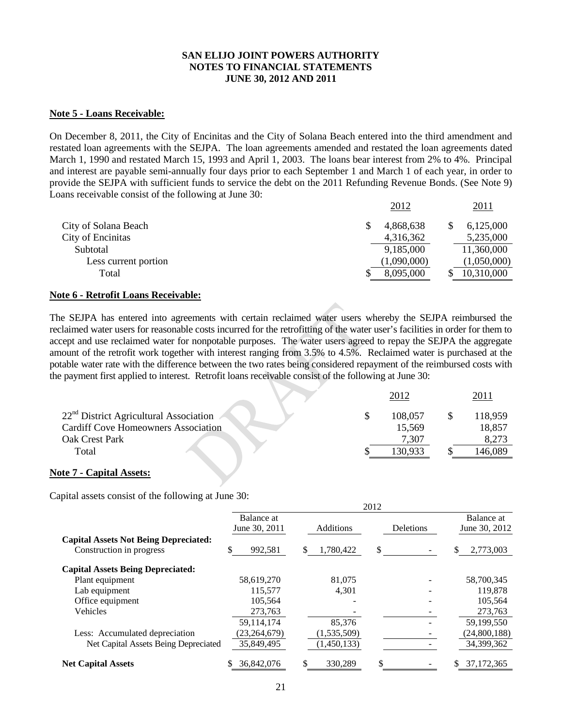#### **Note 5 - Loans Receivable:**

On December 8, 2011, the City of Encinitas and the City of Solana Beach entered into the third amendment and restated loan agreements with the SEJPA. The loan agreements amended and restated the loan agreements dated March 1, 1990 and restated March 15, 1993 and April 1, 2003. The loans bear interest from 2% to 4%. Principal and interest are payable semi-annually four days prior to each September 1 and March 1 of each year, in order to provide the SEJPA with sufficient funds to service the debt on the 2011 Refunding Revenue Bonds. (See Note 9) Loans receivable consist of the following at June 30:

|                      | 2012        | 2011        |
|----------------------|-------------|-------------|
| City of Solana Beach | 4,868,638   | 6,125,000   |
| City of Encinitas    | 4,316,362   | 5,235,000   |
| Subtotal             | 9,185,000   | 11,360,000  |
| Less current portion | (1,090,000) | (1,050,000) |
| Total                | 8,095,000   | 10,310,000  |

#### **Note 6 - Retrofit Loans Receivable:**

The SEJPA has entered into agreements with certain reclaimed water users whereby the SEJPA reimbursed the reclaimed water users for reasonable costs incurred for the retrofitting of the water user's facilities in order for them to accept and use reclaimed water for nonpotable purposes. The water users agreed to repay the SEJPA the aggregate amount of the retrofit work together with interest ranging from 3.5% to 4.5%. Reclaimed water is purchased at the potable water rate with the difference between the two rates being considered repayment of the reimbursed costs with the payment first applied to interest. Retrofit loans receivable consist of the following at June 30:

|                                            | 2012    |         |
|--------------------------------------------|---------|---------|
| $22nd$ District Agricultural Association   | 108,057 | 118,959 |
| <b>Cardiff Cove Homeowners Association</b> | 15,569  | 18,857  |
| Oak Crest Park                             | 7,307   | 8,273   |
| Total                                      | 130,933 | 146,089 |
|                                            |         |         |

 $2012$ 

#### **Note 7 - Capital Assets:**

Capital assets consist of the following at June 30:

|                                              |                |                 | 2012 |           |    |               |
|----------------------------------------------|----------------|-----------------|------|-----------|----|---------------|
|                                              | Balance at     |                 |      |           |    | Balance at    |
|                                              | June 30, 2011  | Additions       |      | Deletions |    | June 30, 2012 |
| <b>Capital Assets Not Being Depreciated:</b> |                |                 |      |           |    |               |
| Construction in progress                     | \$<br>992,581  | \$<br>1,780,422 | \$   |           | \$ | 2,773,003     |
| <b>Capital Assets Being Depreciated:</b>     |                |                 |      |           |    |               |
| Plant equipment                              | 58,619,270     | 81,075          |      |           |    | 58,700,345    |
| Lab equipment                                | 115,577        | 4.301           |      |           |    | 119,878       |
| Office equipment                             | 105,564        |                 |      |           |    | 105,564       |
| <b>Vehicles</b>                              | 273,763        |                 |      |           |    | 273,763       |
|                                              | 59,114,174     | 85.376          |      |           |    | 59,199,550    |
| Less: Accumulated depreciation               | (23, 264, 679) | (1, 535, 509)   |      |           |    | (24,800,188)  |
| Net Capital Assets Being Depreciated         | 35,849,495     | (1,450,133)     |      |           |    | 34,399,362    |
| <b>Net Capital Assets</b>                    | 36,842,076     | \$<br>330.289   | \$   |           | S  | 37.172.365    |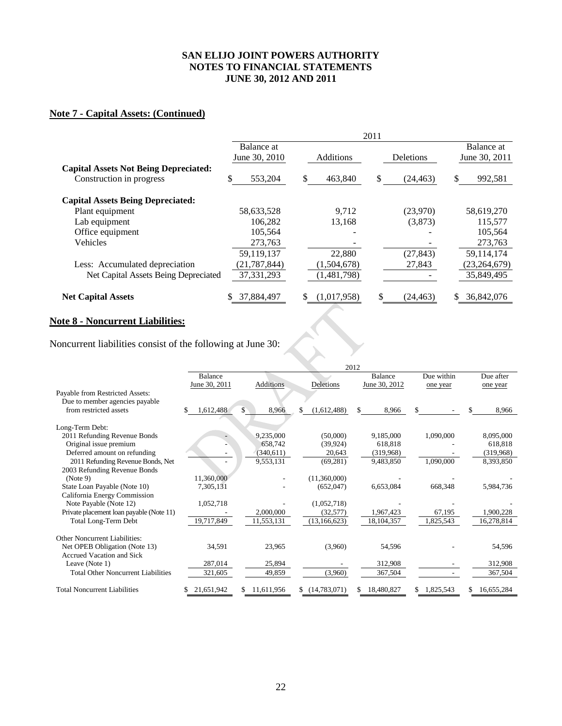### **Note 7 - Capital Assets: (Continued)**

|                                              | 2011           |                   |                  |                |  |  |  |
|----------------------------------------------|----------------|-------------------|------------------|----------------|--|--|--|
|                                              | Balance at     |                   |                  | Balance at     |  |  |  |
|                                              | June 30, 2010  | <b>Additions</b>  | <b>Deletions</b> | June 30, 2011  |  |  |  |
| <b>Capital Assets Not Being Depreciated:</b> |                |                   |                  |                |  |  |  |
| Construction in progress                     | \$<br>553,204  | \$<br>463,840     | \$<br>(24, 463)  | \$<br>992,581  |  |  |  |
| <b>Capital Assets Being Depreciated:</b>     |                |                   |                  |                |  |  |  |
| Plant equipment                              | 58,633,528     | 9.712             | (23,970)         | 58,619,270     |  |  |  |
| Lab equipment                                | 106.282        | 13,168            | (3,873)          | 115,577        |  |  |  |
| Office equipment                             | 105,564        |                   |                  | 105,564        |  |  |  |
| Vehicles                                     | 273,763        |                   |                  | 273,763        |  |  |  |
|                                              | 59,119,137     | 22,880            | (27, 843)        | 59,114,174     |  |  |  |
| Less: Accumulated depreciation               | (21, 787, 844) | (1,504,678)       | 27,843           | (23, 264, 679) |  |  |  |
| Net Capital Assets Being Depreciated         | 37, 331, 293   | (1,481,798)       |                  | 35,849,495     |  |  |  |
| <b>Net Capital Assets</b>                    | 37,884,497     | \$<br>(1,017,958) | (24, 463)        | 36,842,076     |  |  |  |

#### **Note 8 - Noncurrent Liabilities:**

Noncurrent liabilities consist of the following at June 30:

| <b>Additions</b><br>8,966<br>\$.<br>9,235,000<br>658,742<br>(340,611)<br>9,553,131 | Deletions<br>(1,612,488)<br>(50,000)<br>(39.924)<br>20,643 | <b>Balance</b><br>June 30, 2012<br>\$<br>8,966<br>9,185,000<br>618.818<br>(319,968) | Due within<br>one year<br>\$<br>1,090,000 | Due after<br>one year<br>S. | 8,966<br>8,095,000<br>618.818 |
|------------------------------------------------------------------------------------|------------------------------------------------------------|-------------------------------------------------------------------------------------|-------------------------------------------|-----------------------------|-------------------------------|
|                                                                                    |                                                            |                                                                                     |                                           |                             |                               |
|                                                                                    |                                                            |                                                                                     |                                           |                             |                               |
|                                                                                    |                                                            |                                                                                     |                                           |                             |                               |
|                                                                                    |                                                            |                                                                                     |                                           |                             |                               |
|                                                                                    |                                                            |                                                                                     |                                           |                             |                               |
|                                                                                    |                                                            |                                                                                     |                                           |                             |                               |
|                                                                                    |                                                            |                                                                                     |                                           |                             |                               |
|                                                                                    |                                                            |                                                                                     |                                           |                             |                               |
|                                                                                    |                                                            |                                                                                     |                                           |                             | (319,968)                     |
|                                                                                    |                                                            | 9,483,850                                                                           | 1,090,000                                 |                             | 8,393,850                     |
|                                                                                    |                                                            |                                                                                     |                                           |                             |                               |
|                                                                                    | (11,360,000)                                               |                                                                                     |                                           |                             |                               |
|                                                                                    | (652,047)                                                  | 6,653,084                                                                           | 668,348                                   |                             | 5,984,736                     |
|                                                                                    |                                                            |                                                                                     |                                           |                             |                               |
|                                                                                    | (1,052,718)                                                |                                                                                     |                                           |                             |                               |
| 2,000,000                                                                          | (32,577)                                                   | 1,967,423                                                                           | 67,195                                    |                             | 1,900,228                     |
| 11,553,131                                                                         | (13, 166, 623)                                             | 18, 104, 357                                                                        | 1,825,543                                 |                             | 16,278,814                    |
|                                                                                    |                                                            |                                                                                     |                                           |                             |                               |
|                                                                                    |                                                            |                                                                                     |                                           |                             | 54,596                        |
|                                                                                    |                                                            |                                                                                     |                                           |                             |                               |
|                                                                                    |                                                            |                                                                                     |                                           |                             | 312,908                       |
| 49,859                                                                             | (3,960)                                                    | 367,504                                                                             |                                           |                             | 367,504                       |
|                                                                                    |                                                            |                                                                                     |                                           |                             |                               |
|                                                                                    | 23,965<br>25,894<br>11.611.956                             | (69, 281)<br>(3,960)<br>(14,783,071)                                                | 54,596<br>312,908<br>18,480,827<br>S.     | 1,825,543<br>S.             | 16,655,284<br>S.              |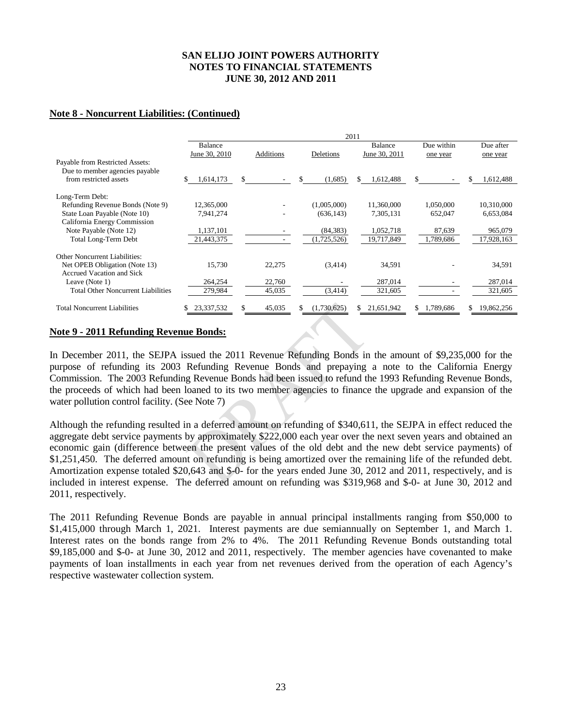#### **Note 8 - Noncurrent Liabilities: (Continued)**

|                                           |               |                  |    |             | 2011 |               |              |    |            |
|-------------------------------------------|---------------|------------------|----|-------------|------|---------------|--------------|----|------------|
|                                           | Balance       |                  |    |             |      | Balance       | Due within   |    | Due after  |
|                                           | June 30, 2010 | <b>Additions</b> |    | Deletions   |      | June 30, 2011 | one year     |    | one year   |
| Payable from Restricted Assets:           |               |                  |    |             |      |               |              |    |            |
| Due to member agencies payable            |               |                  |    |             |      |               |              |    |            |
| from restricted assets                    | 1,614,173     | \$               | S  | (1,685)     | S    | 1,612,488     | \$<br>$\sim$ | S  | 1,612,488  |
| Long-Term Debt:                           |               |                  |    |             |      |               |              |    |            |
| Refunding Revenue Bonds (Note 9)          | 12,365,000    |                  |    | (1,005,000) |      | 11,360,000    | 1,050,000    |    | 10,310,000 |
| State Loan Payable (Note 10)              | 7,941,274     |                  |    | (636, 143)  |      | 7,305,131     | 652,047      |    | 6,653,084  |
| California Energy Commission              |               |                  |    |             |      |               |              |    |            |
| Note Payable (Note 12)                    | 1,137,101     |                  |    | (84, 383)   |      | 1,052,718     | 87,639       |    | 965,079    |
| Total Long-Term Debt                      | 21,443,375    |                  |    | (1,725,526) |      | 19,717,849    | 1,789,686    |    | 17,928,163 |
| Other Noncurrent Liabilities:             |               |                  |    |             |      |               |              |    |            |
| Net OPEB Obligation (Note 13)             | 15,730        | 22,275           |    | (3,414)     |      | 34,591        |              |    | 34,591     |
| Accrued Vacation and Sick                 |               |                  |    |             |      |               |              |    |            |
| Leave (Note 1)                            | 264,254       | 22,760           |    |             |      | 287,014       |              |    | 287,014    |
| <b>Total Other Noncurrent Liabilities</b> | 279,984       | 45,035           |    | (3,414)     |      | 321,605       |              |    | 321,605    |
| <b>Total Noncurrent Liabilities</b>       | 23,337,532    | \$<br>45,035     | S. | (1,730,625) | S.   | 21,651,942    | \$1,789,686  | S. | 19,862,256 |

#### **Note 9 - 2011 Refunding Revenue Bonds:**

In December 2011, the SEJPA issued the 2011 Revenue Refunding Bonds in the amount of \$9,235,000 for the purpose of refunding its 2003 Refunding Revenue Bonds and prepaying a note to the California Energy Commission. The 2003 Refunding Revenue Bonds had been issued to refund the 1993 Refunding Revenue Bonds, the proceeds of which had been loaned to its two member agencies to finance the upgrade and expansion of the water pollution control facility. (See Note 7)

Although the refunding resulted in a deferred amount on refunding of \$340,611, the SEJPA in effect reduced the aggregate debt service payments by approximately \$222,000 each year over the next seven years and obtained an economic gain (difference between the present values of the old debt and the new debt service payments) of \$1,251,450. The deferred amount on refunding is being amortized over the remaining life of the refunded debt. Amortization expense totaled \$20,643 and \$-0- for the years ended June 30, 2012 and 2011, respectively, and is included in interest expense. The deferred amount on refunding was \$319,968 and \$-0- at June 30, 2012 and 2011, respectively.

The 2011 Refunding Revenue Bonds are payable in annual principal installments ranging from \$50,000 to \$1,415,000 through March 1, 2021. Interest payments are due semiannually on September 1, and March 1. Interest rates on the bonds range from 2% to 4%. The 2011 Refunding Revenue Bonds outstanding total \$9,185,000 and \$-0- at June 30, 2012 and 2011, respectively. The member agencies have covenanted to make payments of loan installments in each year from net revenues derived from the operation of each Agency's respective wastewater collection system.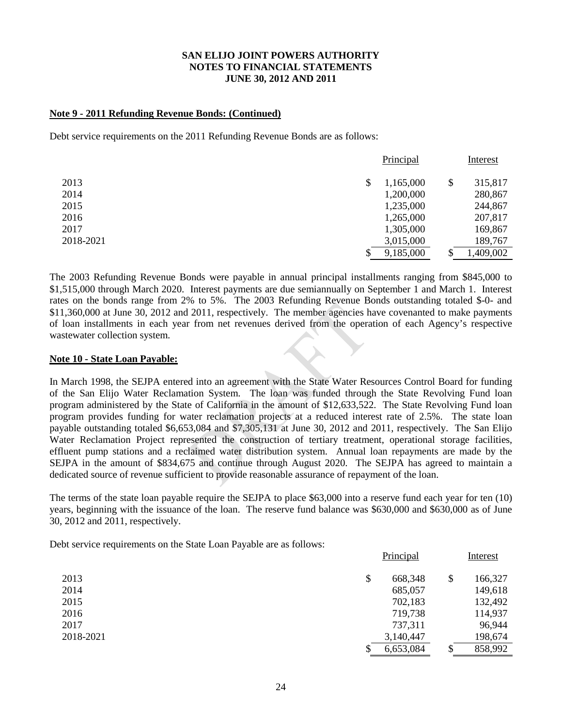#### **Note 9 - 2011 Refunding Revenue Bonds: (Continued)**

Debt service requirements on the 2011 Refunding Revenue Bonds are as follows:

|           | Principal       |        | Interest  |
|-----------|-----------------|--------|-----------|
| 2013      | \$<br>1,165,000 | \$     | 315,817   |
| 2014      | 1,200,000       |        | 280,867   |
| 2015      | 1,235,000       |        | 244,867   |
| 2016      | 1,265,000       |        | 207,817   |
| 2017      | 1,305,000       |        | 169,867   |
| 2018-2021 | 3,015,000       |        | 189,767   |
|           | \$<br>9,185,000 | ¢<br>Φ | 1,409,002 |

The 2003 Refunding Revenue Bonds were payable in annual principal installments ranging from \$845,000 to \$1,515,000 through March 2020. Interest payments are due semiannually on September 1 and March 1. Interest rates on the bonds range from 2% to 5%. The 2003 Refunding Revenue Bonds outstanding totaled \$-0- and \$11,360,000 at June 30, 2012 and 2011, respectively. The member agencies have covenanted to make payments of loan installments in each year from net revenues derived from the operation of each Agency's respective wastewater collection system.

#### **Note 10 - State Loan Payable:**

In March 1998, the SEJPA entered into an agreement with the State Water Resources Control Board for funding of the San Elijo Water Reclamation System. The loan was funded through the State Revolving Fund loan program administered by the State of California in the amount of \$12,633,522. The State Revolving Fund loan program provides funding for water reclamation projects at a reduced interest rate of 2.5%. The state loan payable outstanding totaled \$6,653,084 and \$7,305,131 at June 30, 2012 and 2011, respectively. The San Elijo Water Reclamation Project represented the construction of tertiary treatment, operational storage facilities, effluent pump stations and a reclaimed water distribution system. Annual loan repayments are made by the SEJPA in the amount of \$834,675 and continue through August 2020. The SEJPA has agreed to maintain a dedicated source of revenue sufficient to provide reasonable assurance of repayment of the loan.

The terms of the state loan payable require the SEJPA to place \$63,000 into a reserve fund each year for ten (10) years, beginning with the issuance of the loan. The reserve fund balance was \$630,000 and \$630,000 as of June 30, 2012 and 2011, respectively.

Debt service requirements on the State Loan Payable are as follows:

|           | Principal     | Interest      |
|-----------|---------------|---------------|
| 2013      | \$<br>668,348 | \$<br>166,327 |
| 2014      | 685,057       | 149,618       |
| 2015      | 702,183       | 132,492       |
| 2016      | 719,738       | 114,937       |
| 2017      | 737,311       | 96,944        |
| 2018-2021 | 3,140,447     | 198,674       |
|           | 6,653,084     | \$<br>858,992 |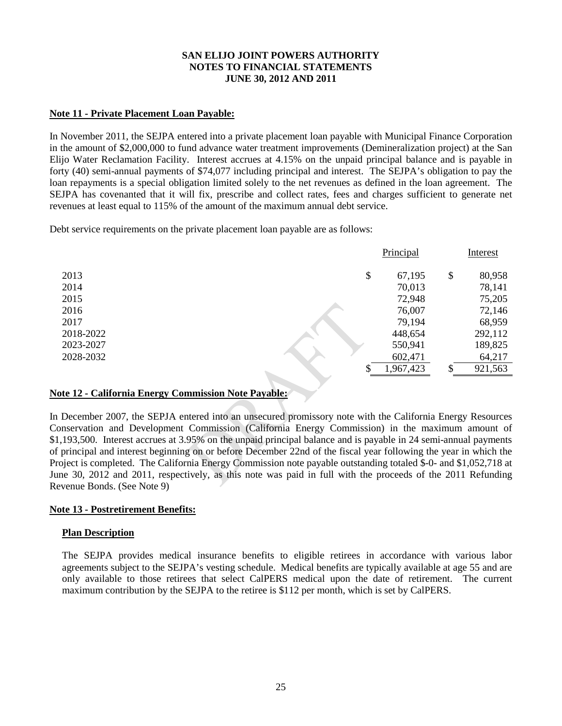#### **Note 11 - Private Placement Loan Payable:**

In November 2011, the SEJPA entered into a private placement loan payable with Municipal Finance Corporation in the amount of \$2,000,000 to fund advance water treatment improvements (Demineralization project) at the San Elijo Water Reclamation Facility. Interest accrues at 4.15% on the unpaid principal balance and is payable in forty (40) semi-annual payments of \$74,077 including principal and interest. The SEJPA's obligation to pay the loan repayments is a special obligation limited solely to the net revenues as defined in the loan agreement. The SEJPA has covenanted that it will fix, prescribe and collect rates, fees and charges sufficient to generate net revenues at least equal to 115% of the amount of the maximum annual debt service.

Debt service requirements on the private placement loan payable are as follows:

|           | Principal    |    | Interest |
|-----------|--------------|----|----------|
| 2013      | \$<br>67,195 | \$ | 80,958   |
| 2014      | 70,013       |    | 78,141   |
| 2015      | 72,948       |    | 75,205   |
| 2016      | 76,007       |    | 72,146   |
| 2017      | 79,194       |    | 68,959   |
| 2018-2022 | 448,654      |    | 292,112  |
| 2023-2027 | 550,941      |    | 189,825  |
| 2028-2032 | 602,471      |    | 64,217   |
|           | 1,967,423    | S  | 921,563  |

#### **Note 12 - California Energy Commission Note Payable:**

In December 2007, the SEPJA entered into an unsecured promissory note with the California Energy Resources Conservation and Development Commission (California Energy Commission) in the maximum amount of \$1,193,500. Interest accrues at 3.95% on the unpaid principal balance and is payable in 24 semi-annual payments of principal and interest beginning on or before December 22nd of the fiscal year following the year in which the Project is completed. The California Energy Commission note payable outstanding totaled \$-0- and \$1,052,718 at June 30, 2012 and 2011, respectively, as this note was paid in full with the proceeds of the 2011 Refunding Revenue Bonds. (See Note 9)

#### **Note 13 - Postretirement Benefits:**

#### **Plan Description**

The SEJPA provides medical insurance benefits to eligible retirees in accordance with various labor agreements subject to the SEJPA's vesting schedule. Medical benefits are typically available at age 55 and are only available to those retirees that select CalPERS medical upon the date of retirement. The current maximum contribution by the SEJPA to the retiree is \$112 per month, which is set by CalPERS.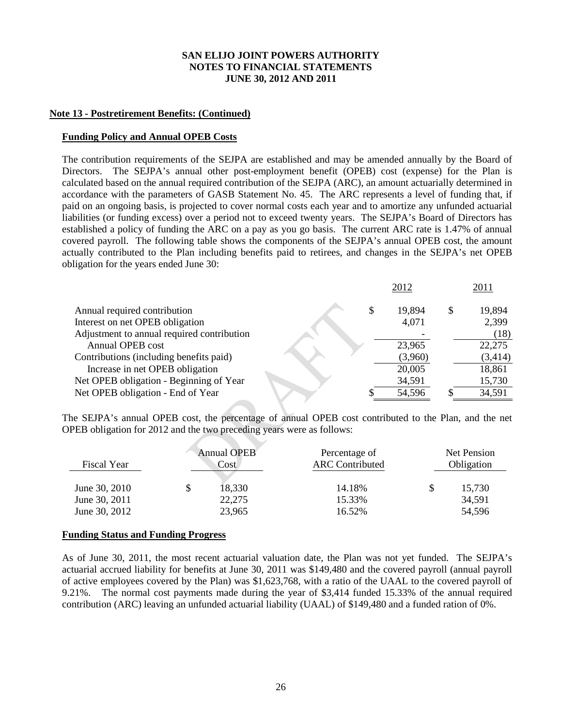#### **Note 13 - Postretirement Benefits: (Continued)**

#### **Funding Policy and Annual OPEB Costs**

The contribution requirements of the SEJPA are established and may be amended annually by the Board of Directors. The SEJPA's annual other post-employment benefit (OPEB) cost (expense) for the Plan is calculated based on the annual required contribution of the SEJPA (ARC), an amount actuarially determined in accordance with the parameters of GASB Statement No. 45. The ARC represents a level of funding that, if paid on an ongoing basis, is projected to cover normal costs each year and to amortize any unfunded actuarial liabilities (or funding excess) over a period not to exceed twenty years. The SEJPA's Board of Directors has established a policy of funding the ARC on a pay as you go basis. The current ARC rate is 1.47% of annual covered payroll. The following table shows the components of the SEJPA's annual OPEB cost, the amount actually contributed to the Plan including benefits paid to retirees, and changes in the SEJPA's net OPEB obligation for the years ended June 30:

| 2011    |
|---------|
| 19,894  |
| 2,399   |
| (18)    |
| 22,275  |
| (3,414) |
| 18,861  |
| 15,730  |
| 34,591  |
|         |

The SEJPA's annual OPEB cost, the percentage of annual OPEB cost contributed to the Plan, and the net OPEB obligation for 2012 and the two preceding years were as follows:

| <b>Fiscal Year</b>                              | <b>Annual OPEB</b><br>Cost |                            | Percentage of<br><b>ARC</b> Contributed |   | Net Pension<br>Obligation  |
|-------------------------------------------------|----------------------------|----------------------------|-----------------------------------------|---|----------------------------|
| June 30, 2010<br>June 30, 2011<br>June 30, 2012 | \$                         | 18,330<br>22,275<br>23,965 | 14.18%<br>15.33%<br>16.52%              | S | 15,730<br>34,591<br>54,596 |

#### **Funding Status and Funding Progress**

As of June 30, 2011, the most recent actuarial valuation date, the Plan was not yet funded. The SEJPA's actuarial accrued liability for benefits at June 30, 2011 was \$149,480 and the covered payroll (annual payroll of active employees covered by the Plan) was \$1,623,768, with a ratio of the UAAL to the covered payroll of 9.21%. The normal cost payments made during the year of \$3,414 funded 15.33% of the annual required contribution (ARC) leaving an unfunded actuarial liability (UAAL) of \$149,480 and a funded ration of 0%.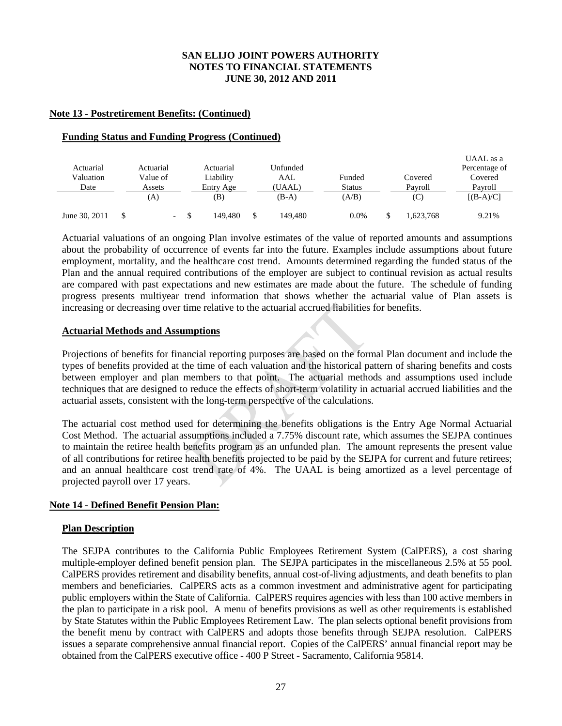#### **Note 13 - Postretirement Benefits: (Continued)**

#### **Funding Status and Funding Progress (Continued)**

| Actuarial<br>Valuation<br>Date | Actuarial<br>Value of<br>Assets |                          | Actuarial<br>Liability<br>Entry Age | Unfunded<br>AAL<br>(UAAL) | Funded<br><b>Status</b> | Covered<br>Pavroll | UAAL as a<br>Percentage of<br>Covered<br>Pavroll |
|--------------------------------|---------------------------------|--------------------------|-------------------------------------|---------------------------|-------------------------|--------------------|--------------------------------------------------|
|                                | (A)                             |                          | (B)                                 | (B-A)                     | (A/B)                   | (C)                | $[(B-A)/C]$                                      |
| June 30, 2011                  |                                 | $\overline{\phantom{0}}$ | 149.480                             | 149.480                   | $0.0\%$                 | 1,623,768          | 9.21%                                            |

Actuarial valuations of an ongoing Plan involve estimates of the value of reported amounts and assumptions about the probability of occurrence of events far into the future. Examples include assumptions about future employment, mortality, and the healthcare cost trend. Amounts determined regarding the funded status of the Plan and the annual required contributions of the employer are subject to continual revision as actual results are compared with past expectations and new estimates are made about the future. The schedule of funding progress presents multiyear trend information that shows whether the actuarial value of Plan assets is increasing or decreasing over time relative to the actuarial accrued liabilities for benefits.

#### **Actuarial Methods and Assumptions**

Projections of benefits for financial reporting purposes are based on the formal Plan document and include the types of benefits provided at the time of each valuation and the historical pattern of sharing benefits and costs between employer and plan members to that point. The actuarial methods and assumptions used include techniques that are designed to reduce the effects of short-term volatility in actuarial accrued liabilities and the actuarial assets, consistent with the long-term perspective of the calculations.

The actuarial cost method used for determining the benefits obligations is the Entry Age Normal Actuarial Cost Method. The actuarial assumptions included a 7.75% discount rate, which assumes the SEJPA continues to maintain the retiree health benefits program as an unfunded plan. The amount represents the present value of all contributions for retiree health benefits projected to be paid by the SEJPA for current and future retirees; and an annual healthcare cost trend rate of 4%. The UAAL is being amortized as a level percentage of projected payroll over 17 years.

#### **Note 14 - Defined Benefit Pension Plan:**

#### **Plan Description**

The SEJPA contributes to the California Public Employees Retirement System (CalPERS), a cost sharing multiple-employer defined benefit pension plan. The SEJPA participates in the miscellaneous 2.5% at 55 pool. CalPERS provides retirement and disability benefits, annual cost-of-living adjustments, and death benefits to plan members and beneficiaries. CalPERS acts as a common investment and administrative agent for participating public employers within the State of California. CalPERS requires agencies with less than 100 active members in the plan to participate in a risk pool. A menu of benefits provisions as well as other requirements is established by State Statutes within the Public Employees Retirement Law. The plan selects optional benefit provisions from the benefit menu by contract with CalPERS and adopts those benefits through SEJPA resolution. CalPERS issues a separate comprehensive annual financial report. Copies of the CalPERS' annual financial report may be obtained from the CalPERS executive office - 400 P Street - Sacramento, California 95814.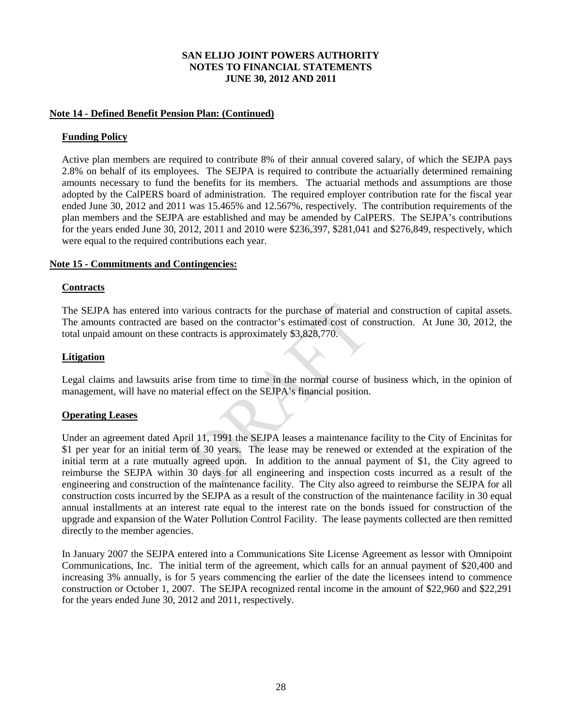#### **Note 14 - Defined Benefit Pension Plan: (Continued)**

#### **Funding Policy**

Active plan members are required to contribute 8% of their annual covered salary, of which the SEJPA pays 2.8% on behalf of its employees. The SEJPA is required to contribute the actuarially determined remaining amounts necessary to fund the benefits for its members. The actuarial methods and assumptions are those adopted by the CalPERS board of administration. The required employer contribution rate for the fiscal year ended June 30, 2012 and 2011 was 15.465% and 12.567%, respectively. The contribution requirements of the plan members and the SEJPA are established and may be amended by CalPERS. The SEJPA's contributions for the years ended June 30, 2012, 2011 and 2010 were \$236,397, \$281,041 and \$276,849, respectively, which were equal to the required contributions each year.

#### **Note 15 - Commitments and Contingencies:**

#### **Contracts**

The SEJPA has entered into various contracts for the purchase of material and construction of capital assets. The amounts contracted are based on the contractor's estimated cost of construction. At June 30, 2012, the total unpaid amount on these contracts is approximately \$3,828,770.

#### **Litigation**

Legal claims and lawsuits arise from time to time in the normal course of business which, in the opinion of management, will have no material effect on the SEJPA's financial position.

#### **Operating Leases**

Under an agreement dated April 11, 1991 the SEJPA leases a maintenance facility to the City of Encinitas for \$1 per year for an initial term of 30 years. The lease may be renewed or extended at the expiration of the initial term at a rate mutually agreed upon. In addition to the annual payment of \$1, the City agreed to reimburse the SEJPA within 30 days for all engineering and inspection costs incurred as a result of the engineering and construction of the maintenance facility. The City also agreed to reimburse the SEJPA for all construction costs incurred by the SEJPA as a result of the construction of the maintenance facility in 30 equal annual installments at an interest rate equal to the interest rate on the bonds issued for construction of the upgrade and expansion of the Water Pollution Control Facility. The lease payments collected are then remitted directly to the member agencies.

In January 2007 the SEJPA entered into a Communications Site License Agreement as lessor with Omnipoint Communications, Inc. The initial term of the agreement, which calls for an annual payment of \$20,400 and increasing 3% annually, is for 5 years commencing the earlier of the date the licensees intend to commence construction or October 1, 2007. The SEJPA recognized rental income in the amount of \$22,960 and \$22,291 for the years ended June 30, 2012 and 2011, respectively.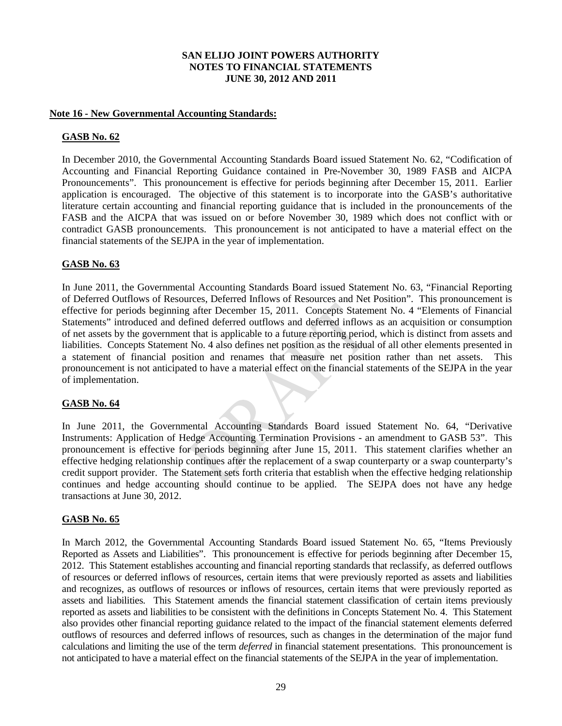#### **Note 16 - New Governmental Accounting Standards:**

#### **GASB No. 62**

In December 2010, the Governmental Accounting Standards Board issued Statement No. 62, "Codification of Accounting and Financial Reporting Guidance contained in Pre-November 30, 1989 FASB and AICPA Pronouncements". This pronouncement is effective for periods beginning after December 15, 2011. Earlier application is encouraged. The objective of this statement is to incorporate into the GASB's authoritative literature certain accounting and financial reporting guidance that is included in the pronouncements of the FASB and the AICPA that was issued on or before November 30, 1989 which does not conflict with or contradict GASB pronouncements. This pronouncement is not anticipated to have a material effect on the financial statements of the SEJPA in the year of implementation.

#### **GASB No. 63**

In June 2011, the Governmental Accounting Standards Board issued Statement No. 63, "Financial Reporting of Deferred Outflows of Resources, Deferred Inflows of Resources and Net Position". This pronouncement is effective for periods beginning after December 15, 2011. Concepts Statement No. 4 "Elements of Financial Statements" introduced and defined deferred outflows and deferred inflows as an acquisition or consumption of net assets by the government that is applicable to a future reporting period, which is distinct from assets and liabilities. Concepts Statement No. 4 also defines net position as the residual of all other elements presented in a statement of financial position and renames that measure net position rather than net assets. This pronouncement is not anticipated to have a material effect on the financial statements of the SEJPA in the year of implementation.

#### **GASB No. 64**

In June 2011, the Governmental Accounting Standards Board issued Statement No. 64, "Derivative Instruments: Application of Hedge Accounting Termination Provisions - an amendment to GASB 53". This pronouncement is effective for periods beginning after June 15, 2011. This statement clarifies whether an effective hedging relationship continues after the replacement of a swap counterparty or a swap counterparty's credit support provider. The Statement sets forth criteria that establish when the effective hedging relationship continues and hedge accounting should continue to be applied. The SEJPA does not have any hedge transactions at June 30, 2012.

#### **GASB No. 65**

In March 2012, the Governmental Accounting Standards Board issued Statement No. 65, "Items Previously Reported as Assets and Liabilities". This pronouncement is effective for periods beginning after December 15, 2012. This Statement establishes accounting and financial reporting standards that reclassify, as deferred outflows of resources or deferred inflows of resources, certain items that were previously reported as assets and liabilities and recognizes, as outflows of resources or inflows of resources, certain items that were previously reported as assets and liabilities. This Statement amends the financial statement classification of certain items previously reported as assets and liabilities to be consistent with the definitions in Concepts Statement No. 4. This Statement also provides other financial reporting guidance related to the impact of the financial statement elements deferred outflows of resources and deferred inflows of resources, such as changes in the determination of the major fund calculations and limiting the use of the term *deferred* in financial statement presentations. This pronouncement is not anticipated to have a material effect on the financial statements of the SEJPA in the year of implementation.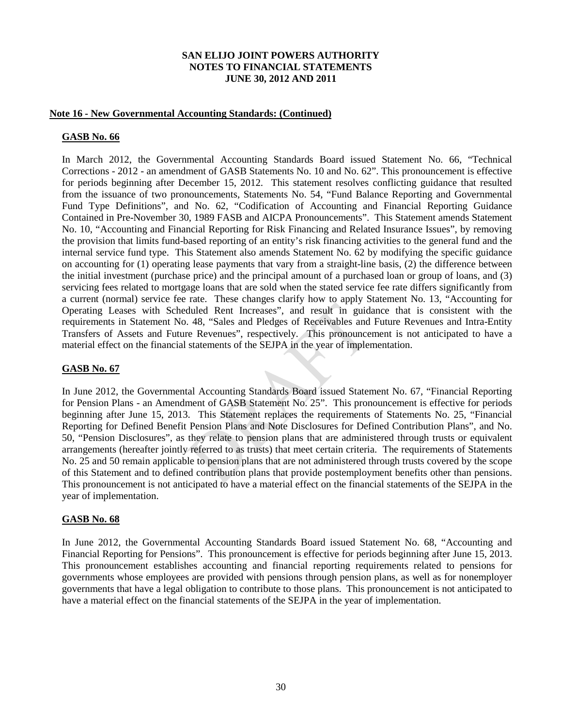#### **Note 16 - New Governmental Accounting Standards: (Continued)**

#### **GASB No. 66**

In March 2012, the Governmental Accounting Standards Board issued Statement No. 66, "Technical Corrections - 2012 - an amendment of GASB Statements No. 10 and No. 62". This pronouncement is effective for periods beginning after December 15, 2012. This statement resolves conflicting guidance that resulted from the issuance of two pronouncements, Statements No. 54, "Fund Balance Reporting and Governmental Fund Type Definitions", and No. 62, "Codification of Accounting and Financial Reporting Guidance Contained in Pre-November 30, 1989 FASB and AICPA Pronouncements". This Statement amends Statement No. 10, "Accounting and Financial Reporting for Risk Financing and Related Insurance Issues", by removing the provision that limits fund-based reporting of an entity's risk financing activities to the general fund and the internal service fund type. This Statement also amends Statement No. 62 by modifying the specific guidance on accounting for (1) operating lease payments that vary from a straight-line basis, (2) the difference between the initial investment (purchase price) and the principal amount of a purchased loan or group of loans, and (3) servicing fees related to mortgage loans that are sold when the stated service fee rate differs significantly from a current (normal) service fee rate. These changes clarify how to apply Statement No. 13, "Accounting for Operating Leases with Scheduled Rent Increases", and result in guidance that is consistent with the requirements in Statement No. 48, "Sales and Pledges of Receivables and Future Revenues and Intra-Entity Transfers of Assets and Future Revenues", respectively. This pronouncement is not anticipated to have a material effect on the financial statements of the SEJPA in the year of implementation.

#### **GASB No. 67**

In June 2012, the Governmental Accounting Standards Board issued Statement No. 67, "Financial Reporting for Pension Plans - an Amendment of GASB Statement No. 25". This pronouncement is effective for periods beginning after June 15, 2013. This Statement replaces the requirements of Statements No. 25, "Financial Reporting for Defined Benefit Pension Plans and Note Disclosures for Defined Contribution Plans", and No. 50, "Pension Disclosures", as they relate to pension plans that are administered through trusts or equivalent arrangements (hereafter jointly referred to as trusts) that meet certain criteria. The requirements of Statements No. 25 and 50 remain applicable to pension plans that are not administered through trusts covered by the scope of this Statement and to defined contribution plans that provide postemployment benefits other than pensions. This pronouncement is not anticipated to have a material effect on the financial statements of the SEJPA in the year of implementation.

#### **GASB No. 68**

In June 2012, the Governmental Accounting Standards Board issued Statement No. 68, "Accounting and Financial Reporting for Pensions". This pronouncement is effective for periods beginning after June 15, 2013. This pronouncement establishes accounting and financial reporting requirements related to pensions for governments whose employees are provided with pensions through pension plans, as well as for nonemployer governments that have a legal obligation to contribute to those plans. This pronouncement is not anticipated to have a material effect on the financial statements of the SEJPA in the year of implementation.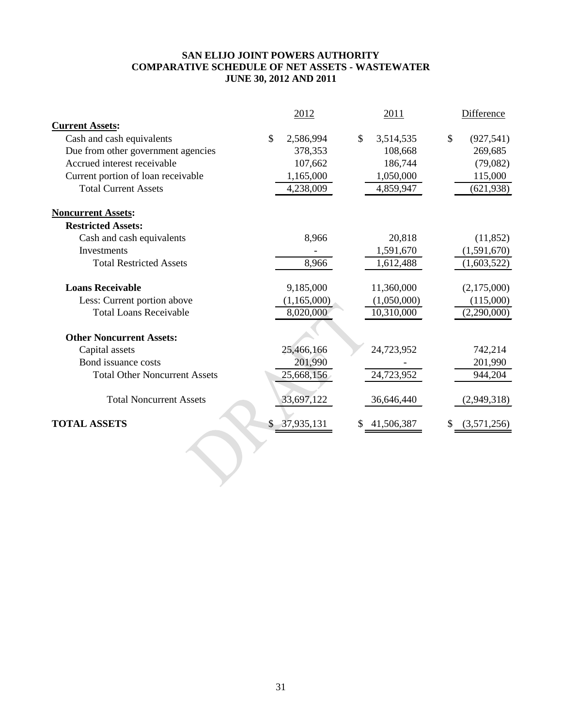#### **SAN ELIJO JOINT POWERS AUTHORITY COMPARATIVE SCHEDULE OF NET ASSETS - WASTEWATER JUNE 30, 2012 AND 2011**

|                                      |    | 2012        |               | 2011        |    | Difference  |
|--------------------------------------|----|-------------|---------------|-------------|----|-------------|
| <b>Current Assets:</b>               |    |             |               |             |    |             |
| Cash and cash equivalents            | \$ | 2,586,994   | $\mathcal{S}$ | 3,514,535   | \$ | (927, 541)  |
| Due from other government agencies   |    | 378,353     |               | 108,668     |    | 269,685     |
| Accrued interest receivable          |    | 107,662     |               | 186,744     |    | (79,082)    |
| Current portion of loan receivable   |    | 1,165,000   |               | 1,050,000   |    | 115,000     |
| <b>Total Current Assets</b>          |    | 4,238,009   |               | 4,859,947   |    | (621, 938)  |
| <b>Noncurrent Assets:</b>            |    |             |               |             |    |             |
| <b>Restricted Assets:</b>            |    |             |               |             |    |             |
| Cash and cash equivalents            |    | 8,966       |               | 20,818      |    | (11, 852)   |
| Investments                          |    |             |               | 1,591,670   |    | (1,591,670) |
| <b>Total Restricted Assets</b>       |    | 8,966       |               | 1,612,488   |    | (1,603,522) |
| <b>Loans Receivable</b>              |    | 9,185,000   |               | 11,360,000  |    | (2,175,000) |
| Less: Current portion above          |    | (1,165,000) |               | (1,050,000) |    | (115,000)   |
| <b>Total Loans Receivable</b>        |    | 8,020,000   |               | 10,310,000  |    | (2,290,000) |
| <b>Other Noncurrent Assets:</b>      |    |             |               |             |    |             |
| Capital assets                       |    | 25,466,166  |               | 24,723,952  |    | 742,214     |
| Bond issuance costs                  |    | 201,990     |               |             |    | 201,990     |
| <b>Total Other Noncurrent Assets</b> |    | 25,668,156  |               | 24,723,952  |    | 944,204     |
| <b>Total Noncurrent Assets</b>       |    | 33,697,122  |               | 36,646,440  |    | (2,949,318) |
| <b>TOTAL ASSETS</b>                  | S  | 37,935,131  |               | 41,506,387  | S  | (3,571,256) |
|                                      |    |             |               |             |    |             |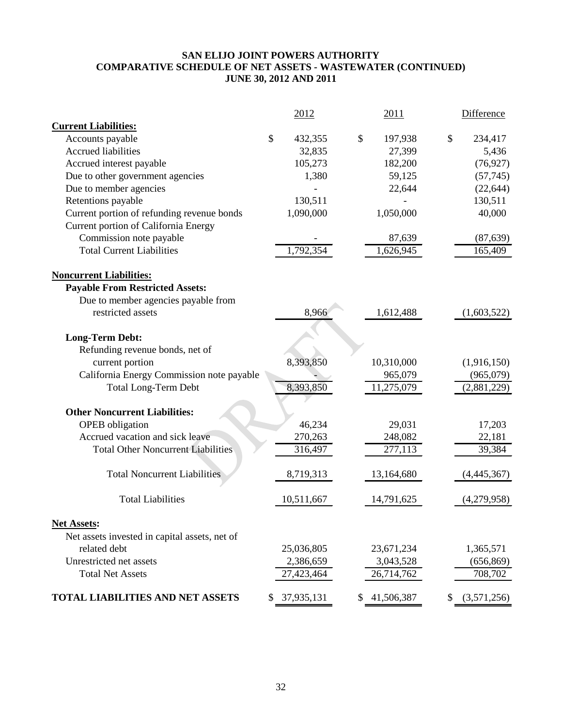### **SAN ELIJO JOINT POWERS AUTHORITY COMPARATIVE SCHEDULE OF NET ASSETS - WASTEWATER (CONTINUED) JUNE 30, 2012 AND 2011**

|                                               | 2012          | 2011          |    | <b>Difference</b> |
|-----------------------------------------------|---------------|---------------|----|-------------------|
| <b>Current Liabilities:</b>                   |               |               |    |                   |
| Accounts payable                              | \$<br>432,355 | \$<br>197,938 | \$ | 234,417           |
| <b>Accrued liabilities</b>                    | 32,835        | 27,399        |    | 5,436             |
| Accrued interest payable                      | 105,273       | 182,200       |    | (76, 927)         |
| Due to other government agencies              | 1,380         | 59,125        |    | (57, 745)         |
| Due to member agencies                        |               | 22,644        |    | (22, 644)         |
| Retentions payable                            | 130,511       |               |    | 130,511           |
| Current portion of refunding revenue bonds    | 1,090,000     | 1,050,000     |    | 40,000            |
| Current portion of California Energy          |               |               |    |                   |
| Commission note payable                       |               | 87,639        |    | (87, 639)         |
| <b>Total Current Liabilities</b>              | 1,792,354     | 1,626,945     |    | 165,409           |
| <b>Noncurrent Liabilities:</b>                |               |               |    |                   |
| <b>Payable From Restricted Assets:</b>        |               |               |    |                   |
| Due to member agencies payable from           |               |               |    |                   |
| restricted assets                             | 8,966         | 1,612,488     |    | (1,603,522)       |
|                                               |               |               |    |                   |
| <b>Long-Term Debt:</b>                        |               |               |    |                   |
| Refunding revenue bonds, net of               |               |               |    |                   |
| current portion                               | 8,393,850     | 10,310,000    |    | (1,916,150)       |
| California Energy Commission note payable     |               | 965,079       |    | (965,079)         |
| <b>Total Long-Term Debt</b>                   | 8,393,850     | 11,275,079    |    | (2,881,229)       |
| <b>Other Noncurrent Liabilities:</b>          |               |               |    |                   |
| <b>OPEB</b> obligation                        | 46,234        | 29,031        |    | 17,203            |
| Accrued vacation and sick leave               | 270,263       | 248,082       |    | 22,181            |
| <b>Total Other Noncurrent Liabilities</b>     | 316,497       | 277,113       |    | 39,384            |
| <b>Total Noncurrent Liabilities</b>           | 8,719,313     | 13,164,680    |    | (4,445,367)       |
| <b>Total Liabilities</b>                      | 10,511,667    | 14,791,625    |    | (4,279,958)       |
| <b>Net Assets:</b>                            |               |               |    |                   |
| Net assets invested in capital assets, net of |               |               |    |                   |
| related debt                                  | 25,036,805    | 23,671,234    |    | 1,365,571         |
| Unrestricted net assets                       | 2,386,659     | 3,043,528     |    | (656, 869)        |
| <b>Total Net Assets</b>                       | 27,423,464    | 26,714,762    |    | 708,702           |
| <b>TOTAL LIABILITIES AND NET ASSETS</b>       | \$37,935,131  | \$41,506,387  |    | (3,571,256)       |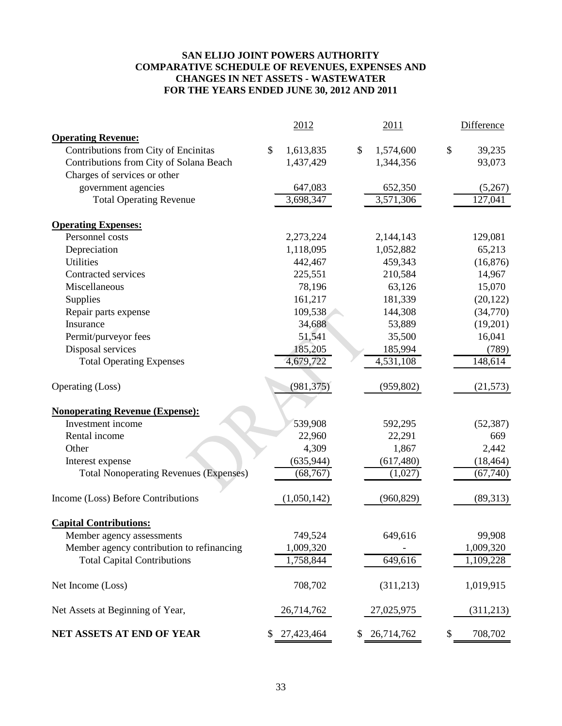#### **SAN ELIJO JOINT POWERS AUTHORITY COMPARATIVE SCHEDULE OF REVENUES, EXPENSES AND CHANGES IN NET ASSETS - WASTEWATER FOR THE YEARS ENDED JUNE 30, 2012 AND 2011**

|                                               | 2012            | 2011             | Difference    |
|-----------------------------------------------|-----------------|------------------|---------------|
| <b>Operating Revenue:</b>                     |                 |                  |               |
| Contributions from City of Encinitas          | \$<br>1,613,835 | \$<br>1,574,600  | \$<br>39,235  |
| Contributions from City of Solana Beach       | 1,437,429       | 1,344,356        | 93,073        |
| Charges of services or other                  |                 |                  |               |
| government agencies                           | 647,083         | 652,350          | (5,267)       |
| <b>Total Operating Revenue</b>                | 3,698,347       | 3,571,306        | 127,041       |
| <b>Operating Expenses:</b>                    |                 |                  |               |
| Personnel costs                               | 2,273,224       | 2,144,143        | 129,081       |
| Depreciation                                  | 1,118,095       | 1,052,882        | 65,213        |
| <b>Utilities</b>                              | 442,467         | 459,343          | (16, 876)     |
| Contracted services                           | 225,551         | 210,584          | 14,967        |
| Miscellaneous                                 | 78,196          | 63,126           | 15,070        |
| Supplies                                      | 161,217         | 181,339          | (20, 122)     |
| Repair parts expense                          | 109,538         | 144,308          | (34,770)      |
| Insurance                                     | 34,688          | 53,889           | (19,201)      |
| Permit/purveyor fees                          | 51,541          | 35,500           | 16,041        |
| Disposal services                             | 185,205         | 185,994          | (789)         |
| <b>Total Operating Expenses</b>               | 4,679,722       | 4,531,108        | 148,614       |
|                                               |                 |                  |               |
| Operating (Loss)                              | (981, 375)      | (959, 802)       | (21, 573)     |
| <b>Nonoperating Revenue (Expense):</b>        |                 |                  |               |
| Investment income                             | 539,908         | 592,295          | (52, 387)     |
| Rental income                                 | 22,960          | 22,291           | 669           |
| Other                                         | 4,309           | 1,867            | 2,442         |
| Interest expense                              | (635, 944)      | (617, 480)       | (18, 464)     |
| <b>Total Nonoperating Revenues (Expenses)</b> | (68, 767)       | (1,027)          | (67, 740)     |
|                                               |                 |                  |               |
| Income (Loss) Before Contributions            | (1,050,142)     | (960, 829)       | (89,313)      |
| <b>Capital Contributions:</b>                 |                 |                  |               |
| Member agency assessments                     | 749,524         | 649,616          | 99,908        |
| Member agency contribution to refinancing     | 1,009,320       |                  | 1,009,320     |
| <b>Total Capital Contributions</b>            | 1,758,844       | 649,616          | 1,109,228     |
| Net Income (Loss)                             | 708,702         | (311, 213)       | 1,019,915     |
| Net Assets at Beginning of Year,              | 26,714,762      | 27,025,975       | (311,213)     |
| NET ASSETS AT END OF YEAR                     | 27,423,464      | \$<br>26,714,762 | \$<br>708,702 |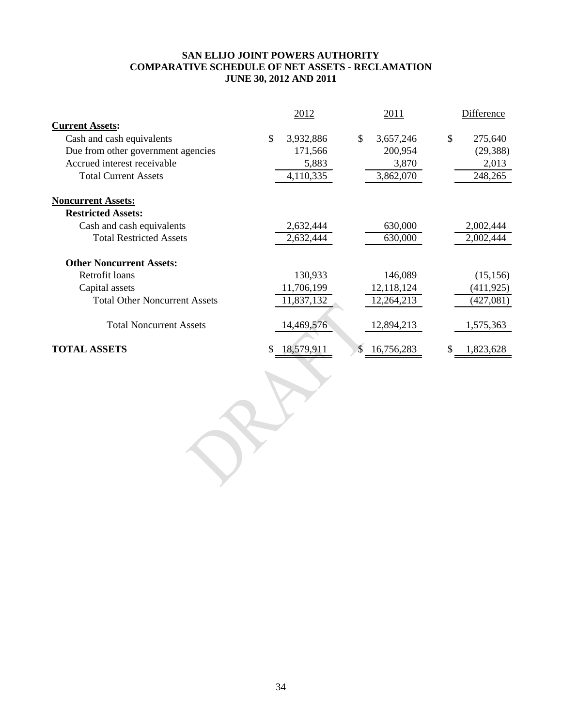#### **SAN ELIJO JOINT POWERS AUTHORITY COMPARATIVE SCHEDULE OF NET ASSETS - RECLAMATION JUNE 30, 2012 AND 2011**

|                                      | 2012<br>2011  |            |    |            | <b>Difference</b> |    |            |
|--------------------------------------|---------------|------------|----|------------|-------------------|----|------------|
| <b>Current Assets:</b>               |               |            |    |            |                   |    |            |
| Cash and cash equivalents            | $\mathcal{S}$ | 3,932,886  | \$ | 3,657,246  |                   | \$ | 275,640    |
| Due from other government agencies   |               | 171,566    |    | 200,954    |                   |    | (29, 388)  |
| Accrued interest receivable          |               | 5,883      |    | 3,870      |                   |    | 2,013      |
| <b>Total Current Assets</b>          |               | 4,110,335  |    | 3,862,070  |                   |    | 248,265    |
| <b>Noncurrent Assets:</b>            |               |            |    |            |                   |    |            |
| <b>Restricted Assets:</b>            |               |            |    |            |                   |    |            |
| Cash and cash equivalents            |               | 2,632,444  |    | 630,000    |                   |    | 2,002,444  |
| <b>Total Restricted Assets</b>       |               | 2,632,444  |    | 630,000    |                   |    | 2,002,444  |
| <b>Other Noncurrent Assets:</b>      |               |            |    |            |                   |    |            |
| Retrofit loans                       |               | 130,933    |    | 146,089    |                   |    | (15, 156)  |
| Capital assets                       |               | 11,706,199 |    | 12,118,124 |                   |    | (411, 925) |
| <b>Total Other Noncurrent Assets</b> |               | 11,837,132 |    | 12,264,213 |                   |    | (427,081)  |
| <b>Total Noncurrent Assets</b>       |               | 14,469,576 |    | 12,894,213 |                   |    | 1,575,363  |
| <b>TOTAL ASSETS</b>                  |               | 18,579,911 | \$ | 16,756,283 |                   |    | 1,823,628  |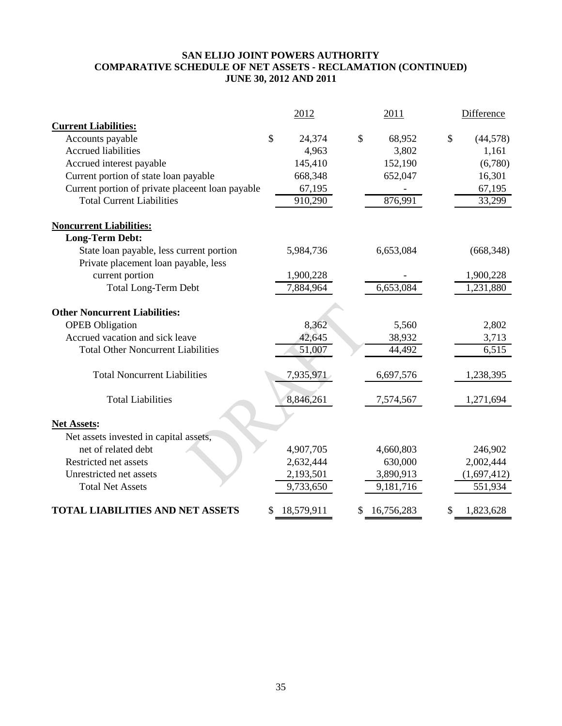### **SAN ELIJO JOINT POWERS AUTHORITY COMPARATIVE SCHEDULE OF NET ASSETS - RECLAMATION (CONTINUED) JUNE 30, 2012 AND 2011**

|                                                  |               | 2012       | 2011             | Difference      |
|--------------------------------------------------|---------------|------------|------------------|-----------------|
| <b>Current Liabilities:</b>                      |               |            |                  |                 |
| Accounts payable                                 | $\mathcal{S}$ | 24,374     | \$<br>68,952     | \$<br>(44, 578) |
| <b>Accrued liabilities</b>                       |               | 4,963      | 3,802            | 1,161           |
| Accrued interest payable                         |               | 145,410    | 152,190          | (6,780)         |
| Current portion of state loan payable            |               | 668,348    | 652,047          | 16,301          |
| Current portion of private placeent loan payable |               | 67,195     |                  | 67,195          |
| <b>Total Current Liabilities</b>                 |               | 910,290    | 876,991          | 33,299          |
| <b>Noncurrent Liabilities:</b>                   |               |            |                  |                 |
| <b>Long-Term Debt:</b>                           |               |            |                  |                 |
| State loan payable, less current portion         |               | 5,984,736  | 6,653,084        | (668, 348)      |
| Private placement loan payable, less             |               |            |                  |                 |
| current portion                                  |               | 1,900,228  |                  | 1,900,228       |
| <b>Total Long-Term Debt</b>                      |               | 7,884,964  | 6,653,084        | 1,231,880       |
| <b>Other Noncurrent Liabilities:</b>             |               |            |                  |                 |
| <b>OPEB</b> Obligation                           |               | 8,362      | 5,560            | 2,802           |
| Accrued vacation and sick leave                  |               | 42,645     | 38,932           | 3,713           |
| <b>Total Other Noncurrent Liabilities</b>        |               | 51,007     | 44,492           | 6,515           |
| <b>Total Noncurrent Liabilities</b>              |               | 7,935,971  | 6,697,576        | 1,238,395       |
| <b>Total Liabilities</b>                         |               | 8,846,261  | 7,574,567        | 1,271,694       |
| <b>Net Assets:</b>                               |               |            |                  |                 |
| Net assets invested in capital assets,           |               |            |                  |                 |
| net of related debt                              |               | 4,907,705  | 4,660,803        | 246,902         |
| Restricted net assets                            |               | 2,632,444  | 630,000          | 2,002,444       |
| Unrestricted net assets                          |               | 2,193,501  | 3,890,913        | (1,697,412)     |
| <b>Total Net Assets</b>                          |               | 9,733,650  | 9,181,716        | 551,934         |
| <b>TOTAL LIABILITIES AND NET ASSETS</b>          |               | 18,579,911 | \$<br>16,756,283 | \$<br>1,823,628 |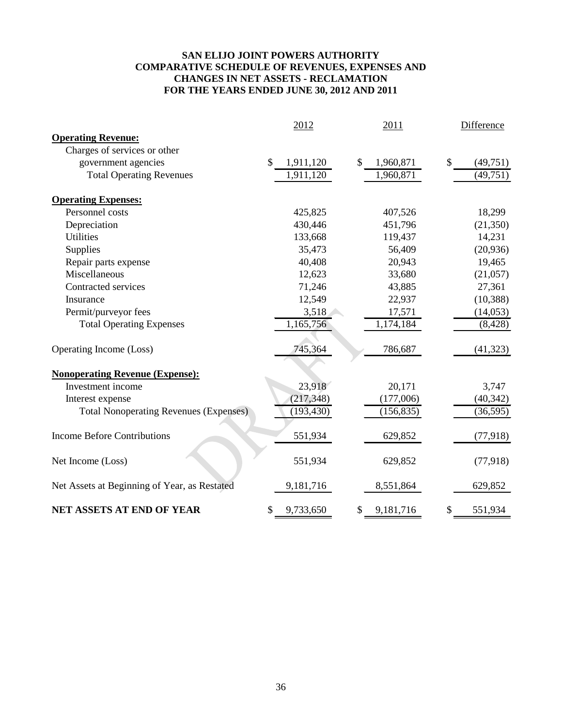#### **SAN ELIJO JOINT POWERS AUTHORITY COMPARATIVE SCHEDULE OF REVENUES, EXPENSES AND CHANGES IN NET ASSETS - RECLAMATION FOR THE YEARS ENDED JUNE 30, 2012 AND 2011**

|                                               | 2012                       | 2011            | Difference     |  |  |
|-----------------------------------------------|----------------------------|-----------------|----------------|--|--|
| <b>Operating Revenue:</b>                     |                            |                 |                |  |  |
| Charges of services or other                  |                            |                 |                |  |  |
| government agencies                           | $\mathcal{S}$<br>1,911,120 | 1,960,871<br>\$ | \$<br>(49,751) |  |  |
| <b>Total Operating Revenues</b>               | 1,911,120                  | 1,960,871       | (49, 751)      |  |  |
| <b>Operating Expenses:</b>                    |                            |                 |                |  |  |
| Personnel costs                               | 425,825                    | 407,526         | 18,299         |  |  |
| Depreciation                                  | 430,446                    | 451,796         | (21, 350)      |  |  |
| <b>Utilities</b>                              | 133,668                    | 119,437         | 14,231         |  |  |
| Supplies                                      | 35,473                     | 56,409          | (20,936)       |  |  |
| Repair parts expense                          | 40,408                     | 20,943          | 19,465         |  |  |
| Miscellaneous                                 | 12,623                     | 33,680          | (21,057)       |  |  |
| Contracted services                           | 71,246                     | 43,885          | 27,361         |  |  |
| Insurance                                     | 12,549                     | 22,937          | (10, 388)      |  |  |
| Permit/purveyor fees                          | 3,518                      | 17,571          | (14,053)       |  |  |
| <b>Total Operating Expenses</b>               | 1,165,756                  | 1,174,184       | (8, 428)       |  |  |
| Operating Income (Loss)                       | 745,364                    | 786,687         | (41, 323)      |  |  |
| <b>Nonoperating Revenue (Expense):</b>        |                            |                 |                |  |  |
| Investment income                             | 23,918                     | 20,171          | 3,747          |  |  |
| Interest expense                              | (217, 348)                 | (177,006)       | (40, 342)      |  |  |
| <b>Total Nonoperating Revenues (Expenses)</b> | (193, 430)                 | (156, 835)      | (36, 595)      |  |  |
| <b>Income Before Contributions</b>            | 551,934                    | 629,852         | (77, 918)      |  |  |
| Net Income (Loss)                             | 551,934                    | 629,852         | (77, 918)      |  |  |
| Net Assets at Beginning of Year, as Restated  | 9,181,716                  | 8,551,864       | 629,852        |  |  |
| <b>NET ASSETS AT END OF YEAR</b>              | 9,733,650<br>\$            | 9,181,716<br>\$ | \$<br>551,934  |  |  |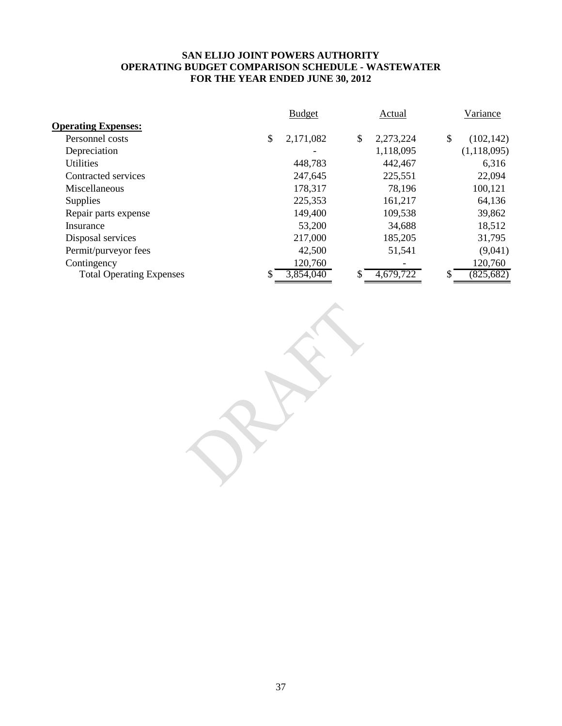#### **SAN ELIJO JOINT POWERS AUTHORITY OPERATING BUDGET COMPARISON SCHEDULE - WASTEWATER FOR THE YEAR ENDED JUNE 30, 2012**

|                                 | <b>Budget</b>   | Actual          | Variance         |
|---------------------------------|-----------------|-----------------|------------------|
| <b>Operating Expenses:</b>      |                 |                 |                  |
| Personnel costs                 | \$<br>2,171,082 | \$<br>2,273,224 | \$<br>(102, 142) |
| Depreciation                    |                 | 1,118,095       | (1,118,095)      |
| <b>Utilities</b>                | 448,783         | 442,467         | 6,316            |
| Contracted services             | 247,645         | 225,551         | 22,094           |
| Miscellaneous                   | 178,317         | 78,196          | 100,121          |
| <b>Supplies</b>                 | 225,353         | 161,217         | 64,136           |
| Repair parts expense            | 149,400         | 109,538         | 39,862           |
| Insurance                       | 53,200          | 34,688          | 18,512           |
| Disposal services               | 217,000         | 185,205         | 31,795           |
| Permit/purveyor fees            | 42,500          | 51,541          | (9,041)          |
| Contingency                     | 120,760         |                 | 120,760          |
| <b>Total Operating Expenses</b> | 3,854,040       | 4,679,722<br>S  | (825, 682)       |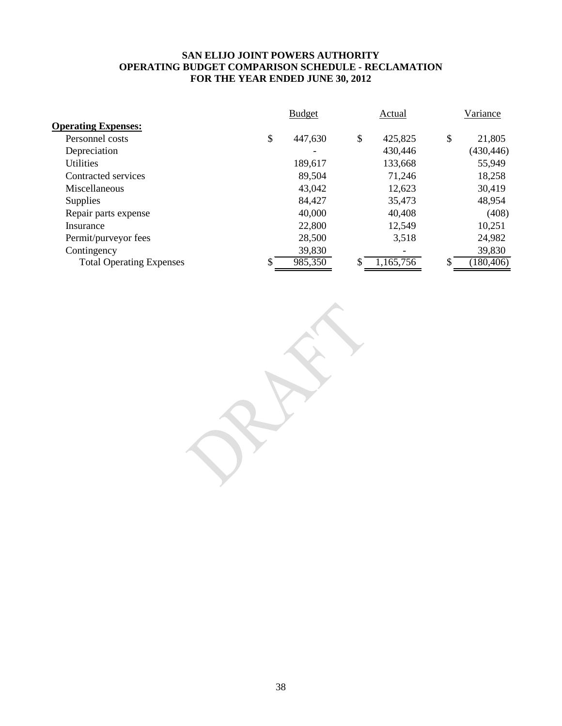#### **SAN ELIJO JOINT POWERS AUTHORITY OPERATING BUDGET COMPARISON SCHEDULE - RECLAMATION FOR THE YEAR ENDED JUNE 30, 2012**

|                                 | <b>Budget</b> |         |    | Actual    | Variance |            |
|---------------------------------|---------------|---------|----|-----------|----------|------------|
| <b>Operating Expenses:</b>      |               |         |    |           |          |            |
| Personnel costs                 | \$            | 447,630 | \$ | 425,825   | \$       | 21,805     |
| Depreciation                    |               |         |    | 430,446   |          | (430, 446) |
| <b>Utilities</b>                |               | 189,617 |    | 133,668   |          | 55,949     |
| Contracted services             |               | 89,504  |    | 71,246    |          | 18,258     |
| Miscellaneous                   |               | 43,042  |    | 12,623    |          | 30,419     |
| Supplies                        |               | 84,427  |    | 35,473    |          | 48,954     |
| Repair parts expense            |               | 40,000  |    | 40,408    |          | (408)      |
| Insurance                       |               | 22,800  |    | 12,549    |          | 10,251     |
| Permit/purveyor fees            |               | 28,500  |    | 3,518     |          | 24,982     |
| Contingency                     |               | 39,830  |    |           |          | 39,830     |
| <b>Total Operating Expenses</b> | \$            | 985,350 | S  | 1,165,756 |          | 180,406)   |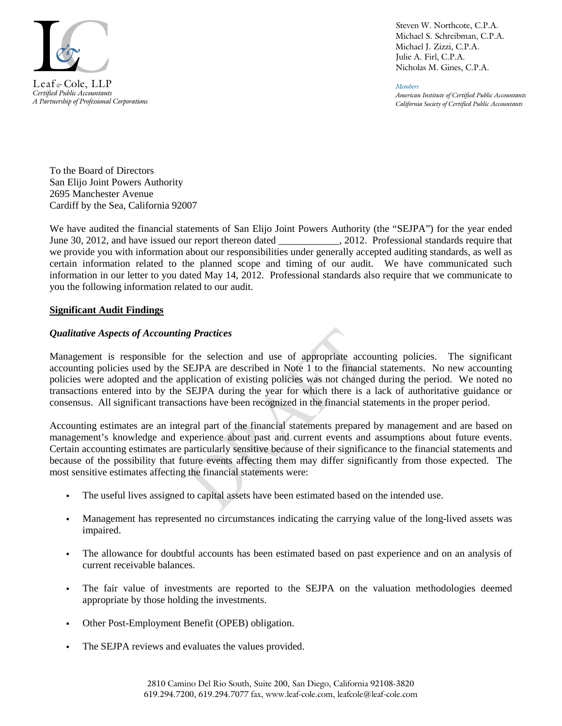

*Certified Public Accountants A Partnership of Professional Corporations*

Steven W. Northcote, C.P.A. Michael S. Schreibman, C.P.A. Michael J. Zizzi, C.P.A. Julie A. Firl, C.P.A. Nicholas M. Gines, C.P.A.

*Members American Institute of Certified Public Accountants California Society of Certified Public Accountants*

To the Board of Directors San Elijo Joint Powers Authority 2695 Manchester Avenue Cardiff by the Sea, California 92007

We have audited the financial statements of San Elijo Joint Powers Authority (the "SEJPA") for the year ended June 30, 2012, and have issued our report thereon dated \_\_\_\_\_\_\_\_\_\_\_, 2012. Professional standards require that we provide you with information about our responsibilities under generally accepted auditing standards, as well as certain information related to the planned scope and timing of our audit. We have communicated such information in our letter to you dated May 14, 2012. Professional standards also require that we communicate to you the following information related to our audit.

#### **Significant Audit Findings**

#### *Qualitative Aspects of Accounting Practices*

Management is responsible for the selection and use of appropriate accounting policies. The significant accounting policies used by the SEJPA are described in Note 1 to the financial statements. No new accounting policies were adopted and the application of existing policies was not changed during the period. We noted no transactions entered into by the SEJPA during the year for which there is a lack of authoritative guidance or consensus. All significant transactions have been recognized in the financial statements in the proper period.

Accounting estimates are an integral part of the financial statements prepared by management and are based on management's knowledge and experience about past and current events and assumptions about future events. Certain accounting estimates are particularly sensitive because of their significance to the financial statements and because of the possibility that future events affecting them may differ significantly from those expected. The most sensitive estimates affecting the financial statements were:

- The useful lives assigned to capital assets have been estimated based on the intended use.
- Management has represented no circumstances indicating the carrying value of the long-lived assets was impaired.
- The allowance for doubtful accounts has been estimated based on past experience and on an analysis of current receivable balances.
- The fair value of investments are reported to the SEJPA on the valuation methodologies deemed appropriate by those holding the investments.
- Other Post-Employment Benefit (OPEB) obligation.
- The SEJPA reviews and evaluates the values provided.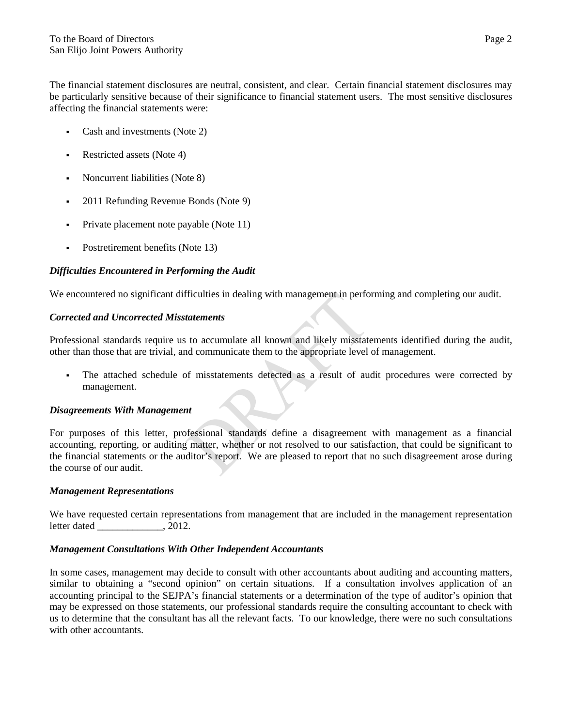The financial statement disclosures are neutral, consistent, and clear. Certain financial statement disclosures may be particularly sensitive because of their significance to financial statement users. The most sensitive disclosures affecting the financial statements were:

- Cash and investments (Note 2)
- Restricted assets (Note 4)
- Noncurrent liabilities (Note 8)
- 2011 Refunding Revenue Bonds (Note 9)
- Private placement note payable (Note 11)
- Postretirement benefits (Note 13)

#### *Difficulties Encountered in Performing the Audit*

We encountered no significant difficulties in dealing with management in performing and completing our audit.

#### *Corrected and Uncorrected Misstatements*

Professional standards require us to accumulate all known and likely misstatements identified during the audit, other than those that are trivial, and communicate them to the appropriate level of management.

 The attached schedule of misstatements detected as a result of audit procedures were corrected by management.

#### *Disagreements With Management*

For purposes of this letter, professional standards define a disagreement with management as a financial accounting, reporting, or auditing matter, whether or not resolved to our satisfaction, that could be significant to the financial statements or the auditor's report. We are pleased to report that no such disagreement arose during the course of our audit.

#### *Management Representations*

We have requested certain representations from management that are included in the management representation letter dated \_\_\_\_\_\_\_\_\_\_\_\_\_, 2012.

#### *Management Consultations With Other Independent Accountants*

In some cases, management may decide to consult with other accountants about auditing and accounting matters, similar to obtaining a "second opinion" on certain situations. If a consultation involves application of an accounting principal to the SEJPA's financial statements or a determination of the type of auditor's opinion that may be expressed on those statements, our professional standards require the consulting accountant to check with us to determine that the consultant has all the relevant facts. To our knowledge, there were no such consultations with other accountants.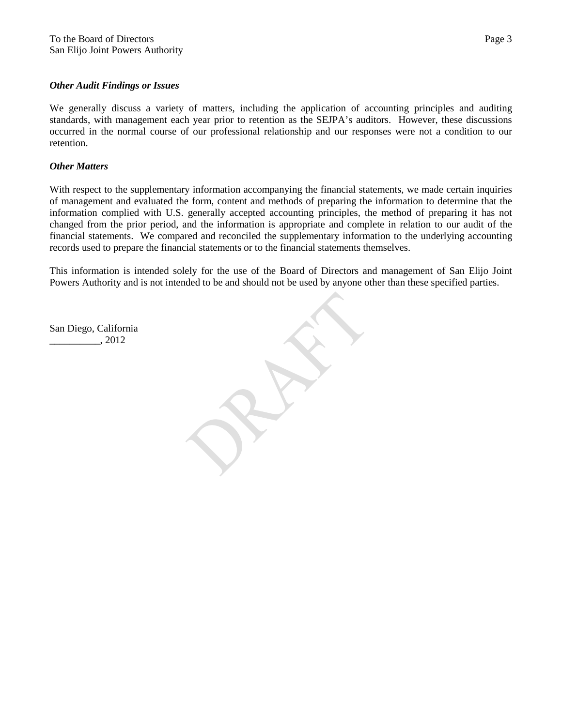#### *Other Audit Findings or Issues*

We generally discuss a variety of matters, including the application of accounting principles and auditing standards, with management each year prior to retention as the SEJPA's auditors. However, these discussions occurred in the normal course of our professional relationship and our responses were not a condition to our retention.

#### *Other Matters*

With respect to the supplementary information accompanying the financial statements, we made certain inquiries of management and evaluated the form, content and methods of preparing the information to determine that the information complied with U.S. generally accepted accounting principles, the method of preparing it has not changed from the prior period, and the information is appropriate and complete in relation to our audit of the financial statements. We compared and reconciled the supplementary information to the underlying accounting records used to prepare the financial statements or to the financial statements themselves.

This information is intended solely for the use of the Board of Directors and management of San Elijo Joint Powers Authority and is not intended to be and should not be used by anyone other than these specified parties.

San Diego, California \_\_\_\_\_\_\_\_\_\_, 2012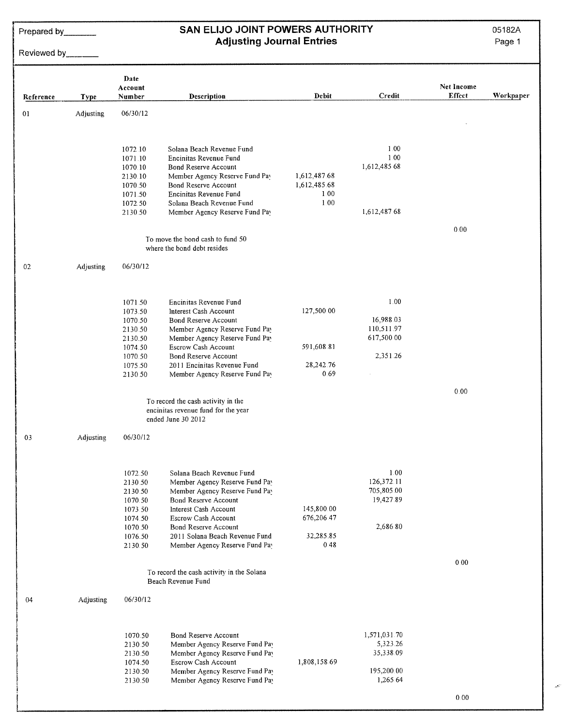Prepared by

# SAN ELIJO JOINT POWERS AUTHORITY **Adjusting Journal Entries**

05182A

Page 1

Reviewed by

|           |             | Date<br>Account                                                                                 |                                                                                                                                                                                                                                                                   |                                               |                                                                 | Net Income |           |
|-----------|-------------|-------------------------------------------------------------------------------------------------|-------------------------------------------------------------------------------------------------------------------------------------------------------------------------------------------------------------------------------------------------------------------|-----------------------------------------------|-----------------------------------------------------------------|------------|-----------|
| Reference | <b>Type</b> | Number                                                                                          | <b>Description</b>                                                                                                                                                                                                                                                | Debit                                         | Credit                                                          | Effect     | Workpaper |
| 01        | Adjusting   | 06/30/12                                                                                        |                                                                                                                                                                                                                                                                   |                                               |                                                                 |            |           |
|           |             | 1072.10<br>1071.10<br>1070.10<br>2130.10<br>1070.50<br>1071.50<br>1072.50                       | Solana Beach Revenue Fund<br>Encinitas Revenue Fund<br>Bond Reserve Account<br>Member Agency Reserve Fund Pay<br>Bond Reserve Account<br>Encinitas Revenue Fund<br>Solana Beach Revenue Fund                                                                      | 1,612,487.68<br>1,612,485.68<br>1.00<br>1.00  | 1.00<br>1.00<br>1,612,485 68                                    |            |           |
|           |             | 2130.50                                                                                         | Member Agency Reserve Fund Pay<br>To move the bond cash to fund 50                                                                                                                                                                                                |                                               | 1,612,487.68                                                    | 0.00       |           |
|           |             |                                                                                                 | where the bond debt resides                                                                                                                                                                                                                                       |                                               |                                                                 |            |           |
| 02        | Adjusting   | 06/30/12                                                                                        |                                                                                                                                                                                                                                                                   |                                               |                                                                 |            |           |
|           |             | 1071.50<br>1073.50<br>1070.50<br>2130.50<br>2130.50<br>1074.50<br>1070.50<br>1075.50<br>2130.50 | Encinitas Revenue Fund<br>Interest Cash Account<br>Bond Reserve Account<br>Member Agency Reserve Fund Pay<br>Member Agency Reserve Fund Pay<br>Escrow Cash Account<br>Bond Reserve Account<br>2011 Encinitas Revenue Fund<br>Member Agency Reserve Fund Pay       | 127,500.00<br>591,608.81<br>28,242.76<br>0.69 | 1.00<br>16,988.03<br>110,511.97<br>617,500.00<br>2,351.26       |            |           |
|           |             |                                                                                                 | To record the cash activity in the<br>encinitas revenue fund for the year<br>ended June 30 2012                                                                                                                                                                   |                                               |                                                                 | 0.00       |           |
| 03        | Adjusting   | 06/30/12                                                                                        |                                                                                                                                                                                                                                                                   |                                               |                                                                 |            |           |
|           |             | 1072.50<br>2130.50<br>2130.50<br>1070.50<br>1073.50<br>1074.50<br>1070.50<br>1076.50<br>2130.50 | Solana Beach Revenue Fund<br>Member Agency Reserve Fund Pay<br>Member Agency Reserve Fund Pay<br>Bond Reserve Account<br>Interest Cash Account<br>Escrow Cash Account<br>Bond Reserve Account<br>2011 Solana Beach Revenue Fund<br>Member Agency Reserve Fund Pay | 145,800.00<br>676,206.47<br>32,285.85<br>0.48 | 1.00<br>126,372.11<br>705,805.00<br>19,427.89<br>2,686.80       |            |           |
|           |             |                                                                                                 | To record the cash activity in the Solana<br>Beach Revenue Fund                                                                                                                                                                                                   |                                               |                                                                 | 0.00       |           |
| 04        | Adjusting   | 06/30/12                                                                                        |                                                                                                                                                                                                                                                                   |                                               |                                                                 |            |           |
|           |             | 1070.50<br>2130.50<br>2130.50<br>1074.50<br>2130.50<br>2130.50                                  | Bond Reserve Account<br>Member Agency Reserve Fund Pay<br>Member Agency Reserve Fund Pay<br>Escrow Cash Account<br>Member Agency Reserve Fund Pay<br>Member Agency Reserve Fund Pay                                                                               | 1,808,158.69                                  | 1,571,031.70<br>5,323.26<br>35,338.09<br>195,200.00<br>1,265.64 |            |           |

ر<br>نوبه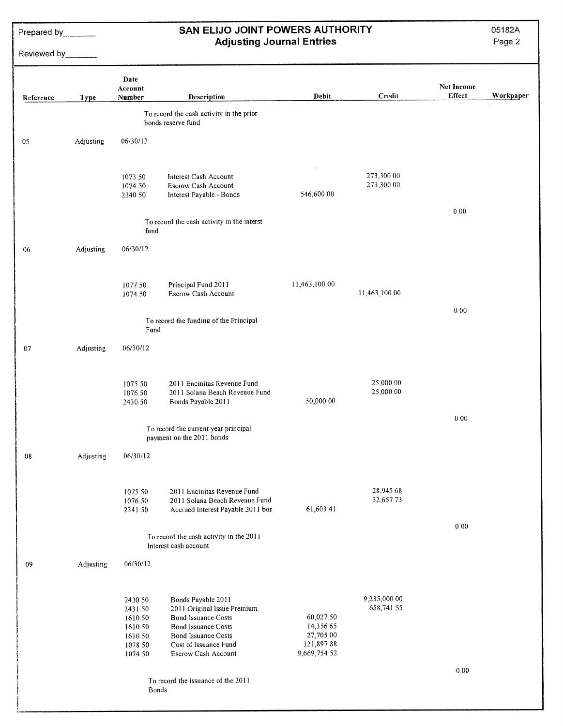Prepared by

Reviewed by\_\_\_\_\_\_\_

# SAN ELIJO JOINT POWERS AUTHORITY<br>Adjusting Journal Entries

05182A

| Reference | <b>Type</b> | Date<br>Account<br>Number                                                 | Description                                                                                                                                                                   | Debit                                                             | Credit                     | Net Income<br><b>Effect</b> | Workpaper |
|-----------|-------------|---------------------------------------------------------------------------|-------------------------------------------------------------------------------------------------------------------------------------------------------------------------------|-------------------------------------------------------------------|----------------------------|-----------------------------|-----------|
|           |             |                                                                           | To record the cash activity in the prior<br>bonds reserve fund                                                                                                                |                                                                   |                            |                             |           |
| 05        | Adjusting   | 06/30/12                                                                  |                                                                                                                                                                               |                                                                   |                            |                             |           |
|           |             | 1073.50<br>1074.50<br>2340.50                                             | Interest Cash Account<br>Escrow Cash Account<br>Interest Payable - Bonds                                                                                                      | 546,600.00                                                        | 273,300.00<br>273,300.00   |                             |           |
|           |             | fund                                                                      | To record the cash activity in the interst                                                                                                                                    |                                                                   |                            | 0.00                        |           |
| 06        | Adjusting   | 06/30/12                                                                  |                                                                                                                                                                               |                                                                   |                            |                             |           |
|           |             | 1077.50<br>1074.50                                                        | Principal Fund 2011<br><b>Escrow Cash Account</b>                                                                                                                             | 11,463,100.00                                                     | 11,463,100.00              |                             |           |
|           |             | Fund                                                                      | To record the funding of the Principal                                                                                                                                        |                                                                   |                            | $0.00\,$                    |           |
| 07        | Adjusting   | 06/30/12                                                                  |                                                                                                                                                                               |                                                                   |                            |                             |           |
|           |             | 1075.50<br>1076.50<br>2430.50                                             | 2011 Encinitas Revenue Fund<br>2011 Solana Beach Revenue Fund<br>Bonds Payable 2011                                                                                           | 50,000.00                                                         | 25,000.00<br>25,000.00     |                             |           |
|           |             |                                                                           | To record the current year principal<br>payment on the 2011 bonds                                                                                                             |                                                                   |                            | 0.00                        |           |
| 08        | Adjusting   | 06/30/12                                                                  |                                                                                                                                                                               |                                                                   |                            |                             |           |
|           |             | 1075.50<br>1076.50<br>2341.50                                             | 2011 Encinitas Revenue Fund<br>2011 Solana Beach Revenue Fund<br>Accrued Interest Payable 2011 bon                                                                            | 61,603.41                                                         | 28,945.68<br>32,657.73     |                             |           |
|           |             |                                                                           | To record the cash activity in the 2011<br>Interest cash account                                                                                                              |                                                                   |                            | 0.00                        |           |
| 09        | Adjusting   | 06/30/12                                                                  |                                                                                                                                                                               |                                                                   |                            |                             |           |
|           |             | 2430.50<br>2431.50<br>1610.50<br>1610.50<br>1610.50<br>1078.50<br>1074.50 | Bonds Payable 2011<br>2011 Original Issue Premium<br>Bond Issuance Costs<br>Bond Issuance Costs<br><b>Bond Issuance Costs</b><br>Cost of Issuance Fund<br>Escrow Cash Account | 60,027.50<br>14,356.65<br>27,705.00<br>121,897.88<br>9,669,754.52 | 9,235,000.00<br>658,741.55 |                             |           |
|           |             | Bonds                                                                     | To record the issuance of the 2011                                                                                                                                            |                                                                   |                            | 0.00                        |           |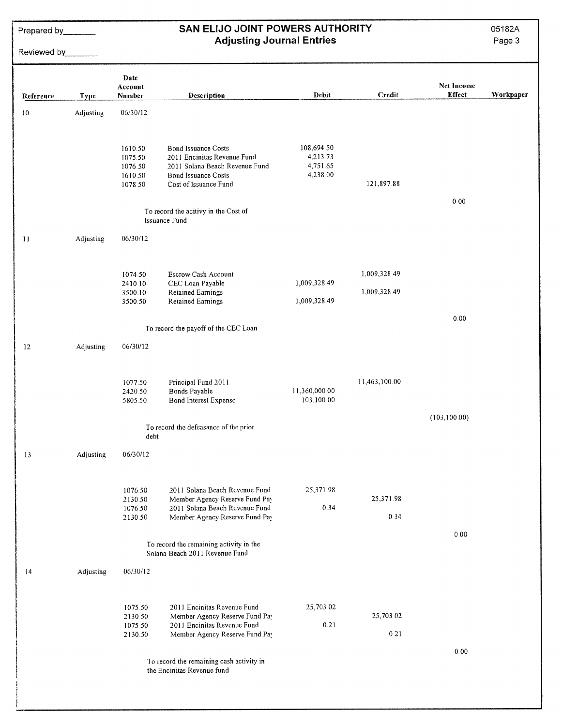Prepared by

# SAN ELIJO JOINT POWERS AUTHORITY<br>Adjusting Journal Entries

05182A

Page 3

Reviewed by

| Reference | <b>Type</b> | Date<br>Account<br>Number                           | Description                                                                                                                                 | Debit                                          | Credit                       | <b>Net Income</b><br><b>Effect</b> | Workpaper |
|-----------|-------------|-----------------------------------------------------|---------------------------------------------------------------------------------------------------------------------------------------------|------------------------------------------------|------------------------------|------------------------------------|-----------|
| 10        | Adjusting   | 06/30/12                                            |                                                                                                                                             |                                                |                              |                                    |           |
|           |             | 1610.50<br>1075.50<br>1076.50<br>1610.50<br>1078.50 | <b>Bond Issuance Costs</b><br>2011 Encinitas Revenue Fund<br>2011 Solana Beach Revenue Fund<br>Bond Issuance Costs<br>Cost of Issuance Fund | 108,694.50<br>4,213.73<br>4,751.65<br>4,238.00 | 121,897.88                   | 0.00                               |           |
|           |             |                                                     | To record the acitivy in the Cost of<br>Issuance Fund                                                                                       |                                                |                              |                                    |           |
| 11        | Adjusting   | 06/30/12                                            |                                                                                                                                             |                                                |                              |                                    |           |
|           |             | 1074.50<br>2410.10<br>3500.10<br>3500.50            | Escrow Cash Account<br>CEC Loan Payable<br><b>Retained Earnings</b><br>Retained Earnings                                                    | 1,009,328.49<br>1,009,328.49                   | 1,009,328.49<br>1,009,328.49 |                                    |           |
|           |             |                                                     | To record the payoff of the CEC Loan                                                                                                        |                                                |                              | 0.00                               |           |
| 12        | Adjusting   | 06/30/12                                            |                                                                                                                                             |                                                |                              |                                    |           |
|           |             | 1077.50<br>2420.50<br>5805.50                       | Principal Fund 2011<br>Bonds Payable<br><b>Bond Interest Expense</b>                                                                        | 11,360,000.00<br>103,100.00                    | 11,463,100.00                | (103, 100.00)                      |           |
|           |             | debt                                                | To record the defeasance of the prior                                                                                                       |                                                |                              |                                    |           |
| 13        | Adjusting   | 06/30/12                                            |                                                                                                                                             |                                                |                              |                                    |           |
|           |             | 1076.50<br>2130.50<br>1076.50<br>2130.50            | 2011 Solana Beach Revenue Fund<br>Member Agency Reserve Fund Pay<br>2011 Solana Beach Revenue Fund<br>Member Agency Reserve Fund Pay        | 25,371.98<br>0.34                              | 25,371.98<br>0.34            | 0.00                               |           |
|           |             |                                                     | To record the remaining activity in the<br>Solana Beach 2011 Revenue Fund                                                                   |                                                |                              |                                    |           |
| 14        | Adjusting   | 06/30/12                                            |                                                                                                                                             |                                                |                              |                                    |           |
|           |             | 1075.50<br>2130.50<br>1075.50<br>2130.50            | 2011 Encinitas Revenue Fund<br>Member Agency Reserve Fund Pay<br>2011 Encinitas Revenue Fund<br>Member Agency Reserve Fund Pay              | 25,703.02<br>0.21                              | 25,703.02<br>0.21            |                                    |           |
|           |             |                                                     | To record the remaining cash activity in<br>the Encinitas Revenue fund                                                                      |                                                |                              | 0.00                               |           |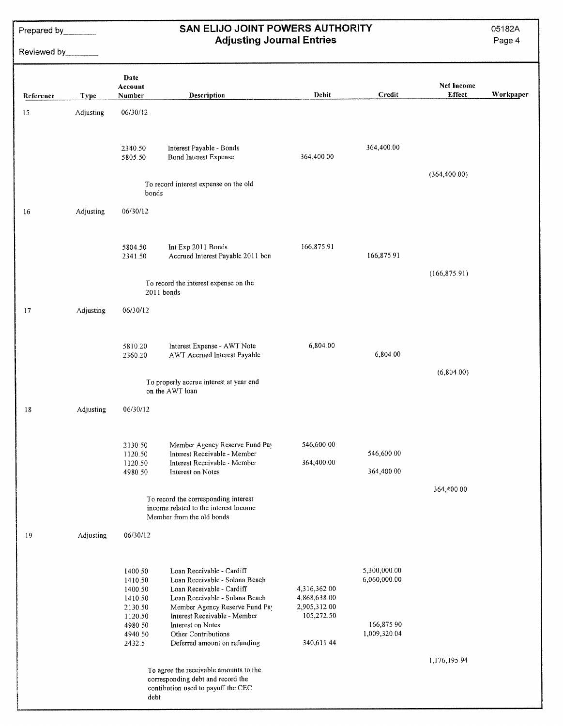Prepared by\_\_\_\_\_\_\_

# Reviewed by\_\_\_\_\_\_\_

# SAN ELIJO JOINT POWERS AUTHORITY<br>Adjusting Journal Entries

05182A

| Reference | <b>Type</b>      | Date<br>Account<br>Number                                                 | Description                                                                                                                                                                                                       | <b>Debit</b>                                               | Credit                                     | <b>Net Income</b><br><b>Effect</b> | Workpaper |
|-----------|------------------|---------------------------------------------------------------------------|-------------------------------------------------------------------------------------------------------------------------------------------------------------------------------------------------------------------|------------------------------------------------------------|--------------------------------------------|------------------------------------|-----------|
| 15        | <b>Adjusting</b> | 06/30/12                                                                  |                                                                                                                                                                                                                   |                                                            |                                            |                                    |           |
|           |                  | 2340.50<br>5805.50                                                        | Interest Payable - Bonds<br>Bond Interest Expense                                                                                                                                                                 | 364,400.00                                                 | 364,400.00                                 |                                    |           |
|           |                  | bonds                                                                     | To record interest expense on the old                                                                                                                                                                             |                                                            |                                            | (364, 400.00)                      |           |
| 16        | Adjusting        | 06/30/12                                                                  |                                                                                                                                                                                                                   |                                                            |                                            |                                    |           |
|           |                  | 5804.50<br>2341.50                                                        | Int Exp 2011 Bonds<br>Accrued Interest Payable 2011 bon                                                                                                                                                           | 166,875.91                                                 | 166,875.91                                 |                                    |           |
|           |                  |                                                                           | To record the interest expense on the<br>$2011$ bonds                                                                                                                                                             |                                                            |                                            | (166, 875.91)                      |           |
| 17        | Adjusting        | 06/30/12                                                                  |                                                                                                                                                                                                                   |                                                            |                                            |                                    |           |
|           |                  | 5810.20<br>2360.20                                                        | Interest Expense - AWT Note<br>AWT Accrued Interest Payable                                                                                                                                                       | 6,804.00                                                   | 6,804.00                                   |                                    |           |
|           |                  |                                                                           | To properly accrue interest at year end<br>on the AWT loan                                                                                                                                                        |                                                            |                                            | (6,804.00)                         |           |
| 18        | Adjusting        | 06/30/12                                                                  |                                                                                                                                                                                                                   |                                                            |                                            |                                    |           |
|           |                  | 2130.50<br>1120.50<br>1120.50<br>4980.50                                  | Member Agency Reserve Fund Pay<br>Interest Receivable - Member<br>Interest Receivable - Member<br>Interest on Notes                                                                                               | 546,600.00<br>364,400.00                                   | 546,600.00<br>364,400 00                   |                                    |           |
|           |                  |                                                                           | To record the corresponding interest<br>income related to the interest lncome<br>Member from the old bonds                                                                                                        |                                                            |                                            | 364,400.00                         |           |
| 19        | Adjusting        | 06/30/12                                                                  |                                                                                                                                                                                                                   |                                                            |                                            |                                    |           |
|           |                  | 1400.50<br>1410.50<br>1400.50<br>1410.50<br>2130.50<br>1120.50<br>4980.50 | Loan Receivable - Cardiff<br>Loan Receivable - Solana Beach<br>Loan Receivable - Cardiff<br>Loan Receivable - Solana Beach<br>Member Agency Reserve Fund Pay<br>Interest Receivable - Member<br>Interest on Notes | 4,316,362.00<br>4,868,638.00<br>2,905,312.00<br>105,272.50 | 5,300,000.00<br>6,060,000.00<br>166,875 90 |                                    |           |
|           |                  | 4940.50<br>2432.5                                                         | Other Contributions<br>Deferred amount on refunding                                                                                                                                                               | 340,611.44                                                 | 1,009,320.04                               |                                    |           |
|           |                  | debt                                                                      | To agree the receivable amounts to the<br>corresponding debt and record the<br>contibution used to payoff the CEC                                                                                                 |                                                            |                                            | 1,176,195.94                       |           |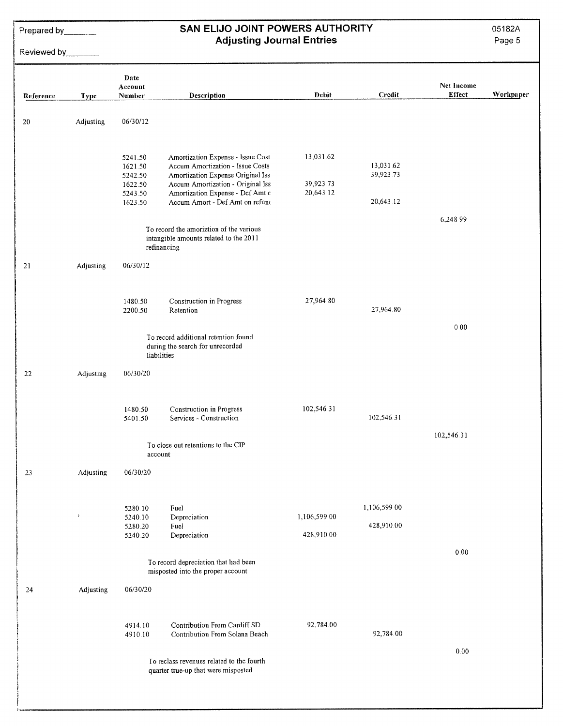Prepared by <u>example</u>

# Reviewed by

## SAN ELIJO JOINT POWERS AUTHORITY **Adjusting Journal Entries**

05182A

|           |             | Date<br>Account    |                                                                                                  |              |                        | Net Income |           |
|-----------|-------------|--------------------|--------------------------------------------------------------------------------------------------|--------------|------------------------|------------|-----------|
| Reference | <b>Type</b> | Number             | <b>Description</b>                                                                               | Debit        | Credit                 | Effect     | Workpaper |
|           |             |                    |                                                                                                  |              |                        |            |           |
| 20        | Adjusting   | 06/30/12           |                                                                                                  |              |                        |            |           |
|           |             |                    |                                                                                                  |              |                        |            |           |
|           |             | 5241.50            | Amortization Expense - Issue Cost                                                                | 13,031.62    |                        |            |           |
|           |             | 1621.50            | Accum Amortization - Issue Costs                                                                 |              | 13,031.62<br>39,923.73 |            |           |
|           |             | 5242.50<br>1622.50 | Amortization Expense Original Iss<br>Accum Amortization - Original Iss                           | 39,923.73    |                        |            |           |
|           |             | 5243.50            | Amortization Expense - Def Amt c                                                                 | 20,643.12    |                        |            |           |
|           |             | 1623.50            | Accum Amort - Def Amt on refund                                                                  |              | 20,643.12              |            |           |
|           |             |                    |                                                                                                  |              |                        | 6,248 99   |           |
|           |             |                    | To record the amoriztion of the various<br>intangible amounts related to the 2011<br>refinancing |              |                        |            |           |
|           |             |                    |                                                                                                  |              |                        |            |           |
| 21        | Adjusting   | 06/30/12           |                                                                                                  |              |                        |            |           |
|           |             |                    |                                                                                                  |              |                        |            |           |
|           |             | 1480.50            | Construction in Progress                                                                         | 27,964.80    |                        |            |           |
|           |             | 2200.50            | Retention                                                                                        |              | 27,964.80              |            |           |
|           |             |                    |                                                                                                  |              |                        | 000        |           |
|           |             |                    | To record additional retention found<br>during the search for unrecorded                         |              |                        |            |           |
|           |             |                    | liabilities                                                                                      |              |                        |            |           |
| 22        | Adjusting   | 06/30/20           |                                                                                                  |              |                        |            |           |
|           |             |                    |                                                                                                  |              |                        |            |           |
|           |             |                    |                                                                                                  |              |                        |            |           |
|           |             | 1480.50<br>5401.50 | Construction in Progress<br>Services - Construction                                              | 102,546.31   | 102,546.31             |            |           |
|           |             |                    |                                                                                                  |              |                        | 102,546.31 |           |
|           |             |                    | To close out retentions to the CIP                                                               |              |                        |            |           |
|           |             | account            |                                                                                                  |              |                        |            |           |
| 23        | Adjusting   | 06/30/20           |                                                                                                  |              |                        |            |           |
|           |             |                    |                                                                                                  |              |                        |            |           |
|           |             | 5280.10            | Fuel                                                                                             |              | 1,106,599 00           |            |           |
|           | $\bar{Y}$   | 5240.10            | Depreciation                                                                                     | 1,106,599.00 |                        |            |           |
|           |             | 5280.20<br>5240.20 | Fuel<br>Depreciation                                                                             | 428,910.00   | 428,910.00             |            |           |
|           |             |                    |                                                                                                  |              |                        | 0.00       |           |
|           |             |                    | To record depreciation that had been                                                             |              |                        |            |           |
|           |             |                    | misposted into the proper account                                                                |              |                        |            |           |
| 24        | Adjusting   | 06/30/20           |                                                                                                  |              |                        |            |           |
|           |             |                    |                                                                                                  |              |                        |            |           |
|           |             | 4914.10            | Contribution From Cardiff SD                                                                     | 92,784.00    |                        |            |           |
|           |             | 4910.10            | Contribution From Solana Beach                                                                   |              | 92,784.00              |            |           |
|           |             |                    |                                                                                                  |              |                        | $0.00\,$   |           |
|           |             |                    | To reclass revenues related to the fourth                                                        |              |                        |            |           |
|           |             |                    | quarter true-up that were misposted                                                              |              |                        |            |           |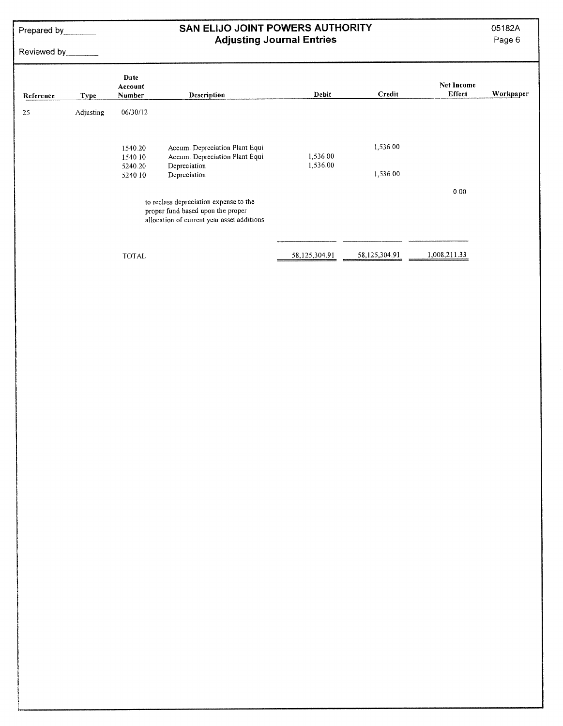Prepared by\_\_\_\_\_\_

# Reviewed by

## SAN ELIJO JOINT POWERS AUTHORITY **Adjusting Journal Entries**

05182A

| Reference | <b>Type</b> | Date<br>Account<br>Number                | Description                                                                                                               | Debit                | Credit               | Net Income<br>Effect | Workpaper |
|-----------|-------------|------------------------------------------|---------------------------------------------------------------------------------------------------------------------------|----------------------|----------------------|----------------------|-----------|
| 25        | Adjusting   | 06/30/12                                 |                                                                                                                           |                      |                      |                      |           |
|           |             | 1540.20<br>1540.10<br>5240.20<br>5240 10 | Accum Depreciation Plant Equi<br>Accum. Depreciation Plant Equi<br>Depreciation<br>Depreciation                           | 1,536.00<br>1,536.00 | 1,536.00<br>1,536.00 |                      |           |
|           |             |                                          | to reclass depreciation expense to the<br>proper fund based upon the proper<br>allocation of current year asset additions |                      |                      | 0.00                 |           |
|           |             | <b>TOTAL</b>                             |                                                                                                                           | 58,125,304.91        | 58,125,304.91        | 1,008,211.33         |           |